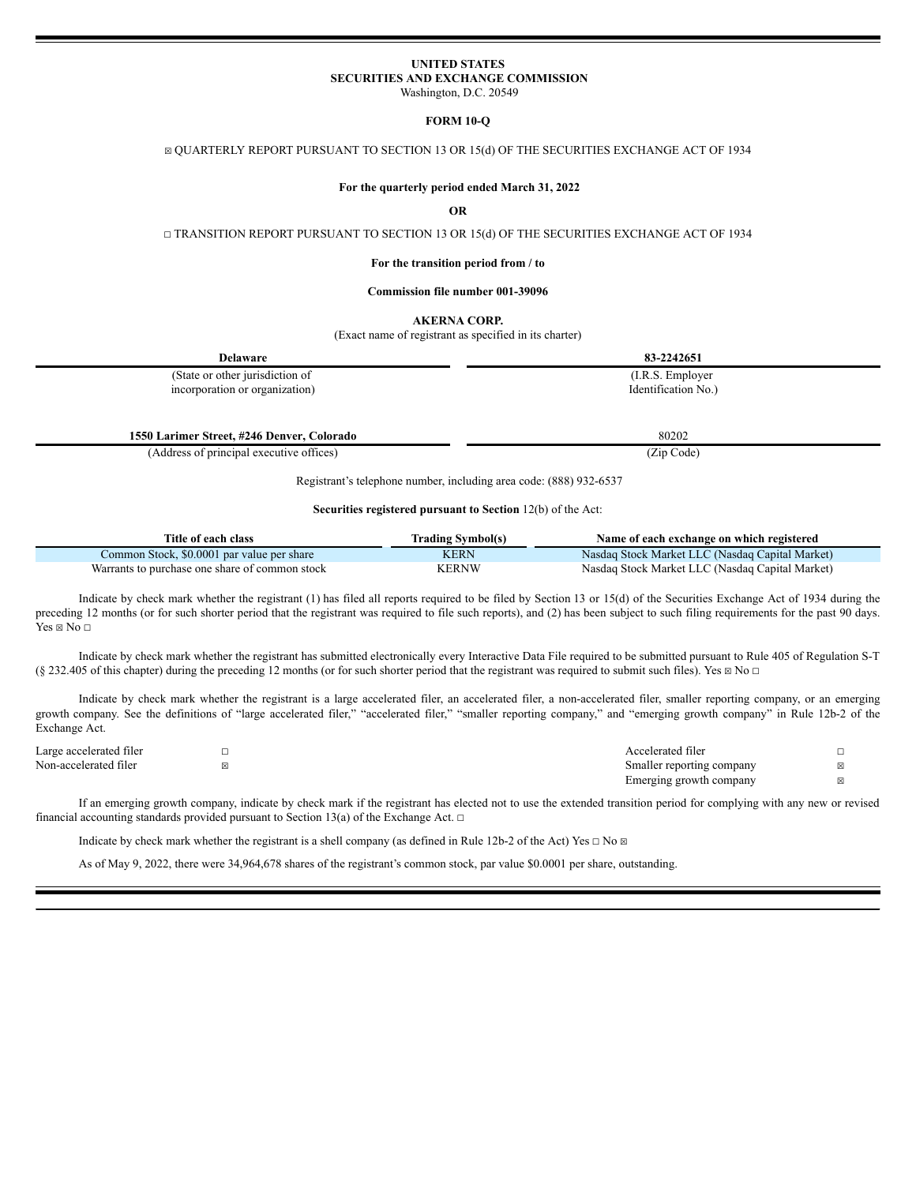## **UNITED STATES SECURITIES AND EXCHANGE COMMISSION**

Washington, D.C. 20549

# **FORM 10-Q**

☒ QUARTERLY REPORT PURSUANT TO SECTION 13 OR 15(d) OF THE SECURITIES EXCHANGE ACT OF 1934

### **For the quarterly period ended March 31, 2022**

#### **OR**

☐ TRANSITION REPORT PURSUANT TO SECTION 13 OR 15(d) OF THE SECURITIES EXCHANGE ACT OF 1934

**For the transition period from / to**

#### **Commission file number 001-39096**

**AKERNA CORP.**

(Exact name of registrant as specified in its charter)

| <b>Delaware</b>                            | 83-2242651          |
|--------------------------------------------|---------------------|
| (State or other jurisdiction of            | (I.R.S. Employer)   |
| incorporation or organization)             | Identification No.) |
|                                            |                     |
| 1550 Larimer Street, #246 Denver, Colorado | 80202               |
| (Address of principal executive offices)   | (Zip Code)          |

Registrant's telephone number, including area code: (888) 932-6537

**Securities registered pursuant to Section** 12(b) of the Act:

| Title of each class                            | Irading Svmbol(s` | Name of each exchange on which registered       |
|------------------------------------------------|-------------------|-------------------------------------------------|
| Common Stock, \$0.0001 par value per share     | <b>KERN</b>       | Nasdag Stock Market LLC (Nasdag Capital Market) |
| Warrants to purchase one share of common stock | <b>KERNW</b>      | Nasdag Stock Market LLC (Nasdag Capital Market) |

Indicate by check mark whether the registrant (1) has filed all reports required to be filed by Section 13 or 15(d) of the Securities Exchange Act of 1934 during the preceding 12 months (or for such shorter period that the registrant was required to file such reports), and (2) has been subject to such filing requirements for the past 90 days. Yes ⊠ No □

Indicate by check mark whether the registrant has submitted electronically every Interactive Data File required to be submitted pursuant to Rule 405 of Regulation S-T (§ 232.405 of this chapter) during the preceding 12 months (or for such shorter period that the registrant was required to submit such files). Yes ⊠ No □

Indicate by check mark whether the registrant is a large accelerated filer, an accelerated filer, a non-accelerated filer, smaller reporting company, or an emerging growth company. See the definitions of "large accelerated filer," "accelerated filer," "smaller reporting company," and "emerging growth company" in Rule 12b-2 of the Exchange Act.

| Large accelerated filer | Accelerated filer         |  |
|-------------------------|---------------------------|--|
| Non-accelerated filer   | Smaller reporting company |  |
|                         | Emerging growth company   |  |

If an emerging growth company, indicate by check mark if the registrant has elected not to use the extended transition period for complying with any new or revised financial accounting standards provided pursuant to Section 13(a) of the Exchange Act.  $\Box$ 

Indicate by check mark whether the registrant is a shell company (as defined in Rule 12b-2 of the Act) Yes  $\Box$  No  $\boxtimes$ 

As of May 9, 2022, there were 34,964,678 shares of the registrant's common stock, par value \$0.0001 per share, outstanding.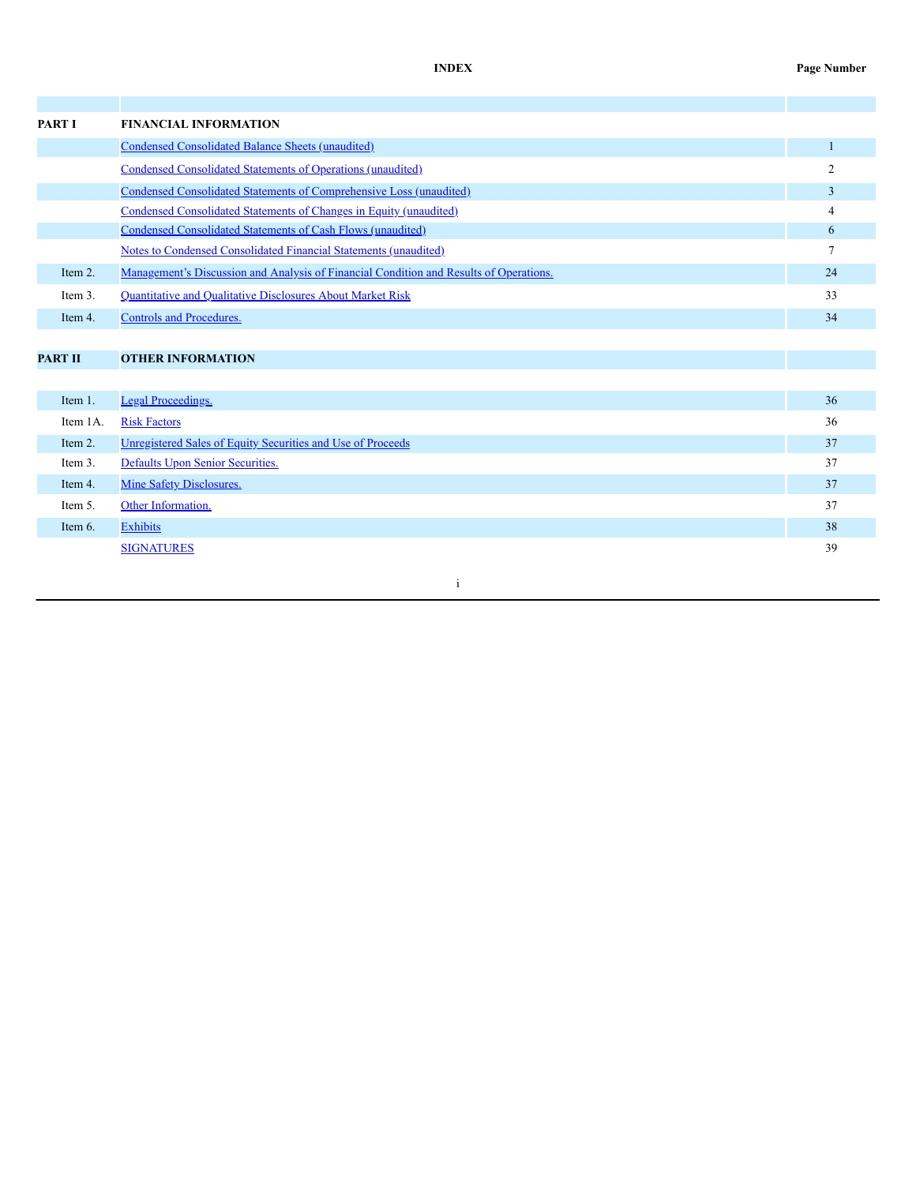<span id="page-1-0"></span>

| <b>PART I</b>                 | <b>FINANCIAL INFORMATION</b>                                                                  |    |
|-------------------------------|-----------------------------------------------------------------------------------------------|----|
|                               | Condensed Consolidated Balance Sheets (unaudited)                                             |    |
|                               | Condensed Consolidated Statements of Operations (unaudited)                                   |    |
|                               | Condensed Consolidated Statements of Comprehensive Loss (unaudited)                           |    |
|                               | Condensed Consolidated Statements of Changes in Equity (unaudited)                            | 4  |
|                               | Condensed Consolidated Statements of Cash Flows (unaudited)                                   | b  |
|                               | Notes to Condensed Consolidated Financial Statements (unaudited)                              |    |
| Item 2.                       | <u>Management's Discussion and Analysis of Financial Condition and Results of Operations.</u> | 24 |
| Item 3.                       | <b>Quantitative and Qualitative Disclosures About Market Risk</b>                             | 33 |
| Item 4.                       | <b>Controls and Procedures.</b>                                                               | 34 |
|                               |                                                                                               |    |
| <b>TALL THE THE THE STATE</b> | <b>OFFER BEROBLE LETONI</b>                                                                   |    |

# **PART II OTHER INFORMATION**

| Item 1.   | <b>Legal Proceedings.</b>                                   | 36 |
|-----------|-------------------------------------------------------------|----|
| Item 1A.  | <b>Risk Factors</b>                                         | 36 |
| Item 2.   | Unregistered Sales of Equity Securities and Use of Proceeds | 37 |
| Item 3.   | Defaults Upon Senior Securities.                            | 37 |
| Item 4.   | <b>Mine Safety Disclosures.</b>                             | 37 |
| Item 5.   | Other Information.                                          | 37 |
| Item $6.$ | <b>Exhibits</b>                                             | 38 |
|           | <b>SIGNATURES</b>                                           | 39 |
|           |                                                             |    |
|           |                                                             |    |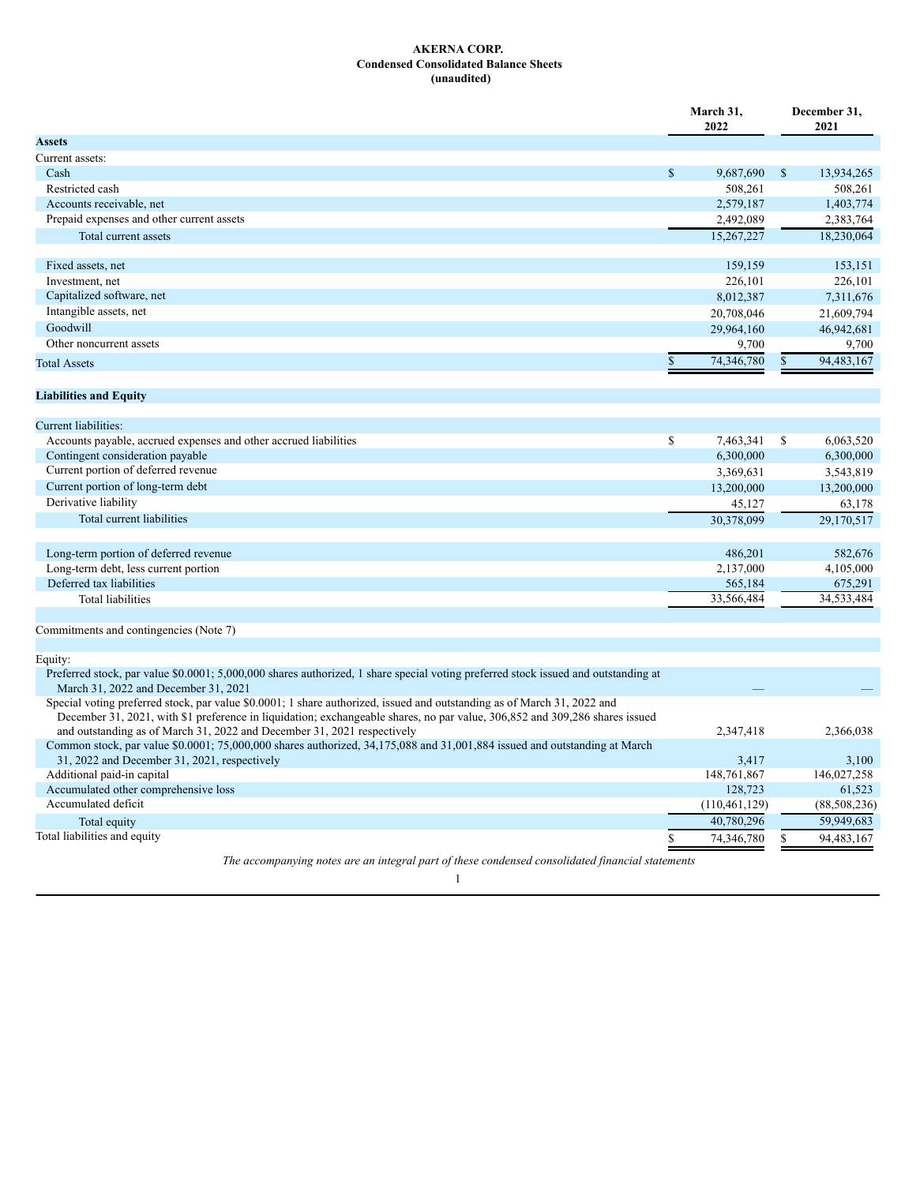## <span id="page-2-0"></span>**AKERNA CORP. Condensed Consolidated Balance Sheets (unaudited)**

|                                                                                                                                                                                                                                                        | March 31,<br>2022          |              | December 31,<br>2021 |  |
|--------------------------------------------------------------------------------------------------------------------------------------------------------------------------------------------------------------------------------------------------------|----------------------------|--------------|----------------------|--|
| <b>Assets</b>                                                                                                                                                                                                                                          |                            |              |                      |  |
| Current assets:                                                                                                                                                                                                                                        |                            |              |                      |  |
| Cash                                                                                                                                                                                                                                                   | $\mathbb{S}$<br>9,687,690  | $\mathbb{S}$ | 13,934,265           |  |
| Restricted cash                                                                                                                                                                                                                                        | 508,261                    |              | 508,261              |  |
| Accounts receivable, net                                                                                                                                                                                                                               | 2,579,187                  |              | 1,403,774            |  |
| Prepaid expenses and other current assets                                                                                                                                                                                                              | 2,492,089                  |              | 2,383,764            |  |
| Total current assets                                                                                                                                                                                                                                   | 15,267,227                 |              | 18,230,064           |  |
| Fixed assets, net                                                                                                                                                                                                                                      | 159,159                    |              | 153,151              |  |
| Investment, net                                                                                                                                                                                                                                        | 226,101                    |              | 226,101              |  |
| Capitalized software, net                                                                                                                                                                                                                              | 8,012,387                  |              | 7,311,676            |  |
| Intangible assets, net                                                                                                                                                                                                                                 | 20,708,046                 |              | 21,609,794           |  |
| Goodwill                                                                                                                                                                                                                                               | 29,964,160                 |              | 46,942,681           |  |
| Other noncurrent assets                                                                                                                                                                                                                                | 9,700                      |              | 9,700                |  |
| <b>Total Assets</b>                                                                                                                                                                                                                                    | $\mathbb{S}$<br>74,346,780 |              | 94,483,167           |  |
| <b>Liabilities and Equity</b>                                                                                                                                                                                                                          |                            |              |                      |  |
|                                                                                                                                                                                                                                                        |                            |              |                      |  |
| Current liabilities:                                                                                                                                                                                                                                   |                            |              |                      |  |
| Accounts payable, accrued expenses and other accrued liabilities                                                                                                                                                                                       | \$<br>7,463,341            | \$           | 6,063,520            |  |
| Contingent consideration payable                                                                                                                                                                                                                       | 6,300,000                  |              | 6,300,000            |  |
| Current portion of deferred revenue                                                                                                                                                                                                                    | 3,369,631                  |              | 3,543,819            |  |
| Current portion of long-term debt                                                                                                                                                                                                                      | 13,200,000                 |              | 13,200,000           |  |
| Derivative liability                                                                                                                                                                                                                                   | 45,127                     |              | 63,178               |  |
| Total current liabilities                                                                                                                                                                                                                              | 30.378.099                 |              | 29.170.517           |  |
| Long-term portion of deferred revenue                                                                                                                                                                                                                  | 486,201                    |              | 582.676              |  |
| Long-term debt, less current portion                                                                                                                                                                                                                   | 2,137,000                  |              | 4,105,000            |  |
| Deferred tax liabilities                                                                                                                                                                                                                               | 565,184                    |              | 675,291              |  |
| <b>Total liabilities</b>                                                                                                                                                                                                                               | 33,566,484                 |              | 34,533,484           |  |
| Commitments and contingencies (Note 7)                                                                                                                                                                                                                 |                            |              |                      |  |
|                                                                                                                                                                                                                                                        |                            |              |                      |  |
| Equity:<br>Preferred stock, par value \$0.0001; 5,000,000 shares authorized, 1 share special voting preferred stock issued and outstanding at                                                                                                          |                            |              |                      |  |
| March 31, 2022 and December 31, 2021                                                                                                                                                                                                                   |                            |              |                      |  |
| Special voting preferred stock, par value \$0.0001; 1 share authorized, issued and outstanding as of March 31, 2022 and<br>December 31, 2021, with \$1 preference in liquidation; exchangeable shares, no par value, 306,852 and 309,286 shares issued |                            |              |                      |  |
| and outstanding as of March 31, 2022 and December 31, 2021 respectively                                                                                                                                                                                | 2,347,418                  |              | 2,366,038            |  |
| Common stock, par value \$0.0001; 75,000,000 shares authorized, 34,175,088 and 31,001,884 issued and outstanding at March<br>31, 2022 and December 31, 2021, respectively                                                                              | 3,417                      |              | 3,100                |  |
| Additional paid-in capital                                                                                                                                                                                                                             | 148,761,867                |              | 146,027,258          |  |
| Accumulated other comprehensive loss                                                                                                                                                                                                                   | 128,723                    |              | 61,523               |  |
| Accumulated deficit                                                                                                                                                                                                                                    | (110, 461, 129)            |              | (88, 508, 236)       |  |
| Total equity                                                                                                                                                                                                                                           | 40,780,296                 |              | 59,949,683           |  |
| Total liabilities and equity                                                                                                                                                                                                                           | 74,346,780<br>S            | ς            | 94,483,167           |  |
| The accompanying notes are an integral part of these condensed consolidated financial statements                                                                                                                                                       |                            |              |                      |  |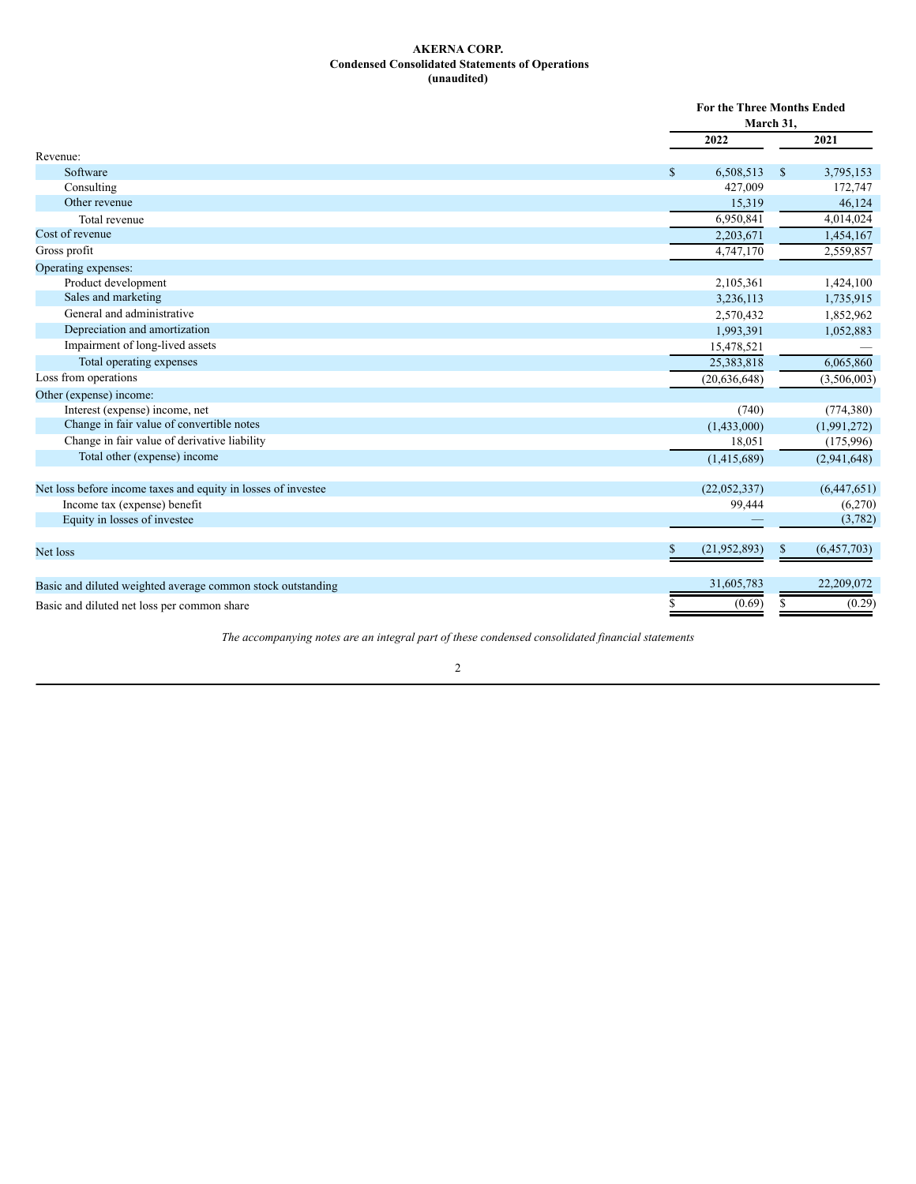## <span id="page-3-0"></span>**AKERNA CORP. Condensed Consolidated Statements of Operations (unaudited)**

|                                                               |                            | <b>For the Three Months Ended</b><br>March 31, |
|---------------------------------------------------------------|----------------------------|------------------------------------------------|
|                                                               | 2022                       | 2021                                           |
| Revenue:                                                      |                            |                                                |
| Software                                                      | 6,508,513<br><sup>\$</sup> | \$<br>3,795,153                                |
| Consulting                                                    | 427,009                    | 172,747                                        |
| Other revenue                                                 | 15,319                     | 46,124                                         |
| Total revenue                                                 | 6,950,841                  | 4,014,024                                      |
| Cost of revenue                                               | 2,203,671                  | 1,454,167                                      |
| Gross profit                                                  | 4,747,170                  | 2,559,857                                      |
| Operating expenses:                                           |                            |                                                |
| Product development                                           | 2,105,361                  | 1,424,100                                      |
| Sales and marketing                                           | 3,236,113                  | 1,735,915                                      |
| General and administrative                                    | 2,570,432                  | 1,852,962                                      |
| Depreciation and amortization                                 | 1,993,391                  | 1,052,883                                      |
| Impairment of long-lived assets                               | 15,478,521                 |                                                |
| Total operating expenses                                      | 25,383,818                 | 6,065,860                                      |
| Loss from operations                                          | (20, 636, 648)             | (3,506,003)                                    |
| Other (expense) income:                                       |                            |                                                |
| Interest (expense) income, net                                | (740)                      | (774, 380)                                     |
| Change in fair value of convertible notes                     | (1,433,000)                | (1,991,272)                                    |
| Change in fair value of derivative liability                  | 18,051                     | (175,996)                                      |
| Total other (expense) income                                  | (1,415,689)                | (2,941,648)                                    |
| Net loss before income taxes and equity in losses of investee | (22,052,337)               | (6,447,651)                                    |
| Income tax (expense) benefit                                  | 99,444                     | (6,270)                                        |
| Equity in losses of investee                                  |                            | (3,782)                                        |
|                                                               |                            |                                                |
| Net loss                                                      | \$<br>(21, 952, 893)       | S<br>(6,457,703)                               |
| Basic and diluted weighted average common stock outstanding   | 31,605,783                 | 22,209,072                                     |
| Basic and diluted net loss per common share                   | (0.69)                     | (0.29)<br>S                                    |

*The accompanying notes are an integral part of these condensed consolidated financial statements*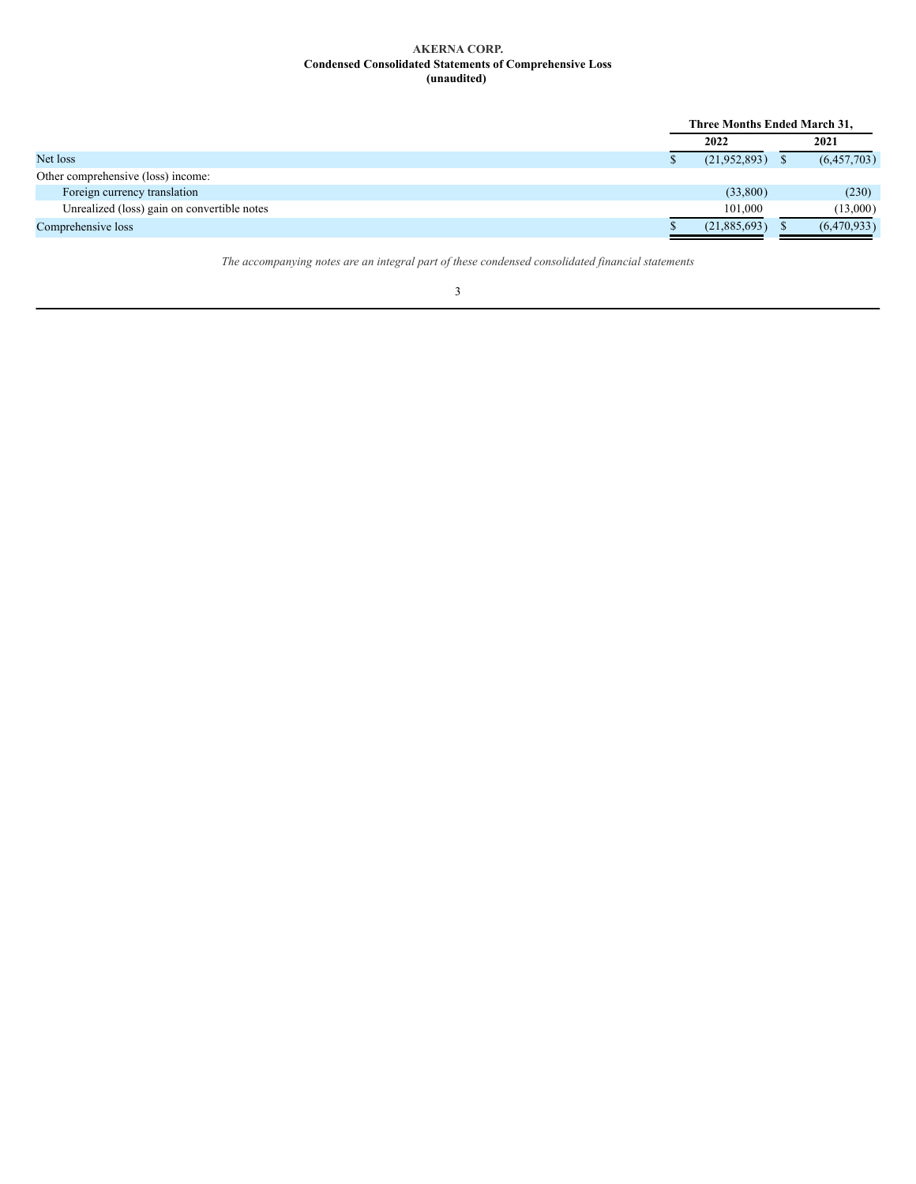## <span id="page-4-0"></span>**AKERNA CORP. Condensed Consolidated Statements of Comprehensive Loss (unaudited)**

|                                             | Three Months Ended March 31, |  |             |  |
|---------------------------------------------|------------------------------|--|-------------|--|
|                                             | 2022                         |  | 2021        |  |
| Net loss                                    | (21.952.893)                 |  | (6,457,703) |  |
| Other comprehensive (loss) income:          |                              |  |             |  |
| Foreign currency translation                | (33,800)                     |  | (230)       |  |
| Unrealized (loss) gain on convertible notes | 101.000                      |  | (13,000)    |  |
| Comprehensive loss                          | (21,885,693)                 |  | (6,470,933) |  |

*The accompanying notes are an integral part of these condensed consolidated financial statements*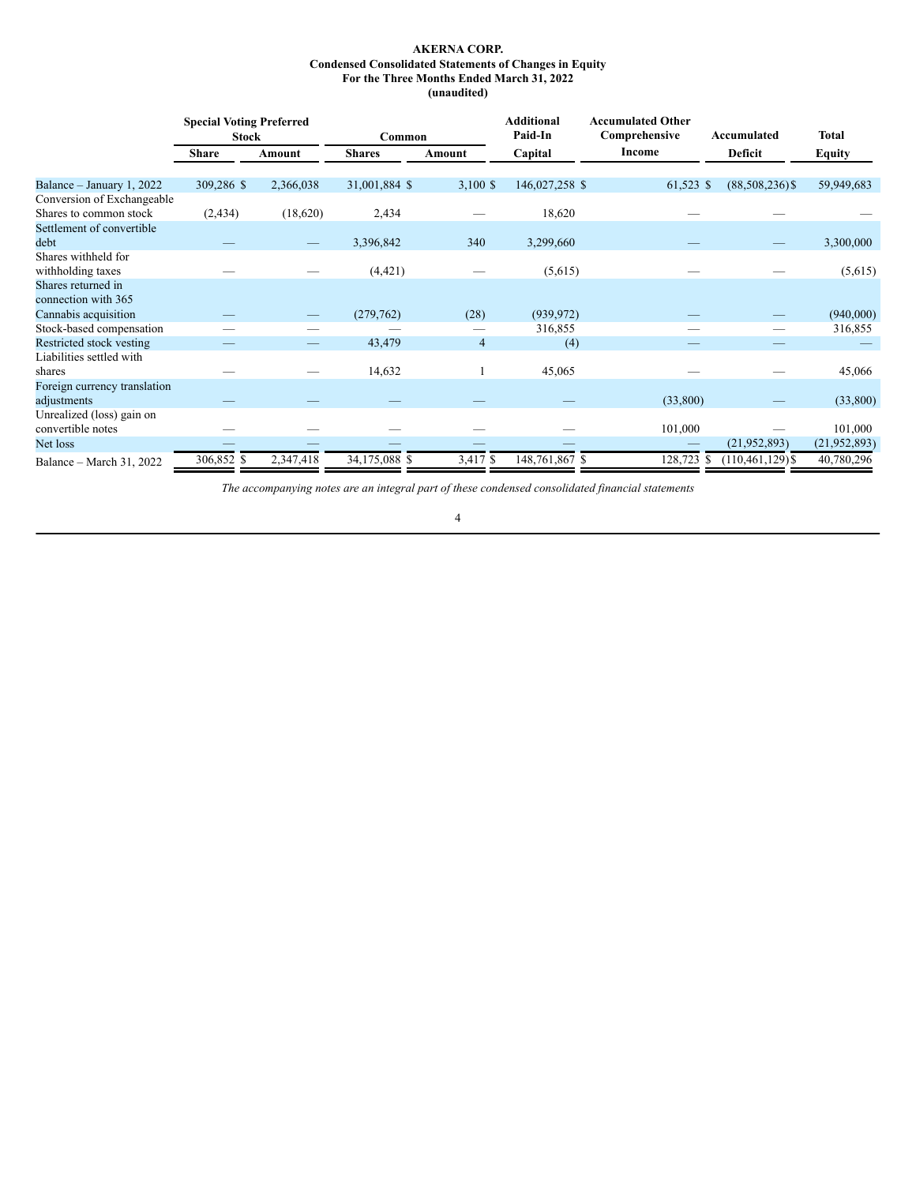## <span id="page-5-0"></span>**AKERNA CORP. Condensed Consolidated Statements of Changes in Equity For the Three Months Ended March 31, 2022 (unaudited)**

|                                                      | <b>Special Voting Preferred</b><br><b>Stock</b> |           | Common        |                | <b>Additional</b><br>Paid-In | <b>Accumulated Other</b><br>Comprehensive | Accumulated          |               |
|------------------------------------------------------|-------------------------------------------------|-----------|---------------|----------------|------------------------------|-------------------------------------------|----------------------|---------------|
|                                                      | <b>Share</b>                                    | Amount    | <b>Shares</b> | Amount         | Capital                      | Income                                    | Deficit              | <b>Equity</b> |
| Balance – January 1, 2022                            | 309,286 \$                                      | 2,366,038 | 31,001,884 \$ | $3,100$ \$     | 146,027,258 \$               | 61,523 \$                                 | $(88,508,236)$ \$    | 59,949,683    |
| Conversion of Exchangeable<br>Shares to common stock | (2, 434)                                        | (18,620)  | 2,434         |                | 18,620                       |                                           |                      |               |
| Settlement of convertible<br>debt                    |                                                 |           | 3,396,842     | 340            | 3,299,660                    |                                           |                      | 3,300,000     |
| Shares withheld for<br>withholding taxes             |                                                 |           | (4, 421)      |                | (5,615)                      |                                           |                      | (5,615)       |
| Shares returned in<br>connection with 365            |                                                 |           |               |                |                              |                                           |                      |               |
| Cannabis acquisition                                 |                                                 | –         | (279, 762)    | (28)           | (939, 972)                   |                                           |                      | (940,000)     |
| Stock-based compensation                             |                                                 |           |               |                | 316,855                      |                                           | —                    | 316,855       |
| Restricted stock vesting                             |                                                 | --        | 43,479        | $\overline{4}$ | (4)                          |                                           |                      |               |
| Liabilities settled with<br>shares                   |                                                 |           | 14,632        |                | 45,065                       |                                           |                      | 45,066        |
| Foreign currency translation<br>adjustments          |                                                 |           |               |                |                              | (33,800)                                  |                      | (33,800)      |
| Unrealized (loss) gain on<br>convertible notes       |                                                 |           |               |                |                              | 101,000                                   |                      | 101,000       |
| Net loss                                             |                                                 |           |               |                |                              |                                           | (21,952,893)         | (21,952,893)  |
| Balance - March 31, 2022                             | 306,852 \$                                      | 2,347,418 | 34,175,088 \$ | 3,417 \$       | 148,761,867 \$               | 128,723 \$                                | $(110, 461, 129)$ \$ | 40,780,296    |

*The accompanying notes are an integral part of these condensed consolidated financial statements*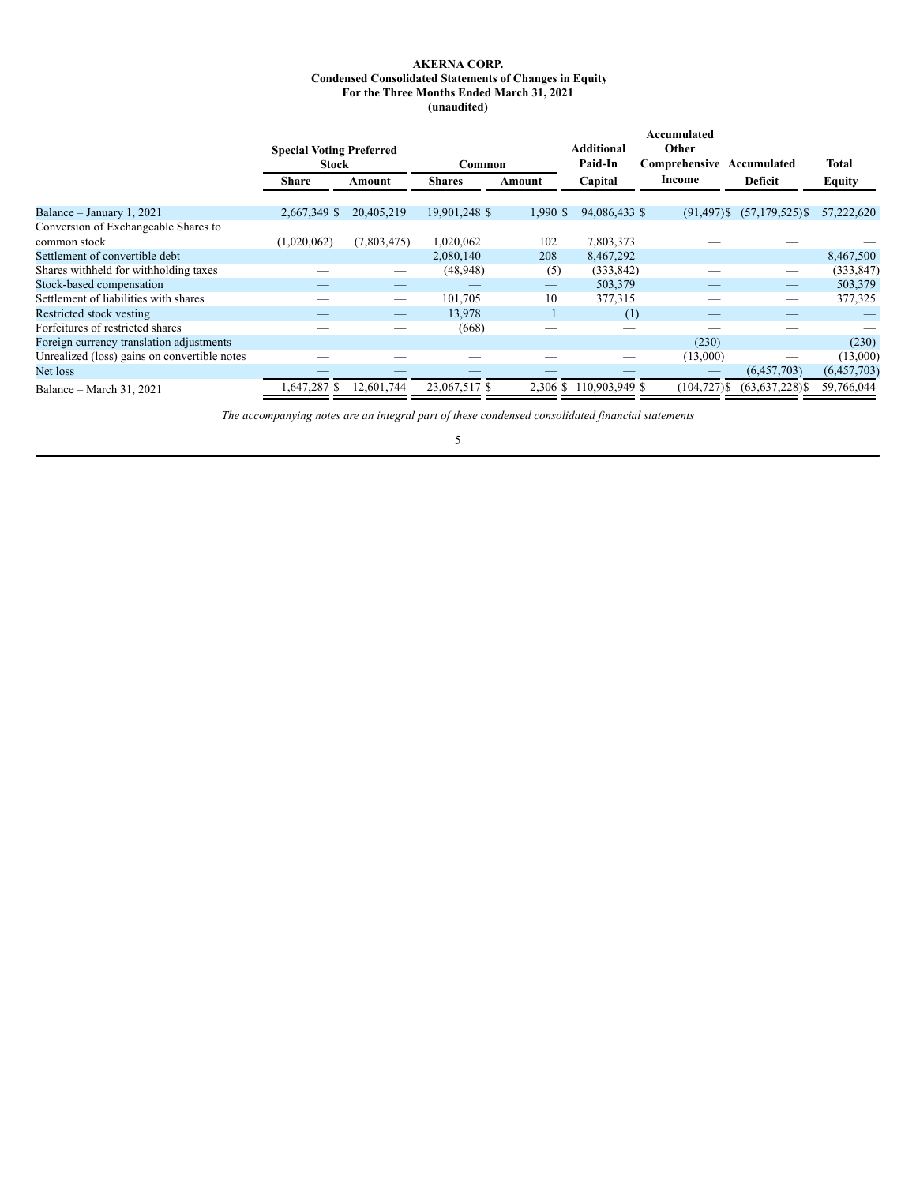### **AKERNA CORP. Condensed Consolidated Statements of Changes in Equity For the Three Months Ended March 31, 2021 (unaudited)**

|                                                      | <b>Special Voting Preferred</b><br>Stock |             | Common        |                                 | <b>Additional</b><br>Paid-In | Accumulated<br>Other<br>Comprehensive Accumulated |                     | Total       |
|------------------------------------------------------|------------------------------------------|-------------|---------------|---------------------------------|------------------------------|---------------------------------------------------|---------------------|-------------|
|                                                      | <b>Share</b>                             | Amount      | <b>Shares</b> | Amount                          | Capital                      | Income                                            | Deficit             | Equity      |
| Balance - January 1, 2021                            | 2,667,349 \$                             | 20,405,219  | 19,901,248 \$ | $1,990$ \$                      | 94,086,433 \$                | $(91, 497)$ \$                                    | $(57, 179, 525)$ \$ | 57,222,620  |
| Conversion of Exchangeable Shares to<br>common stock | (1,020,062)                              | (7,803,475) | 1,020,062     | 102                             | 7,803,373                    |                                                   |                     |             |
| Settlement of convertible debt                       |                                          |             | 2,080,140     | 208                             | 8,467,292                    |                                                   |                     | 8,467,500   |
| Shares withheld for withholding taxes                |                                          |             | (48,948)      | (5)                             | (333, 842)                   |                                                   |                     | (333, 847)  |
| Stock-based compensation                             |                                          |             |               | $\hspace{0.1mm}-\hspace{0.1mm}$ | 503,379                      |                                                   |                     | 503,379     |
| Settlement of liabilities with shares                |                                          |             | 101,705       | 10                              | 377,315                      |                                                   |                     | 377,325     |
| Restricted stock vesting                             |                                          |             | 13,978        |                                 | (1)                          |                                                   |                     |             |
| Forfeitures of restricted shares                     |                                          |             | (668)         |                                 |                              |                                                   |                     |             |
| Foreign currency translation adjustments             |                                          |             |               |                                 | –                            | (230)                                             |                     | (230)       |
| Unrealized (loss) gains on convertible notes         |                                          |             |               |                                 | --                           | (13,000)                                          |                     | (13,000)    |
| Net loss                                             |                                          |             |               |                                 |                              |                                                   | (6,457,703)         | (6,457,703) |
| Balance - March 31, 2021                             | 1,647,287 \$                             | 12,601,744  | 23,067,517 \$ |                                 | 2,306 \$110,903,949 \$       | $(104, 727)$ \$                                   | $(63,637,228)$ \$   | 59,766,044  |

*The accompanying notes are an integral part of these condensed consolidated financial statements*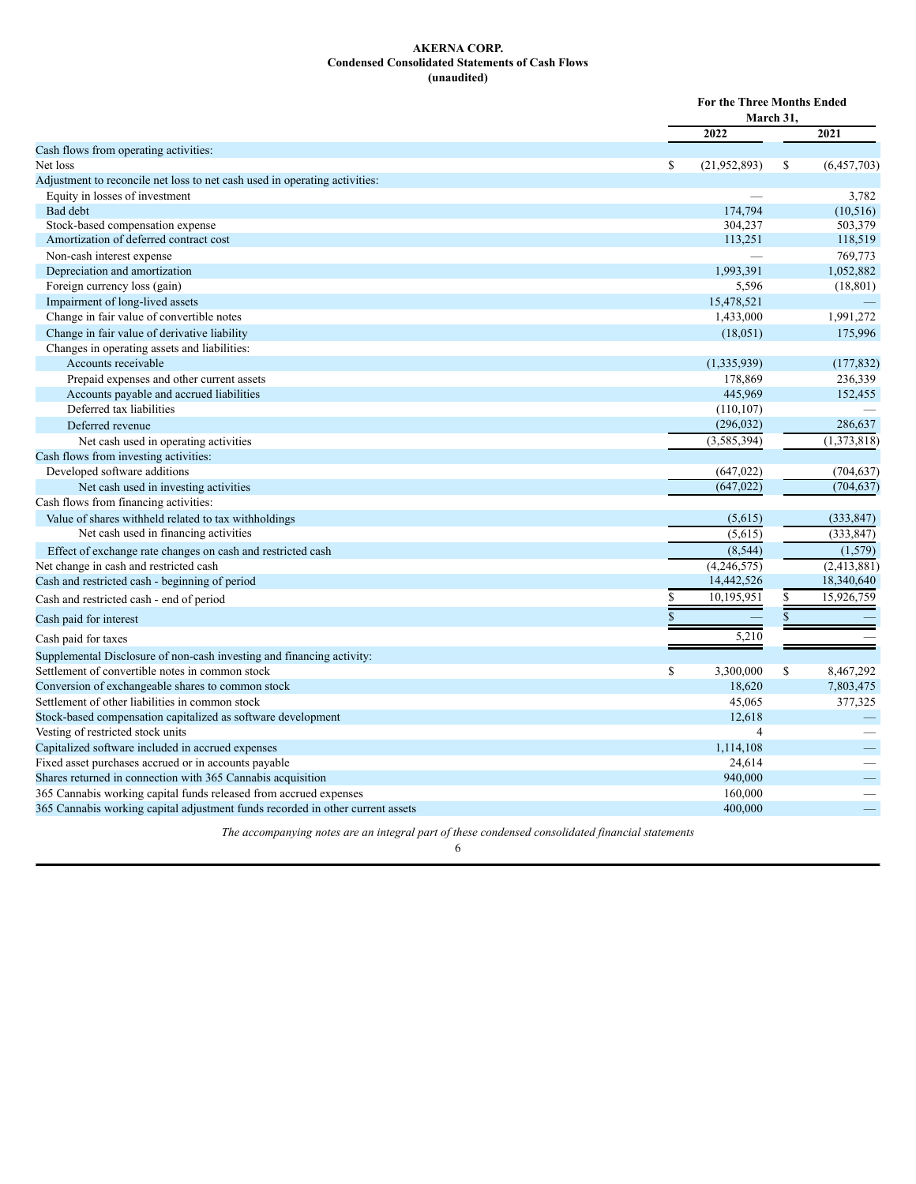## <span id="page-7-0"></span>**AKERNA CORP. Condensed Consolidated Statements of Cash Flows (unaudited)**

|                                                                                               |                    | <b>For the Three Months Ended</b> |               |  |  |
|-----------------------------------------------------------------------------------------------|--------------------|-----------------------------------|---------------|--|--|
|                                                                                               |                    | March 31,                         |               |  |  |
|                                                                                               | 2022               |                                   | 2021          |  |  |
| Cash flows from operating activities:<br>Net loss                                             | \$<br>(21,952,893) | \$                                | (6,457,703)   |  |  |
| Adjustment to reconcile net loss to net cash used in operating activities:                    |                    |                                   |               |  |  |
| Equity in losses of investment                                                                |                    |                                   | 3,782         |  |  |
| Bad debt                                                                                      | 174,794            |                                   | (10, 516)     |  |  |
| Stock-based compensation expense                                                              | 304,237            |                                   | 503,379       |  |  |
| Amortization of deferred contract cost                                                        | 113,251            |                                   | 118,519       |  |  |
| Non-cash interest expense                                                                     |                    |                                   | 769,773       |  |  |
| Depreciation and amortization                                                                 | 1,993,391          |                                   | 1,052,882     |  |  |
| Foreign currency loss (gain)                                                                  | 5,596              |                                   | (18, 801)     |  |  |
| Impairment of long-lived assets                                                               | 15,478,521         |                                   |               |  |  |
| Change in fair value of convertible notes                                                     | 1,433,000          |                                   | 1,991,272     |  |  |
| Change in fair value of derivative liability                                                  | (18,051)           |                                   | 175,996       |  |  |
| Changes in operating assets and liabilities:                                                  |                    |                                   |               |  |  |
| Accounts receivable                                                                           | (1,335,939)        |                                   | (177, 832)    |  |  |
| Prepaid expenses and other current assets                                                     | 178,869            |                                   | 236,339       |  |  |
| Accounts payable and accrued liabilities                                                      | 445,969            |                                   | 152,455       |  |  |
| Deferred tax liabilities                                                                      | (110, 107)         |                                   |               |  |  |
| Deferred revenue                                                                              | (296, 032)         |                                   | 286,637       |  |  |
| Net cash used in operating activities                                                         | (3, 585, 394)      |                                   | (1,373,818)   |  |  |
| Cash flows from investing activities:                                                         |                    |                                   |               |  |  |
| Developed software additions                                                                  | (647, 022)         |                                   | (704, 637)    |  |  |
| Net cash used in investing activities                                                         | (647, 022)         |                                   | (704, 637)    |  |  |
| Cash flows from financing activities:                                                         |                    |                                   |               |  |  |
|                                                                                               | (5,615)            |                                   | (333, 847)    |  |  |
| Value of shares withheld related to tax withholdings<br>Net cash used in financing activities |                    |                                   |               |  |  |
|                                                                                               | (5,615)            |                                   | (333, 847)    |  |  |
| Effect of exchange rate changes on cash and restricted cash                                   | (8, 544)           |                                   | (1, 579)      |  |  |
| Net change in cash and restricted cash                                                        | (4,246,575)        |                                   | (2, 413, 881) |  |  |
| Cash and restricted cash - beginning of period                                                | 14,442,526         |                                   | 18,340,640    |  |  |
| Cash and restricted cash - end of period                                                      | 10,195,951<br>\$   | \$                                | 15,926,759    |  |  |
| Cash paid for interest                                                                        | \$                 | $\mathbf S$                       |               |  |  |
| Cash paid for taxes                                                                           | 5,210              |                                   |               |  |  |
| Supplemental Disclosure of non-cash investing and financing activity:                         |                    |                                   |               |  |  |
| Settlement of convertible notes in common stock                                               | \$<br>3,300,000    | \$                                | 8,467,292     |  |  |
| Conversion of exchangeable shares to common stock                                             | 18,620             |                                   | 7,803,475     |  |  |
| Settlement of other liabilities in common stock                                               | 45,065             |                                   | 377,325       |  |  |
| Stock-based compensation capitalized as software development                                  | 12,618             |                                   |               |  |  |
| Vesting of restricted stock units                                                             |                    | 4                                 |               |  |  |
| Capitalized software included in accrued expenses                                             | 1,114,108          |                                   | —             |  |  |
| Fixed asset purchases accrued or in accounts payable                                          | 24,614             |                                   |               |  |  |
| Shares returned in connection with 365 Cannabis acquisition                                   | 940,000            |                                   |               |  |  |
| 365 Cannabis working capital funds released from accrued expenses                             | 160,000            |                                   |               |  |  |
| 365 Cannabis working capital adjustment funds recorded in other current assets                | 400,000            |                                   |               |  |  |
|                                                                                               |                    |                                   |               |  |  |

*The accompanying notes are an integral part of these condensed consolidated financial statements*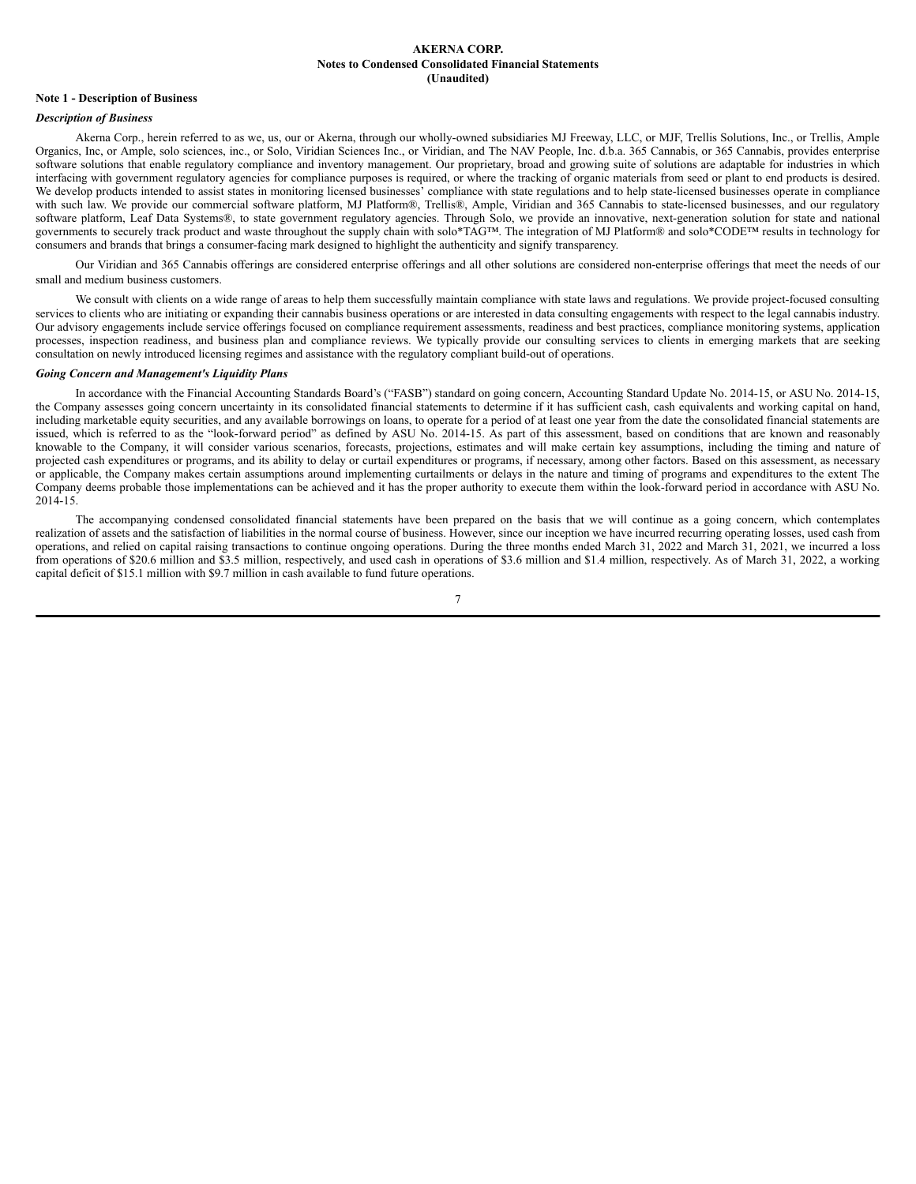### <span id="page-8-0"></span>**AKERNA CORP. Notes to Condensed Consolidated Financial Statements (Unaudited)**

### **Note 1 - Description of Business**

### *Description of Business*

Akerna Corp., herein referred to as we, us, our or Akerna, through our wholly-owned subsidiaries MJ Freeway, LLC, or MJF, Trellis Solutions, Inc., or Trellis, Ample Organics, Inc, or Ample, solo sciences, inc., or Solo, Viridian Sciences Inc., or Viridian, and The NAV People, Inc. d.b.a. 365 Cannabis, or 365 Cannabis, provides enterprise software solutions that enable regulatory compliance and inventory management. Our proprietary, broad and growing suite of solutions are adaptable for industries in which interfacing with government regulatory agencies for compliance purposes is required, or where the tracking of organic materials from seed or plant to end products is desired. We develop products intended to assist states in monitoring licensed businesses' compliance with state regulations and to help state-licensed businesses operate in compliance with such law. We provide our commercial software platform, MJ Platform®, Trellis®, Ample, Viridian and 365 Cannabis to state-licensed businesses, and our regulatory software platform, Leaf Data Systems®, to state government regulatory agencies. Through Solo, we provide an innovative, next-generation solution for state and national governments to securely track product and waste throughout the supply chain with solo\*TAG™. The integration of MJ Platform® and solo\*CODE™ results in technology for consumers and brands that brings a consumer-facing mark designed to highlight the authenticity and signify transparency.

Our Viridian and 365 Cannabis offerings are considered enterprise offerings and all other solutions are considered non-enterprise offerings that meet the needs of our small and medium business customers.

We consult with clients on a wide range of areas to help them successfully maintain compliance with state laws and regulations. We provide project-focused consulting services to clients who are initiating or expanding their cannabis business operations or are interested in data consulting engagements with respect to the legal cannabis industry. Our advisory engagements include service offerings focused on compliance requirement assessments, readiness and best practices, compliance monitoring systems, application processes, inspection readiness, and business plan and compliance reviews. We typically provide our consulting services to clients in emerging markets that are seeking consultation on newly introduced licensing regimes and assistance with the regulatory compliant build-out of operations.

### *Going Concern and Management's Liquidity Plans*

In accordance with the Financial Accounting Standards Board's ("FASB") standard on going concern, Accounting Standard Update No. 2014-15, or ASU No. 2014-15, the Company assesses going concern uncertainty in its consolidated financial statements to determine if it has sufficient cash, cash equivalents and working capital on hand, including marketable equity securities, and any available borrowings on loans, to operate for a period of at least one year from the date the consolidated financial statements are issued, which is referred to as the "look-forward period" as defined by ASU No. 2014-15. As part of this assessment, based on conditions that are known and reasonably knowable to the Company, it will consider various scenarios, forecasts, projections, estimates and will make certain key assumptions, including the timing and nature of projected cash expenditures or programs, and its ability to delay or curtail expenditures or programs, if necessary, among other factors. Based on this assessment, as necessary or applicable, the Company makes certain assumptions around implementing curtailments or delays in the nature and timing of programs and expenditures to the extent The Company deems probable those implementations can be achieved and it has the proper authority to execute them within the look-forward period in accordance with ASU No. 2014-15.

The accompanying condensed consolidated financial statements have been prepared on the basis that we will continue as a going concern, which contemplates realization of assets and the satisfaction of liabilities in the normal course of business. However, since our inception we have incurred recurring operating losses, used cash from operations, and relied on capital raising transactions to continue ongoing operations. During the three months ended March 31, 2022 and March 31, 2021, we incurred a loss from operations of \$20.6 million and \$3.5 million, respectively, and used cash in operations of \$3.6 million and \$1.4 million, respectively. As of March 31, 2022, a working capital deficit of \$15.1 million with \$9.7 million in cash available to fund future operations.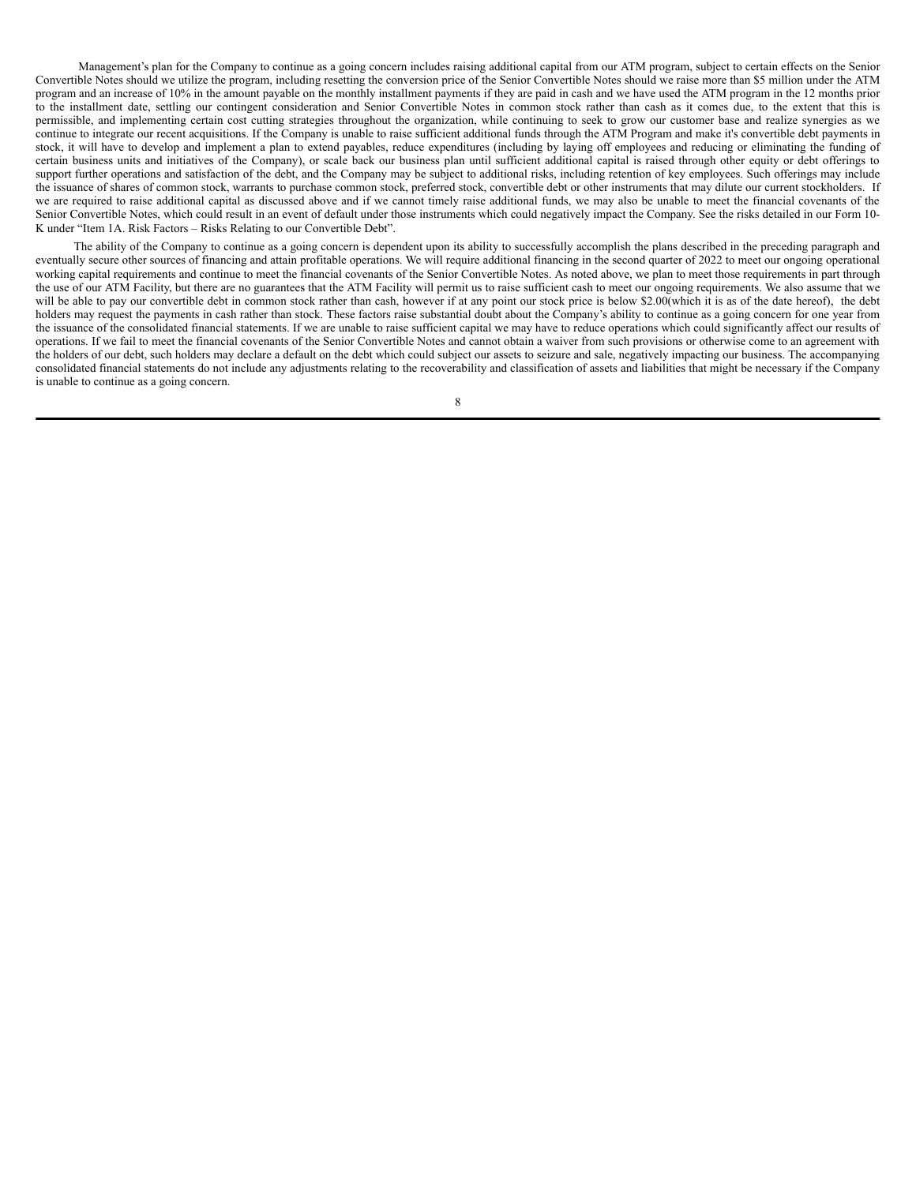Management's plan for the Company to continue as a going concern includes raising additional capital from our ATM program, subject to certain effects on the Senior Convertible Notes should we utilize the program, including resetting the conversion price of the Senior Convertible Notes should we raise more than \$5 million under the ATM program and an increase of 10% in the amount payable on the monthly installment payments if they are paid in cash and we have used the ATM program in the 12 months prior to the installment date, settling our contingent consideration and Senior Convertible Notes in common stock rather than cash as it comes due, to the extent that this is permissible, and implementing certain cost cutting strategies throughout the organization, while continuing to seek to grow our customer base and realize synergies as we continue to integrate our recent acquisitions. If the Company is unable to raise sufficient additional funds through the ATM Program and make it's convertible debt payments in stock, it will have to develop and implement a plan to extend payables, reduce expenditures (including by laying off employees and reducing or eliminating the funding of certain business units and initiatives of the Company), or scale back our business plan until sufficient additional capital is raised through other equity or debt offerings to support further operations and satisfaction of the debt, and the Company may be subject to additional risks, including retention of key employees. Such offerings may include the issuance of shares of common stock, warrants to purchase common stock, preferred stock, convertible debt or other instruments that may dilute our current stockholders. If we are required to raise additional capital as discussed above and if we cannot timely raise additional funds, we may also be unable to meet the financial covenants of the Senior Convertible Notes, which could result in an event of default under those instruments which could negatively impact the Company. See the risks detailed in our Form 10- K under "Item 1A. Risk Factors – Risks Relating to our Convertible Debt".

The ability of the Company to continue as a going concern is dependent upon its ability to successfully accomplish the plans described in the preceding paragraph and eventually secure other sources of financing and attain profitable operations. We will require additional financing in the second quarter of 2022 to meet our ongoing operational working capital requirements and continue to meet the financial covenants of the Senior Convertible Notes. As noted above, we plan to meet those requirements in part through the use of our ATM Facility, but there are no guarantees that the ATM Facility will permit us to raise sufficient cash to meet our ongoing requirements. We also assume that we will be able to pay our convertible debt in common stock rather than cash, however if at any point our stock price is below \$2.00(which it is as of the date hereof), the debt holders may request the payments in cash rather than stock. These factors raise substantial doubt about the Company's ability to continue as a going concern for one year from the issuance of the consolidated financial statements. If we are unable to raise sufficient capital we may have to reduce operations which could significantly affect our results of operations. If we fail to meet the financial covenants of the Senior Convertible Notes and cannot obtain a waiver from such provisions or otherwise come to an agreement with the holders of our debt, such holders may declare a default on the debt which could subject our assets to seizure and sale, negatively impacting our business. The accompanying consolidated financial statements do not include any adjustments relating to the recoverability and classification of assets and liabilities that might be necessary if the Company is unable to continue as a going concern.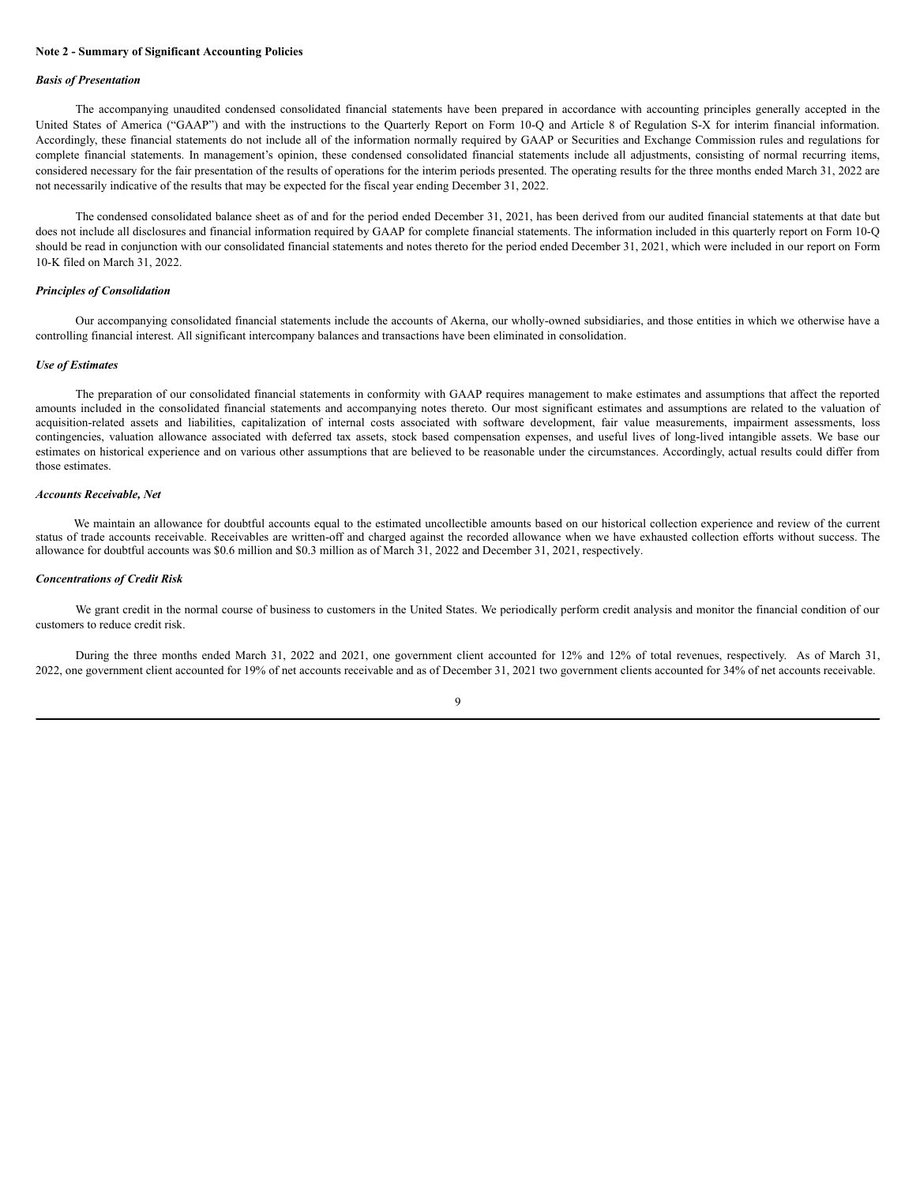### **Note 2 - Summary of Significant Accounting Policies**

### *Basis of Presentation*

The accompanying unaudited condensed consolidated financial statements have been prepared in accordance with accounting principles generally accepted in the United States of America ("GAAP") and with the instructions to the Quarterly Report on Form 10-Q and Article 8 of Regulation S-X for interim financial information. Accordingly, these financial statements do not include all of the information normally required by GAAP or Securities and Exchange Commission rules and regulations for complete financial statements. In management's opinion, these condensed consolidated financial statements include all adjustments, consisting of normal recurring items, considered necessary for the fair presentation of the results of operations for the interim periods presented. The operating results for the three months ended March 31, 2022 are not necessarily indicative of the results that may be expected for the fiscal year ending December 31, 2022.

The condensed consolidated balance sheet as of and for the period ended December 31, 2021, has been derived from our audited financial statements at that date but does not include all disclosures and financial information required by GAAP for complete financial statements. The information included in this quarterly report on Form 10-Q should be read in conjunction with our consolidated financial statements and notes thereto for the period ended December 31, 2021, which were included in our report on Form 10-K filed on March 31, 2022.

#### *Principles of Consolidation*

Our accompanying consolidated financial statements include the accounts of Akerna, our wholly-owned subsidiaries, and those entities in which we otherwise have a controlling financial interest. All significant intercompany balances and transactions have been eliminated in consolidation.

### *Use of Estimates*

The preparation of our consolidated financial statements in conformity with GAAP requires management to make estimates and assumptions that affect the reported amounts included in the consolidated financial statements and accompanying notes thereto. Our most significant estimates and assumptions are related to the valuation of acquisition-related assets and liabilities, capitalization of internal costs associated with software development, fair value measurements, impairment assessments, loss contingencies, valuation allowance associated with deferred tax assets, stock based compensation expenses, and useful lives of long-lived intangible assets. We base our estimates on historical experience and on various other assumptions that are believed to be reasonable under the circumstances. Accordingly, actual results could differ from those estimates.

### *Accounts Receivable, Net*

We maintain an allowance for doubtful accounts equal to the estimated uncollectible amounts based on our historical collection experience and review of the current status of trade accounts receivable. Receivables are written-off and charged against the recorded allowance when we have exhausted collection efforts without success. The allowance for doubtful accounts was \$0.6 million and \$0.3 million as of March 31, 2022 and December 31, 2021, respectively.

### *Concentrations of Credit Risk*

We grant credit in the normal course of business to customers in the United States. We periodically perform credit analysis and monitor the financial condition of our customers to reduce credit risk.

During the three months ended March 31, 2022 and 2021, one government client accounted for 12% and 12% of total revenues, respectively. As of March 31, 2022, one government client accounted for 19% of net accounts receivable and as of December 31, 2021 two government clients accounted for 34% of net accounts receivable.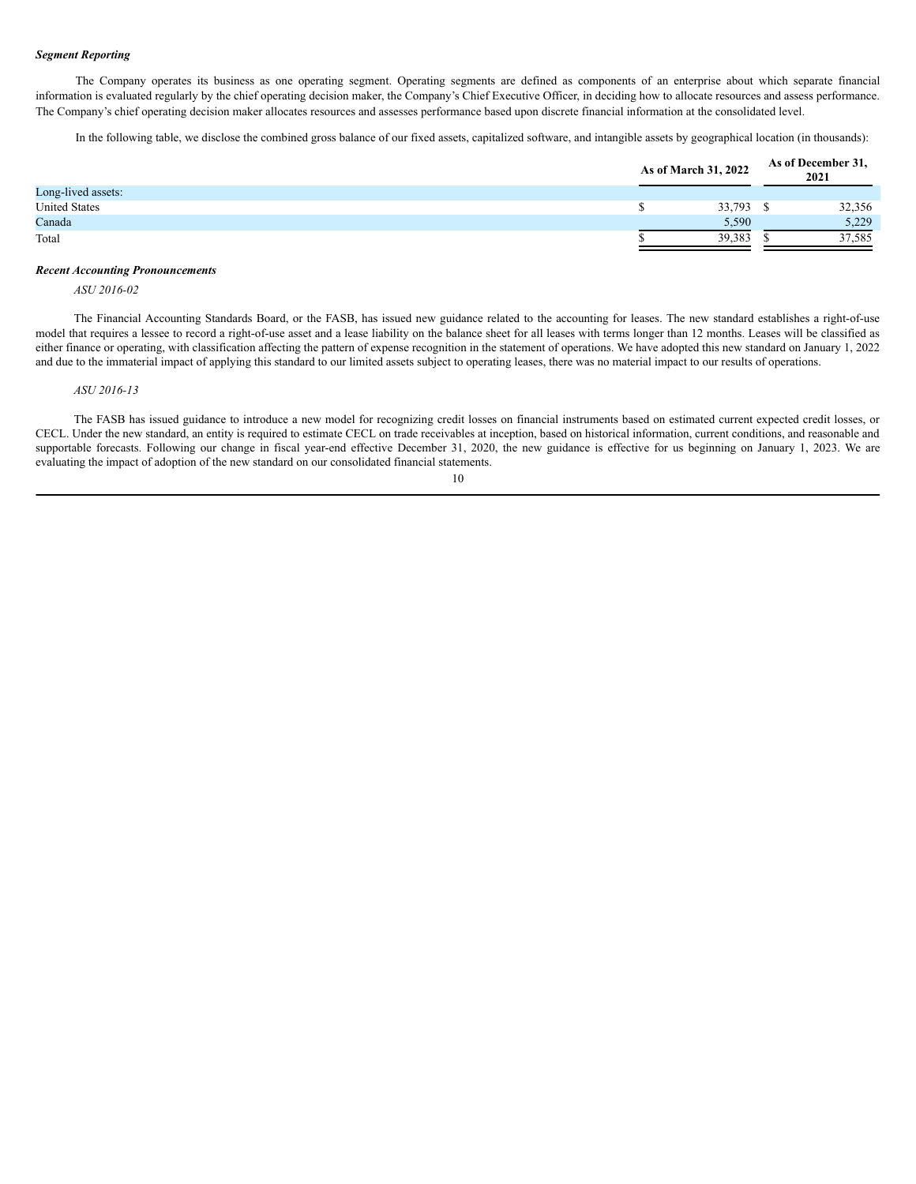## *Segment Reporting*

The Company operates its business as one operating segment. Operating segments are defined as components of an enterprise about which separate financial information is evaluated regularly by the chief operating decision maker, the Company's Chief Executive Officer, in deciding how to allocate resources and assess performance. The Company's chief operating decision maker allocates resources and assesses performance based upon discrete financial information at the consolidated level.

In the following table, we disclose the combined gross balance of our fixed assets, capitalized software, and intangible assets by geographical location (in thousands):

|                      | As of March 31, 2022 | As of December 31,<br>2021 |        |  |
|----------------------|----------------------|----------------------------|--------|--|
| Long-lived assets:   |                      |                            |        |  |
| <b>United States</b> | 33,793               |                            | 32,356 |  |
| Canada               | 5,590                |                            | 5,229  |  |
| Total                | 39.383               |                            | 37,585 |  |

### *Recent Accounting Pronouncements*

*ASU 2016-02*

The Financial Accounting Standards Board, or the FASB, has issued new guidance related to the accounting for leases. The new standard establishes a right-of-use model that requires a lessee to record a right-of-use asset and a lease liability on the balance sheet for all leases with terms longer than 12 months. Leases will be classified as either finance or operating, with classification affecting the pattern of expense recognition in the statement of operations. We have adopted this new standard on January 1, 2022 and due to the immaterial impact of applying this standard to our limited assets subject to operating leases, there was no material impact to our results of operations.

## *ASU 2016-13*

The FASB has issued guidance to introduce a new model for recognizing credit losses on financial instruments based on estimated current expected credit losses, or CECL. Under the new standard, an entity is required to estimate CECL on trade receivables at inception, based on historical information, current conditions, and reasonable and supportable forecasts. Following our change in fiscal year-end effective December 31, 2020, the new guidance is effective for us beginning on January 1, 2023. We are evaluating the impact of adoption of the new standard on our consolidated financial statements.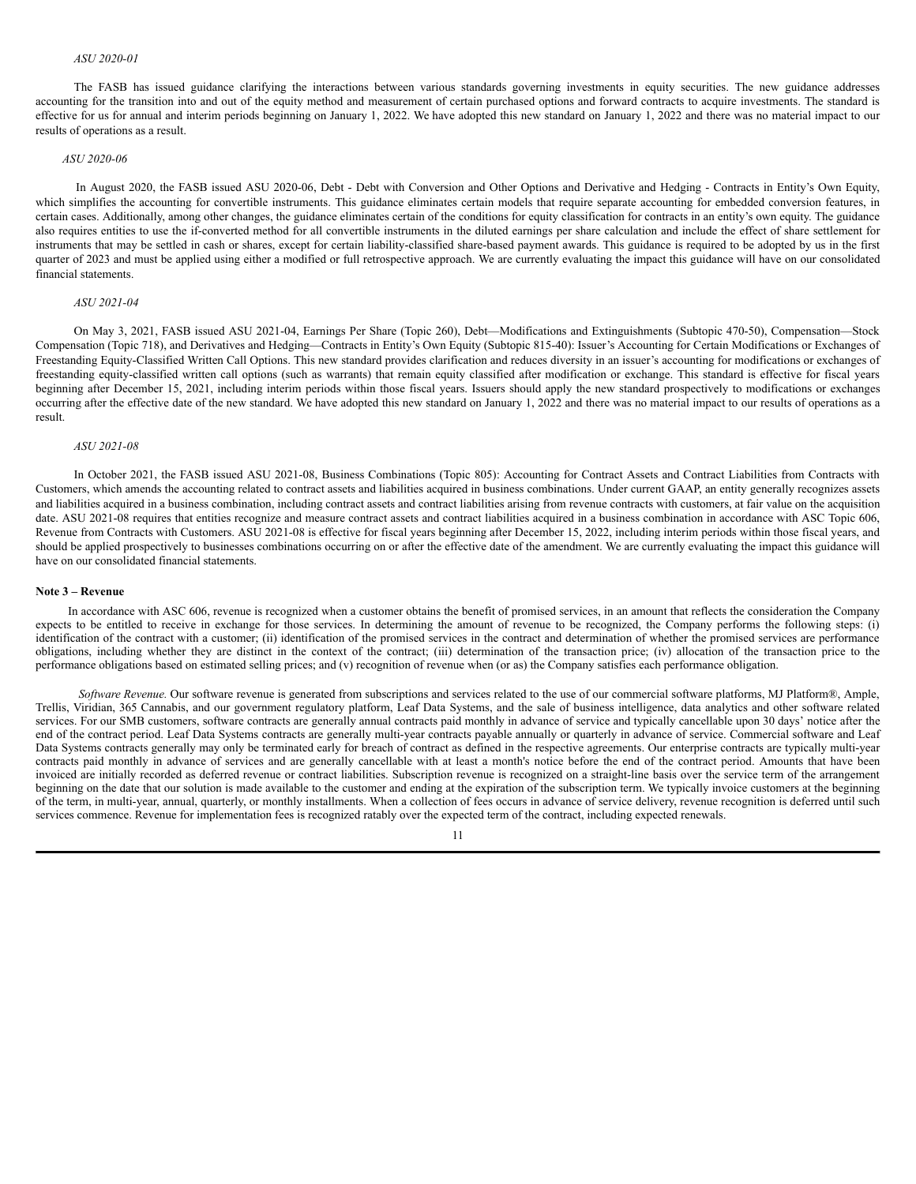### *ASU 2020-01*

The FASB has issued guidance clarifying the interactions between various standards governing investments in equity securities. The new guidance addresses accounting for the transition into and out of the equity method and measurement of certain purchased options and forward contracts to acquire investments. The standard is effective for us for annual and interim periods beginning on January 1, 2022. We have adopted this new standard on January 1, 2022 and there was no material impact to our results of operations as a result.

#### *ASU 2020-06*

In August 2020, the FASB issued ASU 2020-06, Debt - Debt with Conversion and Other Options and Derivative and Hedging - Contracts in Entity's Own Equity, which simplifies the accounting for convertible instruments. This guidance eliminates certain models that require separate accounting for embedded conversion features, in certain cases. Additionally, among other changes, the guidance eliminates certain of the conditions for equity classification for contracts in an entity's own equity. The guidance also requires entities to use the if-converted method for all convertible instruments in the diluted earnings per share calculation and include the effect of share settlement for instruments that may be settled in cash or shares, except for certain liability-classified share-based payment awards. This guidance is required to be adopted by us in the first quarter of 2023 and must be applied using either a modified or full retrospective approach. We are currently evaluating the impact this guidance will have on our consolidated financial statements.

### *ASU 2021-04*

On May 3, 2021, FASB issued ASU 2021-04, Earnings Per Share (Topic 260), Debt—Modifications and Extinguishments (Subtopic 470-50), Compensation—Stock Compensation (Topic 718), and Derivatives and Hedging—Contracts in Entity's Own Equity (Subtopic 815-40): Issuer's Accounting for Certain Modifications or Exchanges of Freestanding Equity-Classified Written Call Options. This new standard provides clarification and reduces diversity in an issuer's accounting for modifications or exchanges of freestanding equity-classified written call options (such as warrants) that remain equity classified after modification or exchange. This standard is effective for fiscal years beginning after December 15, 2021, including interim periods within those fiscal years. Issuers should apply the new standard prospectively to modifications or exchanges occurring after the effective date of the new standard. We have adopted this new standard on January 1, 2022 and there was no material impact to our results of operations as a result.

#### *ASU 2021-08*

In October 2021, the FASB issued ASU 2021-08, Business Combinations (Topic 805): Accounting for Contract Assets and Contract Liabilities from Contracts with Customers, which amends the accounting related to contract assets and liabilities acquired in business combinations. Under current GAAP, an entity generally recognizes assets and liabilities acquired in a business combination, including contract assets and contract liabilities arising from revenue contracts with customers, at fair value on the acquisition date. ASU 2021-08 requires that entities recognize and measure contract assets and contract liabilities acquired in a business combination in accordance with ASC Topic 606, Revenue from Contracts with Customers. ASU 2021-08 is effective for fiscal years beginning after December 15, 2022, including interim periods within those fiscal years, and should be applied prospectively to businesses combinations occurring on or after the effective date of the amendment. We are currently evaluating the impact this guidance will have on our consolidated financial statements.

#### **Note 3 – Revenue**

In accordance with ASC 606, revenue is recognized when a customer obtains the benefit of promised services, in an amount that reflects the consideration the Company expects to be entitled to receive in exchange for those services. In determining the amount of revenue to be recognized, the Company performs the following steps: (i) identification of the contract with a customer; (ii) identification of the promised services in the contract and determination of whether the promised services are performance obligations, including whether they are distinct in the context of the contract; (iii) determination of the transaction price; (iv) allocation of the transaction price to the performance obligations based on estimated selling prices; and (v) recognition of revenue when (or as) the Company satisfies each performance obligation.

*Software Revenue.* Our software revenue is generated from subscriptions and services related to the use of our commercial software platforms, MJ Platform®, Ample, Trellis, Viridian, 365 Cannabis, and our government regulatory platform, Leaf Data Systems, and the sale of business intelligence, data analytics and other software related services. For our SMB customers, software contracts are generally annual contracts paid monthly in advance of service and typically cancellable upon 30 days' notice after the end of the contract period. Leaf Data Systems contracts are generally multi-year contracts payable annually or quarterly in advance of service. Commercial software and Leaf Data Systems contracts generally may only be terminated early for breach of contract as defined in the respective agreements. Our enterprise contracts are typically multi-year contracts paid monthly in advance of services and are generally cancellable with at least a month's notice before the end of the contract period. Amounts that have been invoiced are initially recorded as deferred revenue or contract liabilities. Subscription revenue is recognized on a straight-line basis over the service term of the arrangement beginning on the date that our solution is made available to the customer and ending at the expiration of the subscription term. We typically invoice customers at the beginning of the term, in multi-year, annual, quarterly, or monthly installments. When a collection of fees occurs in advance of service delivery, revenue recognition is deferred until such services commence. Revenue for implementation fees is recognized ratably over the expected term of the contract, including expected renewals.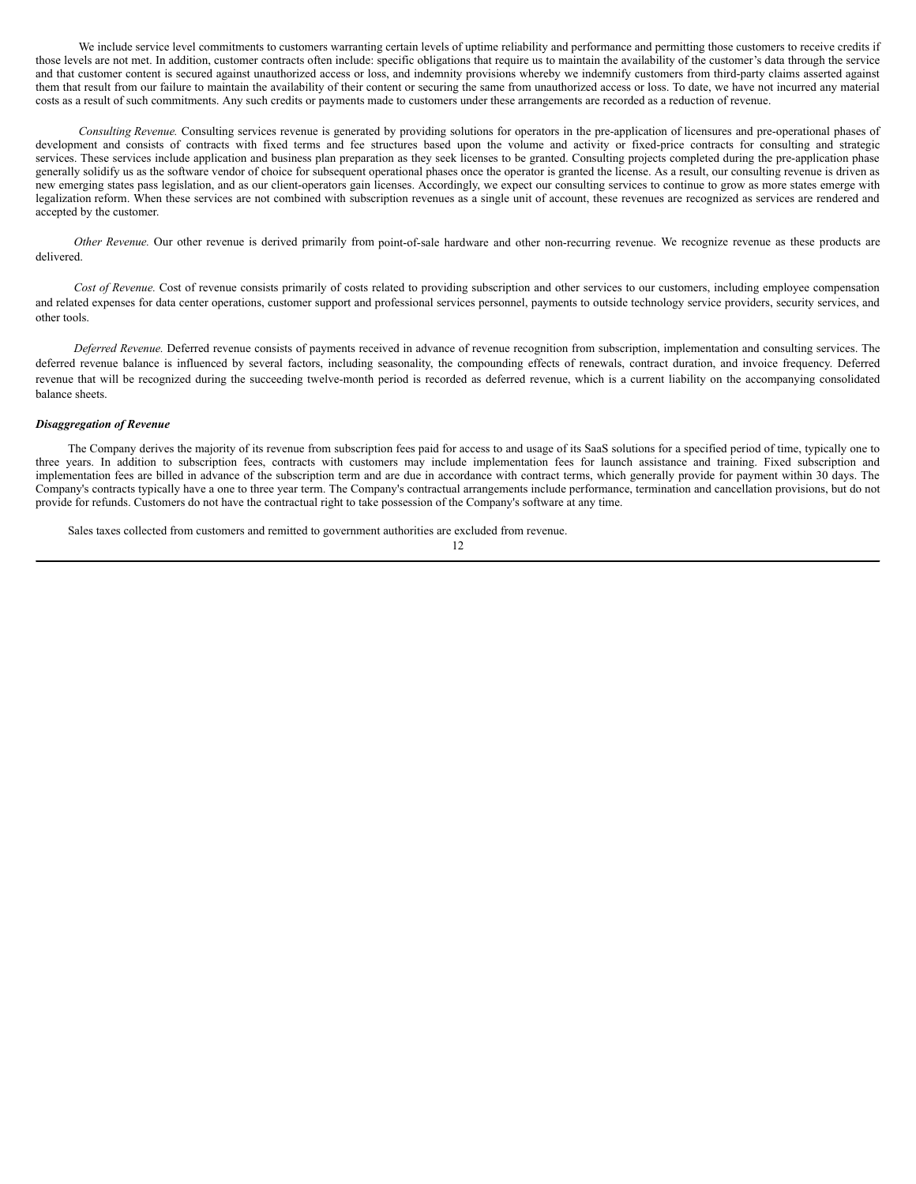We include service level commitments to customers warranting certain levels of uptime reliability and performance and permitting those customers to receive credits if those levels are not met. In addition, customer contracts often include: specific obligations that require us to maintain the availability of the customer's data through the service and that customer content is secured against unauthorized access or loss, and indemnity provisions whereby we indemnify customers from third-party claims asserted against them that result from our failure to maintain the availability of their content or securing the same from unauthorized access or loss. To date, we have not incurred any material costs as a result of such commitments. Any such credits or payments made to customers under these arrangements are recorded as a reduction of revenue.

*Consulting Revenue.* Consulting services revenue is generated by providing solutions for operators in the pre-application of licensures and pre-operational phases of development and consists of contracts with fixed terms and fee structures based upon the volume and activity or fixed-price contracts for consulting and strategic services. These services include application and business plan preparation as they seek licenses to be granted. Consulting projects completed during the pre-application phase generally solidify us as the software vendor of choice for subsequent operational phases once the operator is granted the license. As a result, our consulting revenue is driven as new emerging states pass legislation, and as our client-operators gain licenses. Accordingly, we expect our consulting services to continue to grow as more states emerge with legalization reform. When these services are not combined with subscription revenues as a single unit of account, these revenues are recognized as services are rendered and accepted by the customer.

Other Revenue. Our other revenue is derived primarily from point-of-sale hardware and other non-recurring revenue. We recognize revenue as these products are delivered.

*Cost of Revenue.* Cost of revenue consists primarily of costs related to providing subscription and other services to our customers, including employee compensation and related expenses for data center operations, customer support and professional services personnel, payments to outside technology service providers, security services, and other tools.

*Deferred Revenue.* Deferred revenue consists of payments received in advance of revenue recognition from subscription, implementation and consulting services. The deferred revenue balance is influenced by several factors, including seasonality, the compounding effects of renewals, contract duration, and invoice frequency. Deferred revenue that will be recognized during the succeeding twelve-month period is recorded as deferred revenue, which is a current liability on the accompanying consolidated balance sheets.

#### *Disaggregation of Revenue*

The Company derives the majority of its revenue from subscription fees paid for access to and usage of its SaaS solutions for a specified period of time, typically one to three years. In addition to subscription fees, contracts with customers may include implementation fees for launch assistance and training. Fixed subscription and implementation fees are billed in advance of the subscription term and are due in accordance with contract terms, which generally provide for payment within 30 days. The Company's contracts typically have a one to three year term. The Company's contractual arrangements include performance, termination and cancellation provisions, but do not provide for refunds. Customers do not have the contractual right to take possession of the Company's software at any time.

Sales taxes collected from customers and remitted to government authorities are excluded from revenue.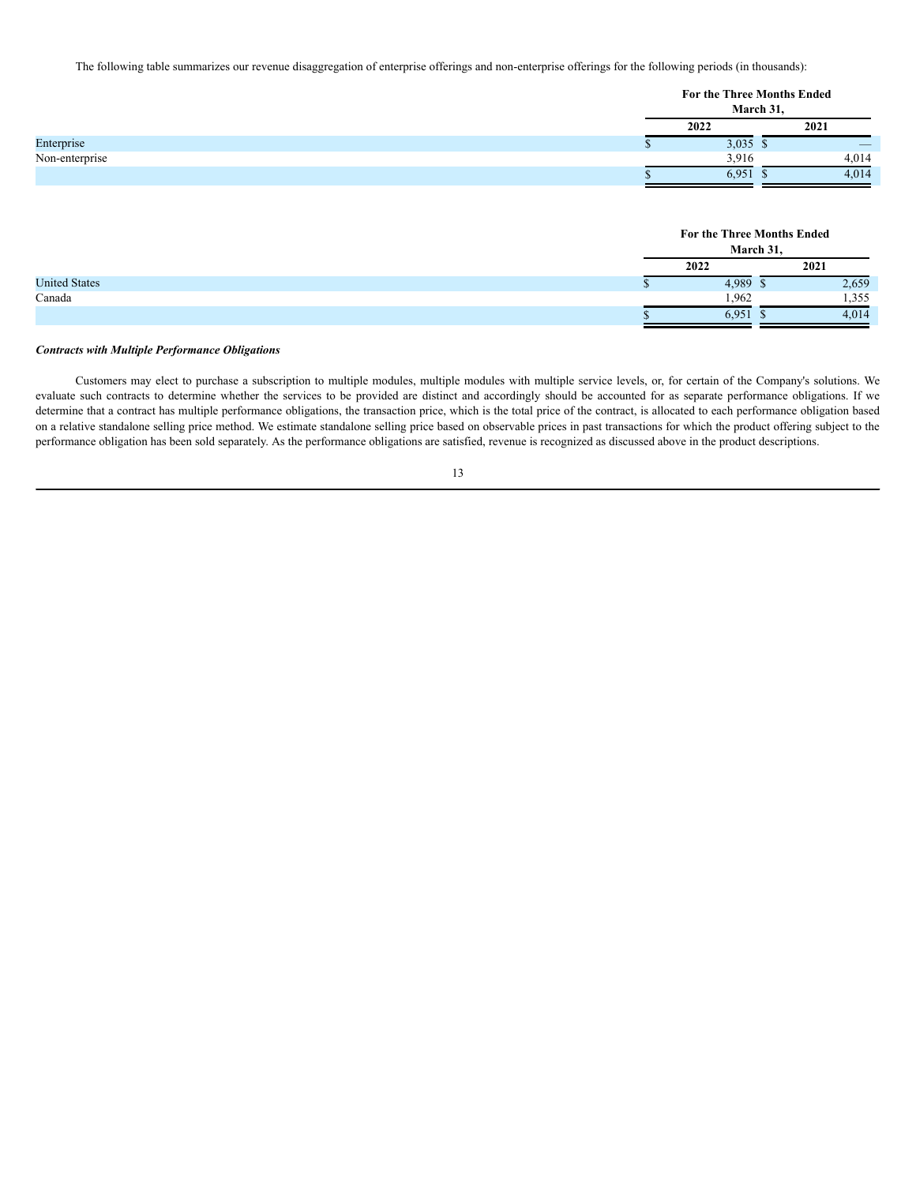The following table summarizes our revenue disaggregation of enterprise offerings and non-enterprise offerings for the following periods (in thousands):

|                | For the Three Months Ended<br>March 31, |       |  |  |
|----------------|-----------------------------------------|-------|--|--|
|                | 2022                                    | 2021  |  |  |
| Enterprise     | $3,035$ \$                              | _     |  |  |
| Non-enterprise | 3,916                                   | 4,014 |  |  |
|                | 6,951                                   | 4,014 |  |  |
|                |                                         |       |  |  |

|                      | For the Three Months Ended<br>March 31, |       |
|----------------------|-----------------------------------------|-------|
|                      | 2022                                    | 2021  |
| <b>United States</b> | 4,989                                   | 2,659 |
| Canada               | 1,962                                   | 1,355 |
|                      | 6,951                                   | 4,014 |

### *Contracts with Multiple Performance Obligations*

Customers may elect to purchase a subscription to multiple modules, multiple modules with multiple service levels, or, for certain of the Company's solutions. We evaluate such contracts to determine whether the services to be provided are distinct and accordingly should be accounted for as separate performance obligations. If we determine that a contract has multiple performance obligations, the transaction price, which is the total price of the contract, is allocated to each performance obligation based on a relative standalone selling price method. We estimate standalone selling price based on observable prices in past transactions for which the product offering subject to the performance obligation has been sold separately. As the performance obligations are satisfied, revenue is recognized as discussed above in the product descriptions.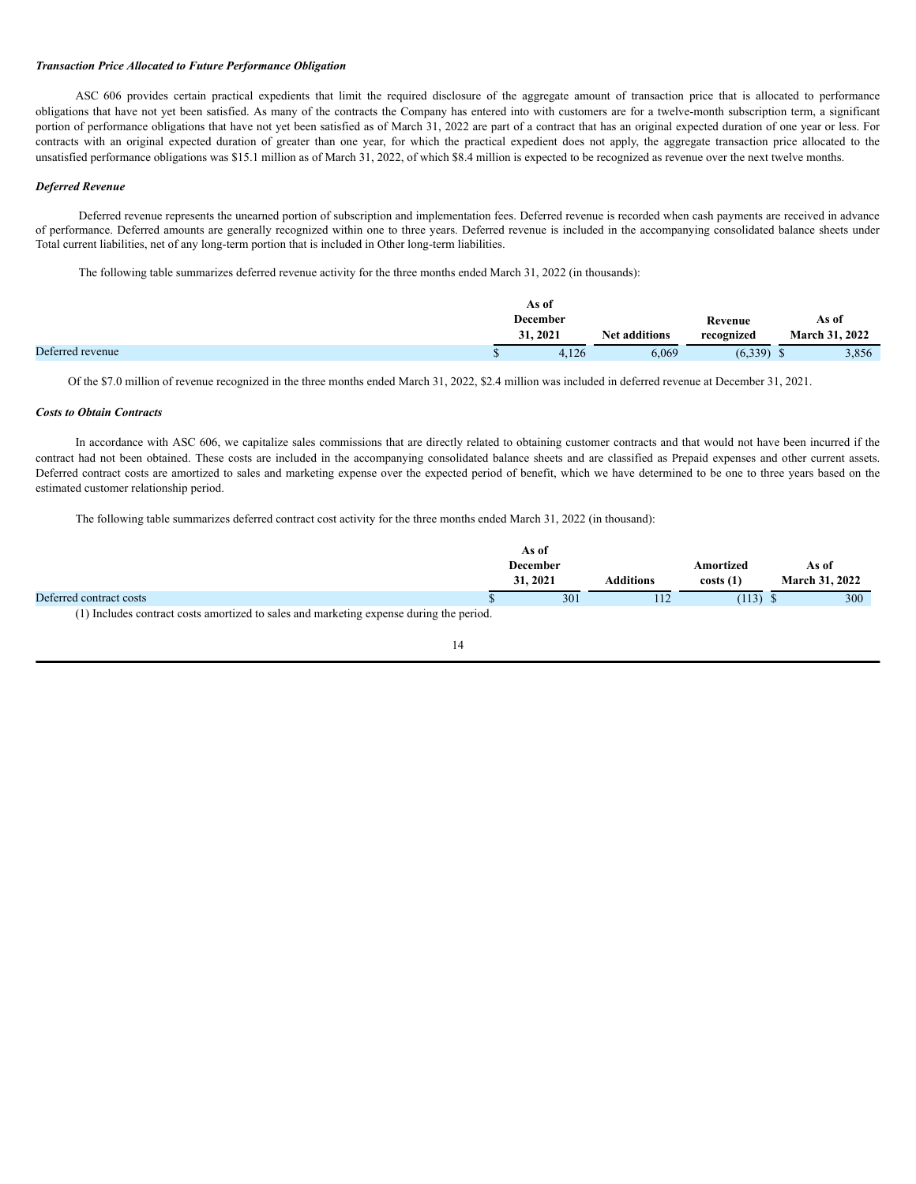### *Transaction Price Allocated to Future Performance Obligation*

ASC 606 provides certain practical expedients that limit the required disclosure of the aggregate amount of transaction price that is allocated to performance obligations that have not yet been satisfied. As many of the contracts the Company has entered into with customers are for a twelve-month subscription term, a significant portion of performance obligations that have not yet been satisfied as of March 31, 2022 are part of a contract that has an original expected duration of one year or less. For contracts with an original expected duration of greater than one year, for which the practical expedient does not apply, the aggregate transaction price allocated to the unsatisfied performance obligations was \$15.1 million as of March 31, 2022, of which \$8.4 million is expected to be recognized as revenue over the next twelve months.

### *Deferred Revenue*

Deferred revenue represents the unearned portion of subscription and implementation fees. Deferred revenue is recorded when cash payments are received in advance of performance. Deferred amounts are generally recognized within one to three years. Deferred revenue is included in the accompanying consolidated balance sheets under Total current liabilities, net of any long-term portion that is included in Other long-term liabilities.

The following table summarizes deferred revenue activity for the three months ended March 31, 2022 (in thousands):

|                  |  | As of    |                      |            |                |  |         |       |
|------------------|--|----------|----------------------|------------|----------------|--|---------|-------|
|                  |  | December |                      |            |                |  | Revenue | As of |
|                  |  | 31, 2021 | <b>Net additions</b> | recognized | March 31, 2022 |  |         |       |
| Deferred revenue |  | 4.126    | 6,069                | (6,339)    | 3,856          |  |         |       |

Of the \$7.0 million of revenue recognized in the three months ended March 31, 2022, \$2.4 million was included in deferred revenue at December 31, 2021.

## *Costs to Obtain Contracts*

In accordance with ASC 606, we capitalize sales commissions that are directly related to obtaining customer contracts and that would not have been incurred if the contract had not been obtained. These costs are included in the accompanying consolidated balance sheets and are classified as Prepaid expenses and other current assets. Deferred contract costs are amortized to sales and marketing expense over the expected period of benefit, which we have determined to be one to three years based on the estimated customer relationship period.

The following table summarizes deferred contract cost activity for the three months ended March 31, 2022 (in thousand):

|                                                                                         | As of           |                  |           |                       |
|-----------------------------------------------------------------------------------------|-----------------|------------------|-----------|-----------------------|
|                                                                                         | <b>December</b> |                  | Amortized | As of                 |
|                                                                                         | 31, 2021        | <b>Additions</b> | costs(1)  | <b>March 31, 2022</b> |
| Deferred contract costs                                                                 | 301             | 112              | (113)     | 300                   |
| (1) Includes contract costs amortized to sales and marketing expense during the period. |                 |                  |           |                       |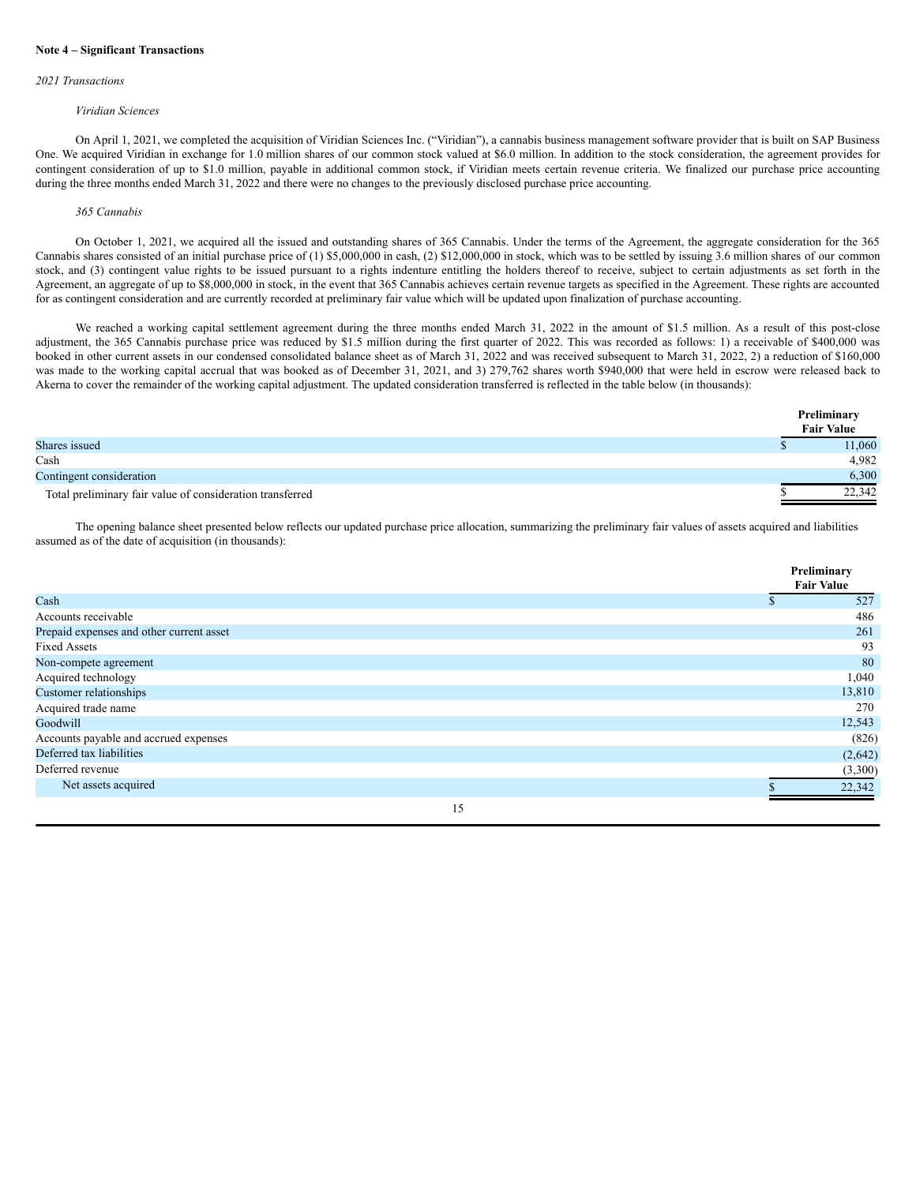## **Note 4 – Significant Transactions**

### *2021 Transactions*

### *Viridian Sciences*

On April 1, 2021, we completed the acquisition of Viridian Sciences Inc. ("Viridian"), a cannabis business management software provider that is built on SAP Business One. We acquired Viridian in exchange for 1.0 million shares of our common stock valued at \$6.0 million. In addition to the stock consideration, the agreement provides for contingent consideration of up to \$1.0 million, payable in additional common stock, if Viridian meets certain revenue criteria. We finalized our purchase price accounting during the three months ended March 31, 2022 and there were no changes to the previously disclosed purchase price accounting.

### *365 Cannabis*

On October 1, 2021, we acquired all the issued and outstanding shares of 365 Cannabis. Under the terms of the Agreement, the aggregate consideration for the 365 Cannabis shares consisted of an initial purchase price of (1) \$5,000,000 in cash, (2) \$12,000,000 in stock, which was to be settled by issuing 3.6 million shares of our common stock, and (3) contingent value rights to be issued pursuant to a rights indenture entitling the holders thereof to receive, subject to certain adjustments as set forth in the Agreement, an aggregate of up to \$8,000,000 in stock, in the event that 365 Cannabis achieves certain revenue targets as specified in the Agreement. These rights are accounted for as contingent consideration and are currently recorded at preliminary fair value which will be updated upon finalization of purchase accounting.

We reached a working capital settlement agreement during the three months ended March 31, 2022 in the amount of \$1.5 million. As a result of this post-close adjustment, the 365 Cannabis purchase price was reduced by \$1.5 million during the first quarter of 2022. This was recorded as follows: 1) a receivable of \$400,000 was booked in other current assets in our condensed consolidated balance sheet as of March 31, 2022 and was received subsequent to March 31, 2022, 2) a reduction of \$160,000 was made to the working capital accrual that was booked as of December 31, 2021, and 3) 279,762 shares worth \$940,000 that were held in escrow were released back to Akerna to cover the remainder of the working capital adjustment. The updated consideration transferred is reflected in the table below (in thousands):

|                                                           | Preliminary       |
|-----------------------------------------------------------|-------------------|
|                                                           | <b>Fair Value</b> |
| Shares issued                                             | 11,060            |
| Cash                                                      | 4,982             |
| Contingent consideration                                  | 6,300             |
| Total preliminary fair value of consideration transferred | 22.342            |

The opening balance sheet presented below reflects our updated purchase price allocation, summarizing the preliminary fair values of assets acquired and liabilities assumed as of the date of acquisition (in thousands):

|                                          | Preliminary<br><b>Fair Value</b> |
|------------------------------------------|----------------------------------|
| Cash                                     | 527<br>Ф                         |
| Accounts receivable                      | 486                              |
| Prepaid expenses and other current asset | 261                              |
| <b>Fixed Assets</b>                      | 93                               |
| Non-compete agreement                    | 80                               |
| Acquired technology                      | 1,040                            |
| Customer relationships                   | 13,810                           |
| Acquired trade name                      | 270                              |
| Goodwill                                 | 12,543                           |
| Accounts payable and accrued expenses    | (826)                            |
| Deferred tax liabilities                 | (2,642)                          |
| Deferred revenue                         | (3,300)                          |
| Net assets acquired                      | 22,342                           |
| 15                                       |                                  |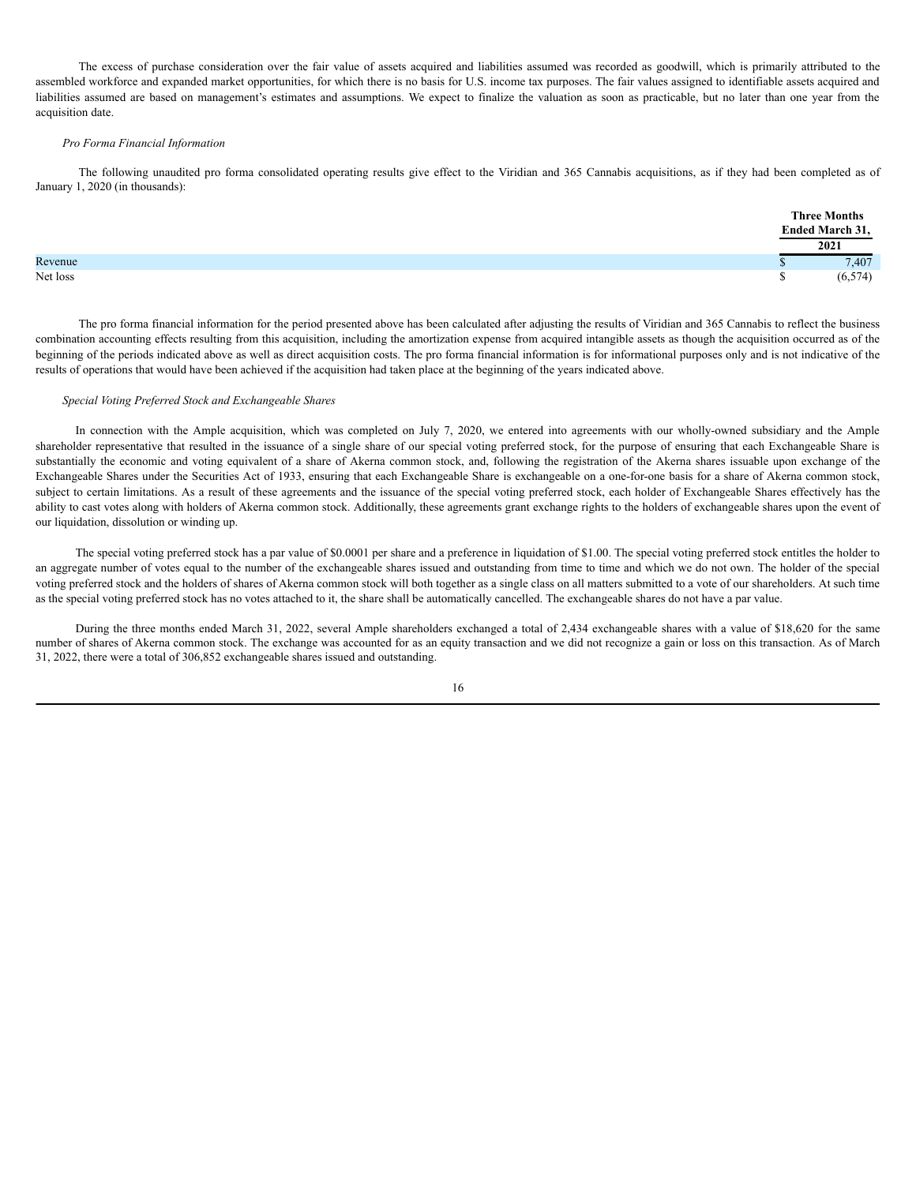The excess of purchase consideration over the fair value of assets acquired and liabilities assumed was recorded as goodwill, which is primarily attributed to the assembled workforce and expanded market opportunities, for which there is no basis for U.S. income tax purposes. The fair values assigned to identifiable assets acquired and liabilities assumed are based on management's estimates and assumptions. We expect to finalize the valuation as soon as practicable, but no later than one year from the acquisition date.

### *Pro Forma Financial Information*

The following unaudited pro forma consolidated operating results give effect to the Viridian and 365 Cannabis acquisitions, as if they had been completed as of January 1, 2020 (in thousands):

|          |    | <b>Three Months</b><br>Ended March 31, |
|----------|----|----------------------------------------|
|          |    | 2021                                   |
| Revenue  | ъĐ | 7,407                                  |
| Net loss |    | (6, 574)                               |

The pro forma financial information for the period presented above has been calculated after adjusting the results of Viridian and 365 Cannabis to reflect the business combination accounting effects resulting from this acquisition, including the amortization expense from acquired intangible assets as though the acquisition occurred as of the beginning of the periods indicated above as well as direct acquisition costs. The pro forma financial information is for informational purposes only and is not indicative of the results of operations that would have been achieved if the acquisition had taken place at the beginning of the years indicated above.

### *Special Voting Preferred Stock and Exchangeable Shares*

In connection with the Ample acquisition, which was completed on July 7, 2020, we entered into agreements with our wholly-owned subsidiary and the Ample shareholder representative that resulted in the issuance of a single share of our special voting preferred stock, for the purpose of ensuring that each Exchangeable Share is substantially the economic and voting equivalent of a share of Akerna common stock, and, following the registration of the Akerna shares issuable upon exchange of the Exchangeable Shares under the Securities Act of 1933, ensuring that each Exchangeable Share is exchangeable on a one-for-one basis for a share of Akerna common stock, subject to certain limitations. As a result of these agreements and the issuance of the special voting preferred stock, each holder of Exchangeable Shares effectively has the ability to cast votes along with holders of Akerna common stock. Additionally, these agreements grant exchange rights to the holders of exchangeable shares upon the event of our liquidation, dissolution or winding up.

The special voting preferred stock has a par value of \$0.0001 per share and a preference in liquidation of \$1.00. The special voting preferred stock entitles the holder to an aggregate number of votes equal to the number of the exchangeable shares issued and outstanding from time to time and which we do not own. The holder of the special voting preferred stock and the holders of shares of Akerna common stock will both together as a single class on all matters submitted to a vote of our shareholders. At such time as the special voting preferred stock has no votes attached to it, the share shall be automatically cancelled. The exchangeable shares do not have a par value.

During the three months ended March 31, 2022, several Ample shareholders exchanged a total of 2.434 exchangeable shares with a value of \$18,620 for the same number of shares of Akerna common stock. The exchange was accounted for as an equity transaction and we did not recognize a gain or loss on this transaction. As of March 31, 2022, there were a total of 306,852 exchangeable shares issued and outstanding.

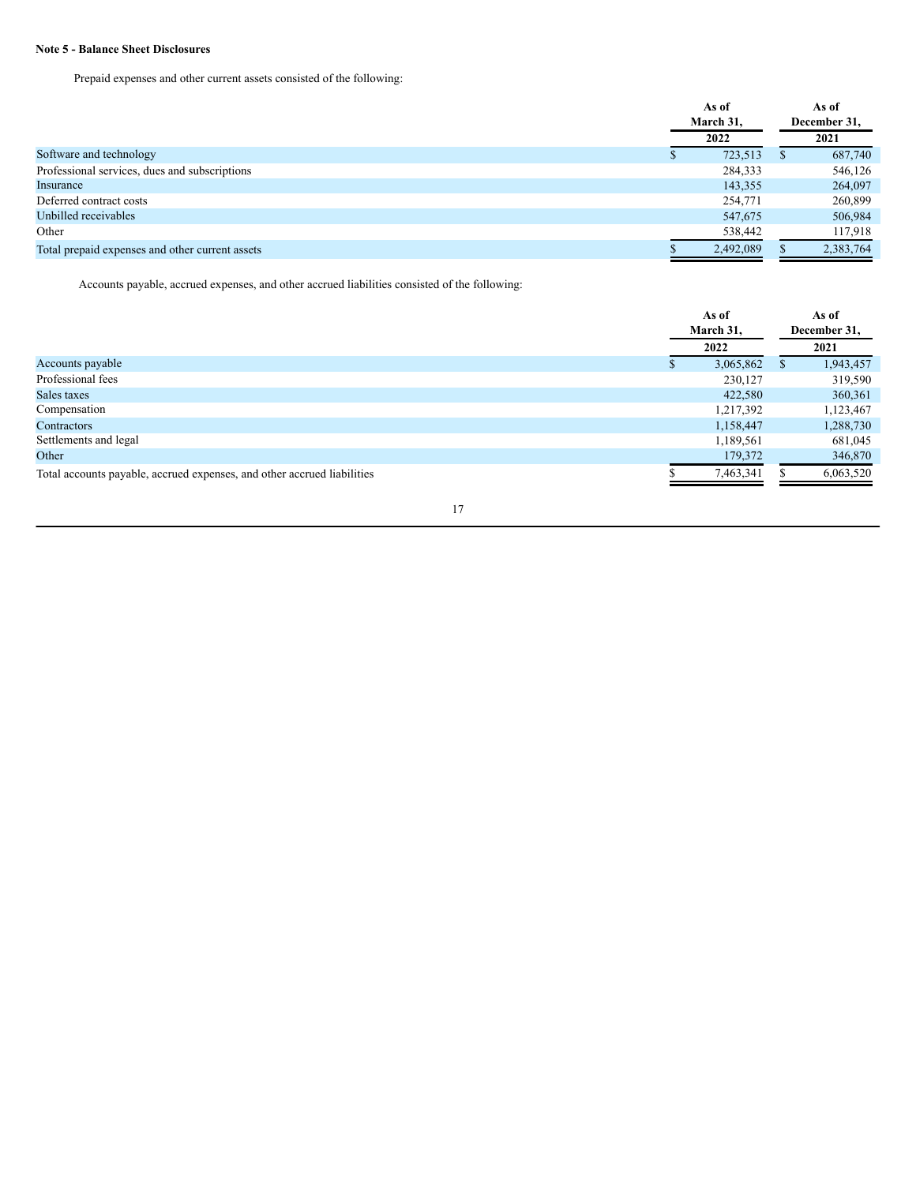# **Note 5 - Balance Sheet Disclosures**

Prepaid expenses and other current assets consisted of the following:

|                                                 |  | As of<br>March 31, |   | As of     |  |  |  |  |  |  |  |  |  |  |  |  |  |  |
|-------------------------------------------------|--|--------------------|---|-----------|--|--|--|--|--|--|--|--|--|--|--|--|--|--|
|                                                 |  |                    |   |           |  |  |  |  |  |  |  |  |  |  |  |  |  |  |
|                                                 |  | 2022               |   | 2021      |  |  |  |  |  |  |  |  |  |  |  |  |  |  |
| Software and technology                         |  | 723,513            | ъ | 687,740   |  |  |  |  |  |  |  |  |  |  |  |  |  |  |
| Professional services, dues and subscriptions   |  | 284,333            |   | 546,126   |  |  |  |  |  |  |  |  |  |  |  |  |  |  |
| Insurance                                       |  | 143,355            |   | 264,097   |  |  |  |  |  |  |  |  |  |  |  |  |  |  |
| Deferred contract costs                         |  | 254,771            |   | 260,899   |  |  |  |  |  |  |  |  |  |  |  |  |  |  |
| Unbilled receivables                            |  | 547,675            |   | 506,984   |  |  |  |  |  |  |  |  |  |  |  |  |  |  |
| Other                                           |  | 538,442            |   | 117,918   |  |  |  |  |  |  |  |  |  |  |  |  |  |  |
| Total prepaid expenses and other current assets |  | 2,492,089          |   | 2,383,764 |  |  |  |  |  |  |  |  |  |  |  |  |  |  |
|                                                 |  |                    |   |           |  |  |  |  |  |  |  |  |  |  |  |  |  |  |

Accounts payable, accrued expenses, and other accrued liabilities consisted of the following:

|                                                                         |  | As of<br>March 31, |   | As of<br>December 31, |  |
|-------------------------------------------------------------------------|--|--------------------|---|-----------------------|--|
|                                                                         |  | 2022               |   | 2021                  |  |
| Accounts payable                                                        |  | 3,065,862          | S | 1,943,457             |  |
| Professional fees                                                       |  | 230,127            |   | 319,590               |  |
| Sales taxes                                                             |  | 422,580            |   | 360,361               |  |
| Compensation                                                            |  | 1,217,392          |   | 1,123,467             |  |
| Contractors                                                             |  | 1,158,447          |   | 1,288,730             |  |
| Settlements and legal                                                   |  | 1,189,561          |   | 681,045               |  |
| Other                                                                   |  | 179,372            |   | 346,870               |  |
| Total accounts payable, accrued expenses, and other accrued liabilities |  | 7,463,341          |   | 6,063,520             |  |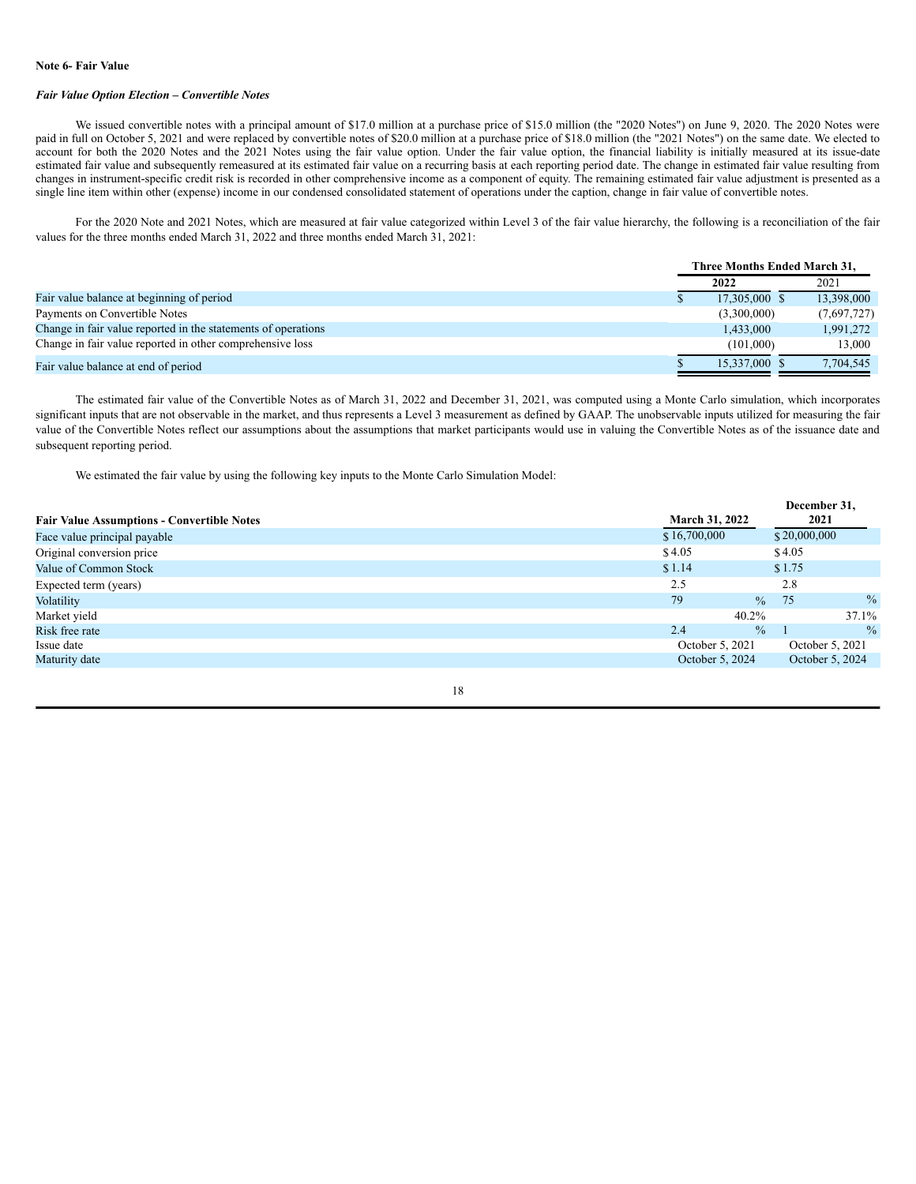## *Fair Value Option Election – Convertible Notes*

We issued convertible notes with a principal amount of \$17.0 million at a purchase price of \$15.0 million (the "2020 Notes") on June 9, 2020. The 2020 Notes were paid in full on October 5, 2021 and were replaced by convertible notes of \$20.0 million at a purchase price of \$18.0 million (the "2021 Notes") on the same date. We elected to account for both the 2020 Notes and the 2021 Notes using the fair value option. Under the fair value option, the financial liability is initially measured at its issue-date estimated fair value and subsequently remeasured at its estimated fair value on a recurring basis at each reporting period date. The change in estimated fair value resulting from changes in instrument-specific credit risk is recorded in other comprehensive income as a component of equity. The remaining estimated fair value adjustment is presented as a single line item within other (expense) income in our condensed consolidated statement of operations under the caption, change in fair value of convertible notes.

For the 2020 Note and 2021 Notes, which are measured at fair value categorized within Level 3 of the fair value hierarchy, the following is a reconciliation of the fair values for the three months ended March 31, 2022 and three months ended March 31, 2021:

|                                                               | <b>Three Months Ended March 31.</b> |  |             |
|---------------------------------------------------------------|-------------------------------------|--|-------------|
|                                                               | 2022                                |  | 2021        |
| Fair value balance at beginning of period                     | 17,305,000 \$                       |  | 13,398,000  |
| Payments on Convertible Notes                                 | (3,300,000)                         |  | (7,697,727) |
| Change in fair value reported in the statements of operations | 1.433,000                           |  | 1,991,272   |
| Change in fair value reported in other comprehensive loss     | (101.000)                           |  | 13.000      |
| Fair value balance at end of period                           | 15.337,000 \$                       |  | 7,704,545   |

The estimated fair value of the Convertible Notes as of March 31, 2022 and December 31, 2021, was computed using a Monte Carlo simulation, which incorporates significant inputs that are not observable in the market, and thus represents a Level 3 measurement as defined by GAAP. The unobservable inputs utilized for measuring the fair value of the Convertible Notes reflect our assumptions about the assumptions that market participants would use in valuing the Convertible Notes as of the issuance date and subsequent reporting period.

We estimated the fair value by using the following key inputs to the Monte Carlo Simulation Model:

| <b>Fair Value Assumptions - Convertible Notes</b> | <b>March 31, 2022</b> |               | December 31,<br>2021 |               |
|---------------------------------------------------|-----------------------|---------------|----------------------|---------------|
| Face value principal payable                      | \$16,700,000          |               | \$20,000,000         |               |
| Original conversion price                         | \$4.05                |               | \$4.05               |               |
| Value of Common Stock                             | \$1.14                |               | \$1.75               |               |
| Expected term (years)                             | 2.5                   |               | 2.8                  |               |
| Volatility                                        | 79                    | $\frac{0}{0}$ | -75                  | $\%$          |
| Market yield                                      |                       | $40.2\%$      |                      | 37.1%         |
| Risk free rate                                    | 2.4                   | $\frac{0}{0}$ |                      | $\frac{0}{0}$ |
| Issue date                                        | October 5, 2021       |               | October 5, 2021      |               |
| Maturity date                                     | October 5, 2024       |               | October 5, 2024      |               |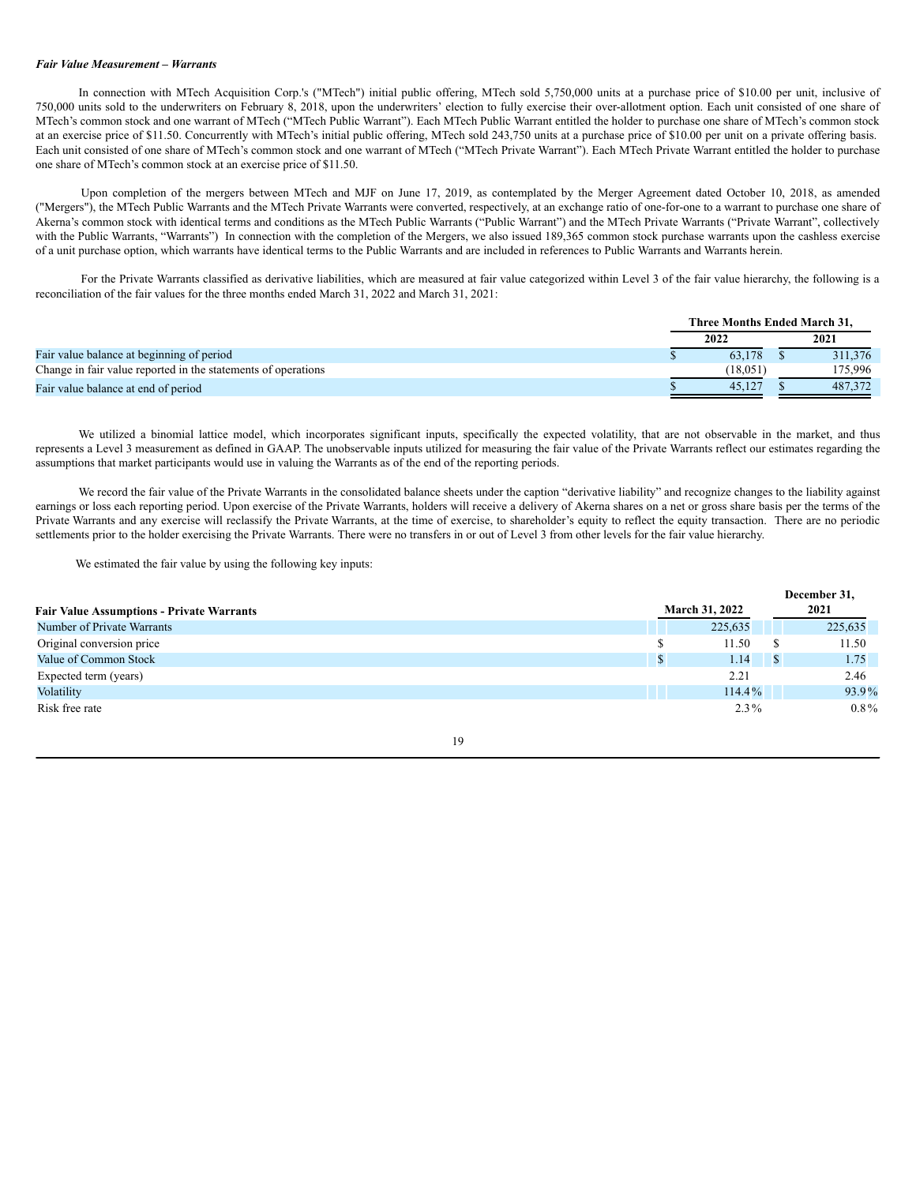## *Fair Value Measurement – Warrants*

In connection with MTech Acquisition Corp.'s ("MTech") initial public offering, MTech sold 5,750,000 units at a purchase price of \$10.00 per unit, inclusive of 750,000 units sold to the underwriters on February 8, 2018, upon the underwriters' election to fully exercise their over-allotment option. Each unit consisted of one share of MTech's common stock and one warrant of MTech ("MTech Public Warrant"). Each MTech Public Warrant entitled the holder to purchase one share of MTech's common stock at an exercise price of \$11.50. Concurrently with MTech's initial public offering, MTech sold 243,750 units at a purchase price of \$10.00 per unit on a private offering basis. Each unit consisted of one share of MTech's common stock and one warrant of MTech ("MTech Private Warrant"). Each MTech Private Warrant entitled the holder to purchase one share of MTech's common stock at an exercise price of \$11.50.

Upon completion of the mergers between MTech and MJF on June 17, 2019, as contemplated by the Merger Agreement dated October 10, 2018, as amended ("Mergers"), the MTech Public Warrants and the MTech Private Warrants were converted, respectively, at an exchange ratio of one-for-one to a warrant to purchase one share of Akerna's common stock with identical terms and conditions as the MTech Public Warrants ("Public Warrant") and the MTech Private Warrants ("Private Warrant", collectively with the Public Warrants, "Warrants") In connection with the completion of the Mergers, we also issued 189,365 common stock purchase warrants upon the cashless exercise of a unit purchase option, which warrants have identical terms to the Public Warrants and are included in references to Public Warrants and Warrants herein.

For the Private Warrants classified as derivative liabilities, which are measured at fair value categorized within Level 3 of the fair value hierarchy, the following is a reconciliation of the fair values for the three months ended March 31, 2022 and March 31, 2021:

|                                                               |      | Three Months Ended March 31. |      |         |  |  |
|---------------------------------------------------------------|------|------------------------------|------|---------|--|--|
|                                                               | 2022 |                              | 2021 |         |  |  |
| Fair value balance at beginning of period                     |      | 63.178                       |      | 311.376 |  |  |
| Change in fair value reported in the statements of operations |      | (18, 051)                    |      | 175.996 |  |  |
| Fair value balance at end of period                           |      | 45.12                        |      | 487.372 |  |  |

We utilized a binomial lattice model, which incorporates significant inputs, specifically the expected volatility, that are not observable in the market, and thus represents a Level 3 measurement as defined in GAAP. The unobservable inputs utilized for measuring the fair value of the Private Warrants reflect our estimates regarding the assumptions that market participants would use in valuing the Warrants as of the end of the reporting periods.

We record the fair value of the Private Warrants in the consolidated balance sheets under the caption "derivative liability" and recognize changes to the liability against earnings or loss each reporting period. Upon exercise of the Private Warrants, holders will receive a delivery of Akerna shares on a net or gross share basis per the terms of the Private Warrants and any exercise will reclassify the Private Warrants, at the time of exercise, to shareholder's equity to reflect the equity transaction. There are no periodic settlements prior to the holder exercising the Private Warrants. There were no transfers in or out of Level 3 from other levels for the fair value hierarchy.

We estimated the fair value by using the following key inputs:

| <b>Fair Value Assumptions - Private Warrants</b> | <b>March 31, 2022</b> |              | December 31,<br>2021 |
|--------------------------------------------------|-----------------------|--------------|----------------------|
| Number of Private Warrants                       | 225,635               |              | 225,635              |
| Original conversion price                        | 11.50                 |              | 11.50                |
| Value of Common Stock                            | 1.14                  | $\mathbf{s}$ | 1.75                 |
| Expected term (years)                            | 2.21                  |              | 2.46                 |
| Volatility                                       | 114.4%                |              | 93.9%                |
| Risk free rate                                   | $2.3\%$               |              | $0.8\%$              |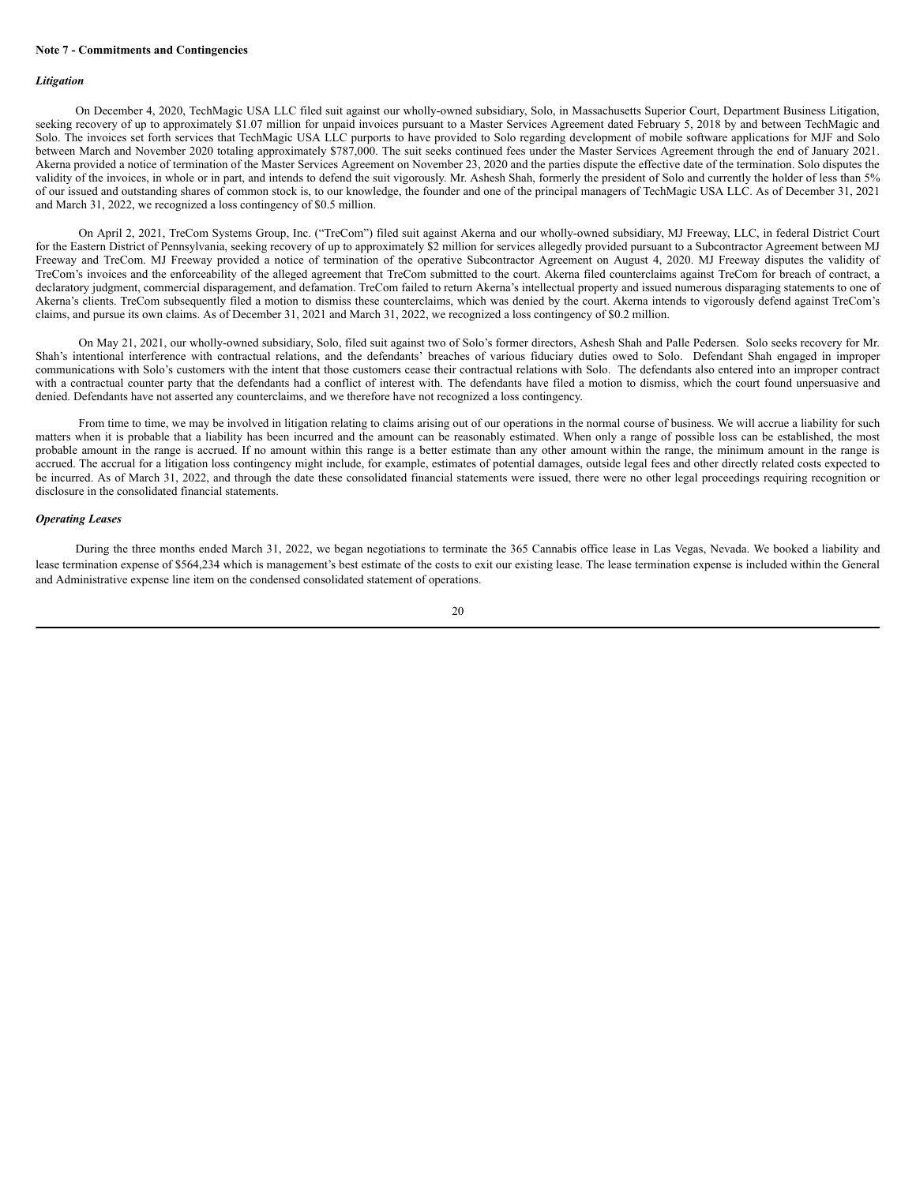### **Note 7 - Commitments and Contingencies**

#### *Litigation*

On December 4, 2020, TechMagic USA LLC filed suit against our wholly-owned subsidiary, Solo, in Massachusetts Superior Court, Department Business Litigation, seeking recovery of up to approximately \$1.07 million for unpaid invoices pursuant to a Master Services Agreement dated February 5, 2018 by and between TechMagic and Solo. The invoices set forth services that TechMagic USA LLC purports to have provided to Solo regarding development of mobile software applications for MJF and Solo between March and November 2020 totaling approximately \$787,000. The suit seeks continued fees under the Master Services Agreement through the end of January 2021. Akerna provided a notice of termination of the Master Services Agreement on November 23, 2020 and the parties dispute the effective date of the termination. Solo disputes the validity of the invoices, in whole or in part, and intends to defend the suit vigorously. Mr. Ashesh Shah, formerly the president of Solo and currently the holder of less than 5% of our issued and outstanding shares of common stock is, to our knowledge, the founder and one of the principal managers of TechMagic USA LLC. As of December 31, 2021 and March 31, 2022, we recognized a loss contingency of \$0.5 million.

On April 2, 2021, TreCom Systems Group, Inc. ("TreCom") filed suit against Akerna and our wholly-owned subsidiary, MJ Freeway, LLC, in federal District Court for the Eastern District of Pennsylvania, seeking recovery of up to approximately \$2 million for services allegedly provided pursuant to a Subcontractor Agreement between MJ Freeway and TreCom. MJ Freeway provided a notice of termination of the operative Subcontractor Agreement on August 4, 2020. MJ Freeway disputes the validity of TreCom's invoices and the enforceability of the alleged agreement that TreCom submitted to the court. Akerna filed counterclaims against TreCom for breach of contract, a declaratory judgment, commercial disparagement, and defamation. TreCom failed to return Akerna's intellectual property and issued numerous disparaging statements to one of Akerna's clients. TreCom subsequently filed a motion to dismiss these counterclaims, which was denied by the court. Akerna intends to vigorously defend against TreCom's claims, and pursue its own claims. As of December 31, 2021 and March 31, 2022, we recognized a loss contingency of \$0.2 million.

On May 21, 2021, our wholly-owned subsidiary, Solo, filed suit against two of Solo's former directors, Ashesh Shah and Palle Pedersen. Solo seeks recovery for Mr. Shah's intentional interference with contractual relations, and the defendants' breaches of various fiduciary duties owed to Solo. Defendant Shah engaged in improper communications with Solo's customers with the intent that those customers cease their contractual relations with Solo. The defendants also entered into an improper contract with a contractual counter party that the defendants had a conflict of interest with. The defendants have filed a motion to dismiss, which the court found unpersuasive and denied. Defendants have not asserted any counterclaims, and we therefore have not recognized a loss contingency.

From time to time, we may be involved in litigation relating to claims arising out of our operations in the normal course of business. We will accrue a liability for such matters when it is probable that a liability has been incurred and the amount can be reasonably estimated. When only a range of possible loss can be established, the most probable amount in the range is accrued. If no amount within this range is a better estimate than any other amount within the range, the minimum amount in the range is accrued. The accrual for a litigation loss contingency might include, for example, estimates of potential damages, outside legal fees and other directly related costs expected to be incurred. As of March 31, 2022, and through the date these consolidated financial statements were issued, there were no other legal proceedings requiring recognition or disclosure in the consolidated financial statements.

### *Operating Leases*

During the three months ended March 31, 2022, we began negotiations to terminate the 365 Cannabis office lease in Las Vegas, Nevada. We booked a liability and lease termination expense of \$564,234 which is management's best estimate of the costs to exit our existing lease. The lease termination expense is included within the General and Administrative expense line item on the condensed consolidated statement of operations.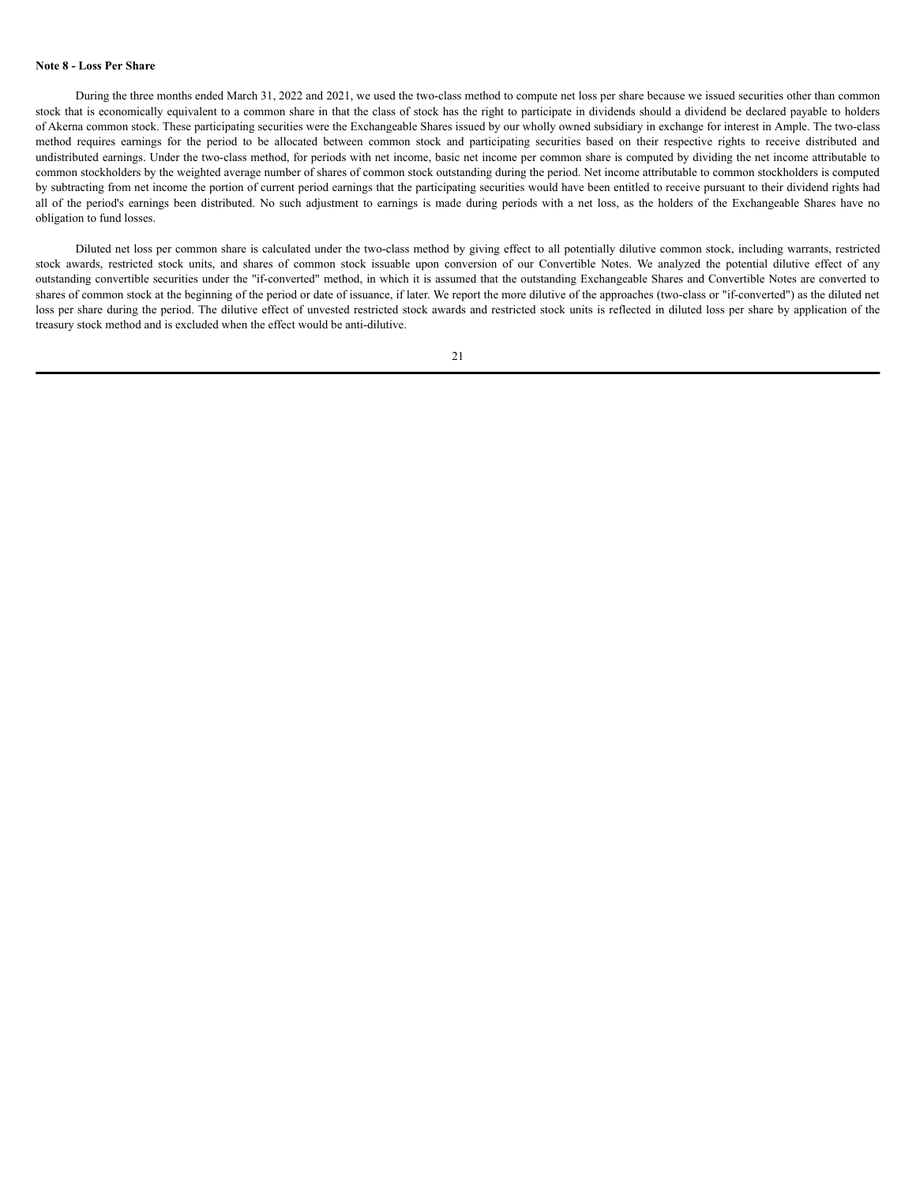### **Note 8 - Loss Per Share**

During the three months ended March 31, 2022 and 2021, we used the two-class method to compute net loss per share because we issued securities other than common stock that is economically equivalent to a common share in that the class of stock has the right to participate in dividends should a dividend be declared payable to holders of Akerna common stock. These participating securities were the Exchangeable Shares issued by our wholly owned subsidiary in exchange for interest in Ample. The two-class method requires earnings for the period to be allocated between common stock and participating securities based on their respective rights to receive distributed and undistributed earnings. Under the two-class method, for periods with net income, basic net income per common share is computed by dividing the net income attributable to common stockholders by the weighted average number of shares of common stock outstanding during the period. Net income attributable to common stockholders is computed by subtracting from net income the portion of current period earnings that the participating securities would have been entitled to receive pursuant to their dividend rights had all of the period's earnings been distributed. No such adjustment to earnings is made during periods with a net loss, as the holders of the Exchangeable Shares have no obligation to fund losses.

Diluted net loss per common share is calculated under the two-class method by giving effect to all potentially dilutive common stock, including warrants, restricted stock awards, restricted stock units, and shares of common stock issuable upon conversion of our Convertible Notes. We analyzed the potential dilutive effect of any outstanding convertible securities under the "if-converted" method, in which it is assumed that the outstanding Exchangeable Shares and Convertible Notes are converted to shares of common stock at the beginning of the period or date of issuance, if later. We report the more dilutive of the approaches (two-class or "if-converted") as the diluted net loss per share during the period. The dilutive effect of unvested restricted stock awards and restricted stock units is reflected in diluted loss per share by application of the treasury stock method and is excluded when the effect would be anti-dilutive.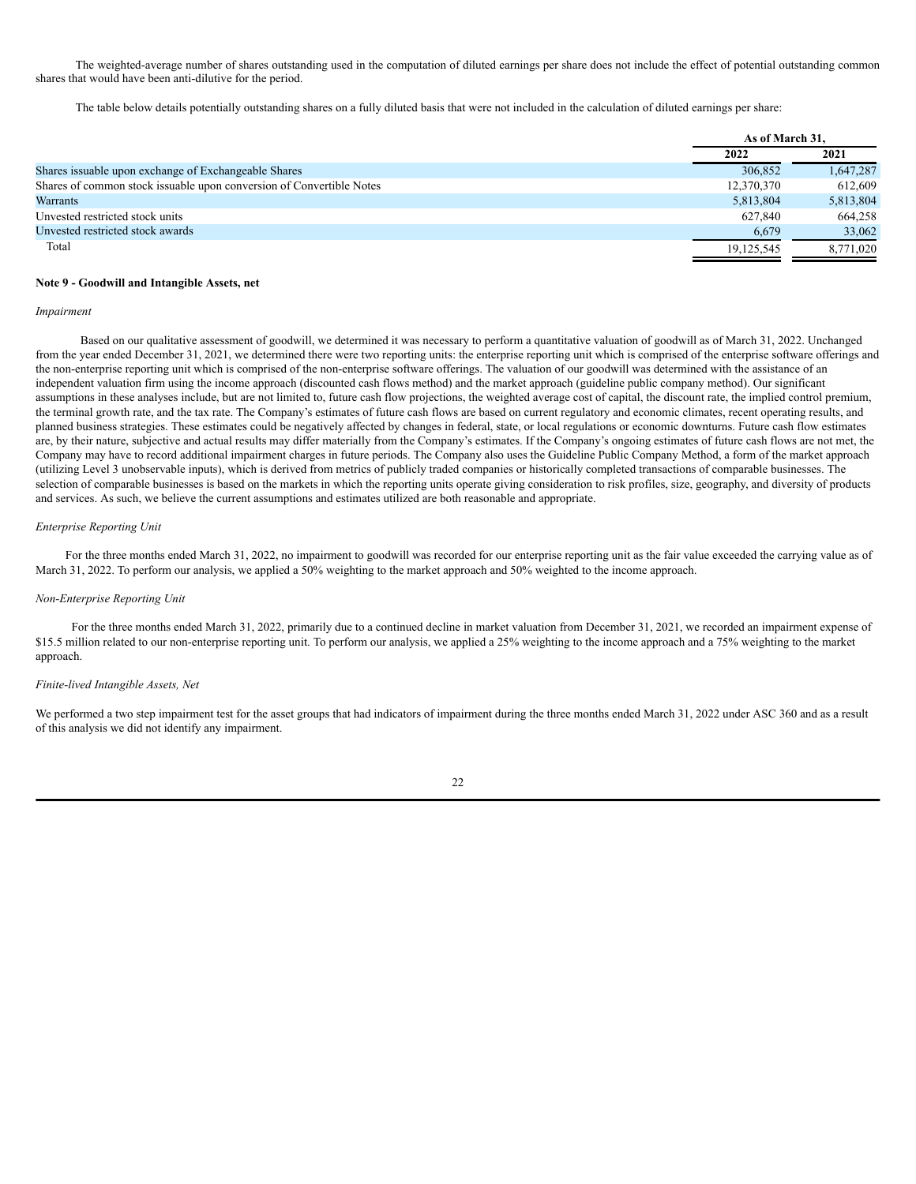The weighted-average number of shares outstanding used in the computation of diluted earnings per share does not include the effect of potential outstanding common shares that would have been anti-dilutive for the period.

The table below details potentially outstanding shares on a fully diluted basis that were not included in the calculation of diluted earnings per share:

|                                                                      |            | As of March 31, |  |
|----------------------------------------------------------------------|------------|-----------------|--|
|                                                                      | 2022       | 2021            |  |
| Shares issuable upon exchange of Exchangeable Shares                 | 306,852    | 1,647,287       |  |
| Shares of common stock issuable upon conversion of Convertible Notes | 12,370,370 | 612,609         |  |
| <b>Warrants</b>                                                      | 5,813,804  | 5,813,804       |  |
| Unvested restricted stock units                                      | 627.840    | 664.258         |  |
| Unvested restricted stock awards                                     | 6.679      | 33,062          |  |
| Total                                                                | 19,125,545 | 8.771.020       |  |

#### **Note 9 - Goodwill and Intangible Assets, net**

#### *Impairment*

Based on our qualitative assessment of goodwill, we determined it was necessary to perform a quantitative valuation of goodwill as of March 31, 2022. Unchanged from the year ended December 31, 2021, we determined there were two reporting units: the enterprise reporting unit which is comprised of the enterprise software offerings and the non-enterprise reporting unit which is comprised of the non-enterprise software offerings. The valuation of our goodwill was determined with the assistance of an independent valuation firm using the income approach (discounted cash flows method) and the market approach (guideline public company method). Our significant assumptions in these analyses include, but are not limited to, future cash flow projections, the weighted average cost of capital, the discount rate, the implied control premium, the terminal growth rate, and the tax rate. The Company's estimates of future cash flows are based on current regulatory and economic climates, recent operating results, and planned business strategies. These estimates could be negatively affected by changes in federal, state, or local regulations or economic downturns. Future cash flow estimates are, by their nature, subjective and actual results may differ materially from the Company's estimates. If the Company's ongoing estimates of future cash flows are not met, the Company may have to record additional impairment charges in future periods. The Company also uses the Guideline Public Company Method, a form of the market approach (utilizing Level 3 unobservable inputs), which is derived from metrics of publicly traded companies or historically completed transactions of comparable businesses. The selection of comparable businesses is based on the markets in which the reporting units operate giving consideration to risk profiles, size, geography, and diversity of products and services. As such, we believe the current assumptions and estimates utilized are both reasonable and appropriate.

### *Enterprise Reporting Unit*

For the three months ended March 31, 2022, no impairment to goodwill was recorded for our enterprise reporting unit as the fair value exceeded the carrying value as of March 31, 2022. To perform our analysis, we applied a 50% weighting to the market approach and 50% weighted to the income approach.

### *Non-Enterprise Reporting Unit*

For the three months ended March 31, 2022, primarily due to a continued decline in market valuation from December 31, 2021, we recorded an impairment expense of \$15.5 million related to our non-enterprise reporting unit. To perform our analysis, we applied a 25% weighting to the income approach and a 75% weighting to the market approach.

### *Finite-lived Intangible Assets, Net*

We performed a two step impairment test for the asset groups that had indicators of impairment during the three months ended March 31, 2022 under ASC 360 and as a result of this analysis we did not identify any impairment.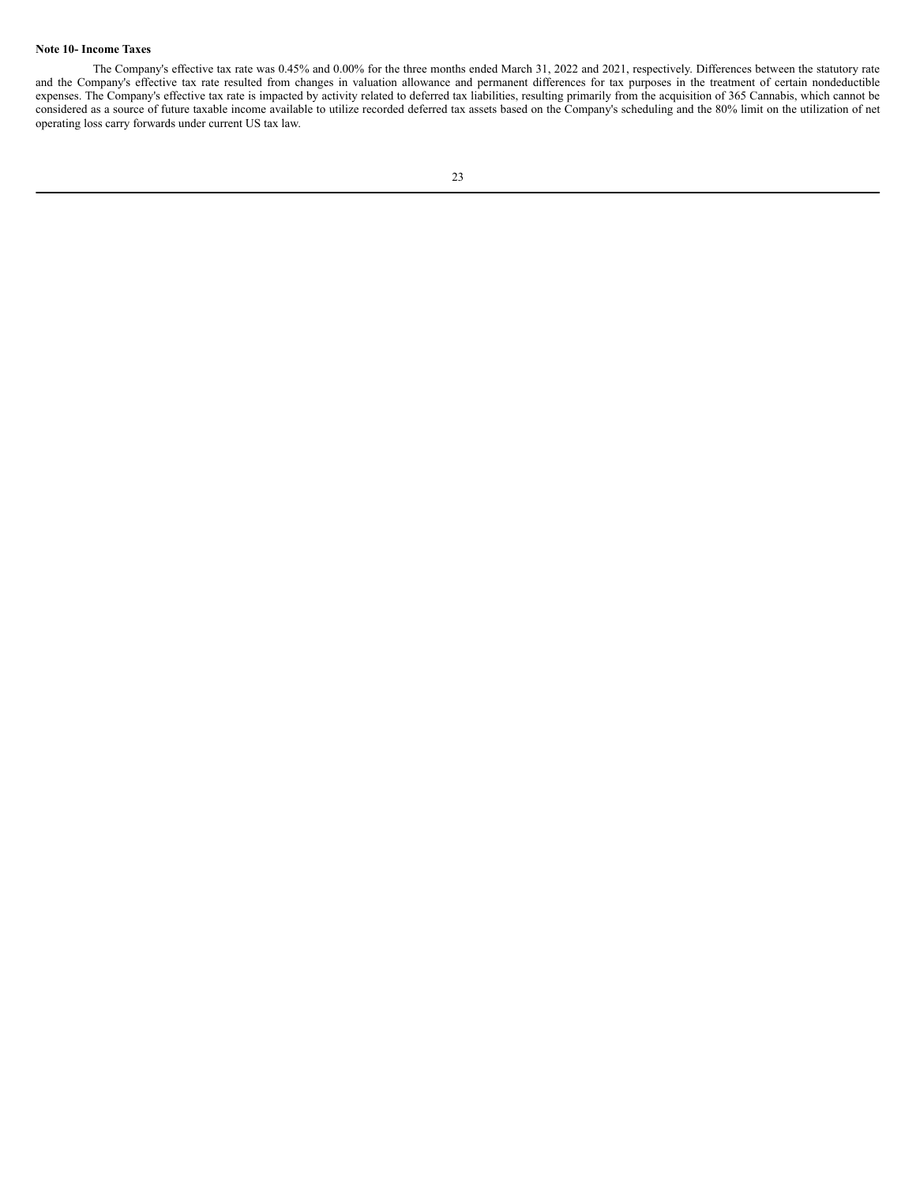### **Note 10- Income Taxes**

The Company's effective tax rate was 0.45% and 0.00% for the three months ended March 31, 2022 and 2021, respectively. Differences between the statutory rate and the Company's effective tax rate resulted from changes in valuation allowance and permanent differences for tax purposes in the treatment of certain nondeductible expenses. The Company's effective tax rate is impacted by activity related to deferred tax liabilities, resulting primarily from the acquisition of 365 Cannabis, which cannot be considered as a source of future taxable income available to utilize recorded deferred tax assets based on the Company's scheduling and the 80% limit on the utilization of net operating loss carry forwards under current US tax law.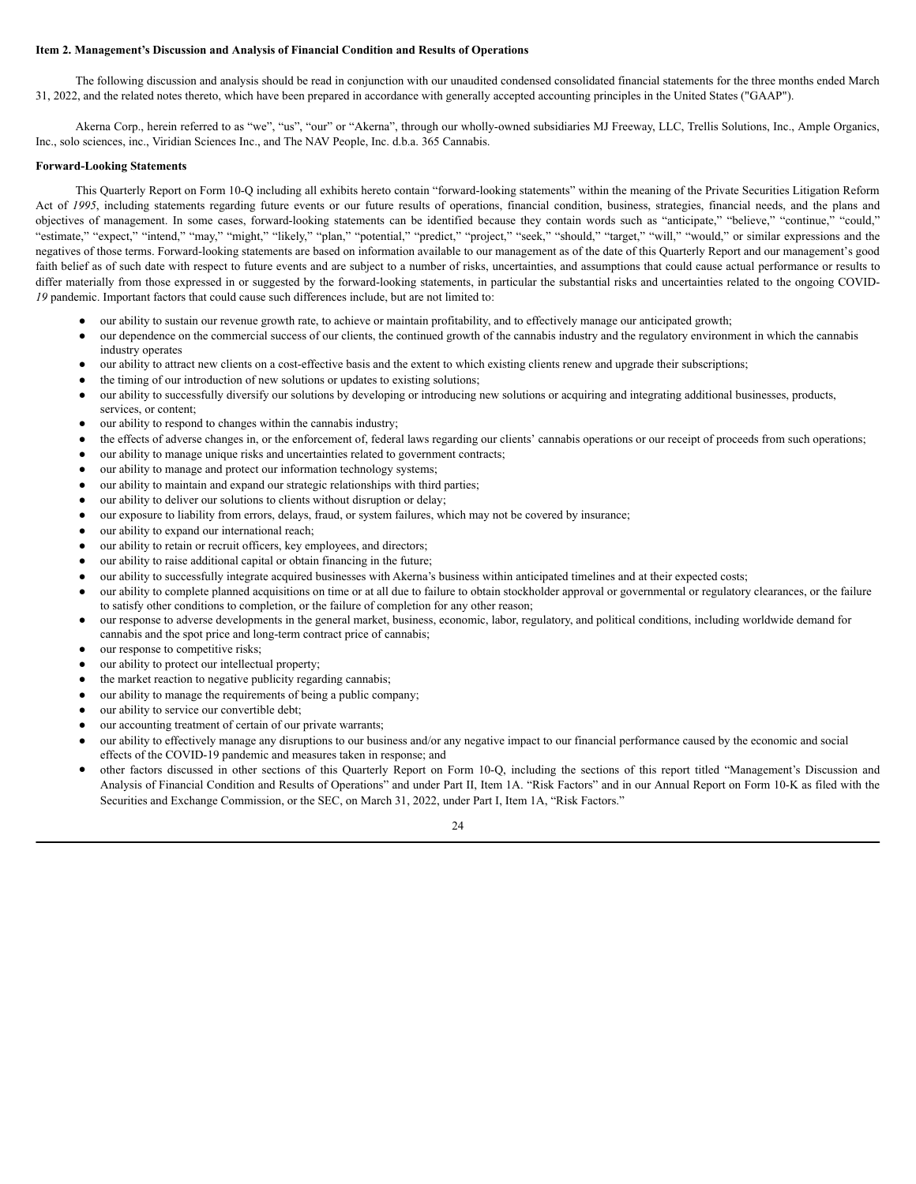## <span id="page-25-0"></span>**Item 2. Management's Discussion and Analysis of Financial Condition and Results of Operations**

The following discussion and analysis should be read in conjunction with our unaudited condensed consolidated financial statements for the three months ended March 31, 2022, and the related notes thereto, which have been prepared in accordance with generally accepted accounting principles in the United States ("GAAP").

Akerna Corp., herein referred to as "we", "us", "our" or "Akerna", through our wholly-owned subsidiaries MJ Freeway, LLC, Trellis Solutions, Inc., Ample Organics, Inc., solo sciences, inc., Viridian Sciences Inc., and The NAV People, Inc. d.b.a. 365 Cannabis.

### **Forward-Looking Statements**

This Quarterly Report on Form 10-Q including all exhibits hereto contain "forward-looking statements" within the meaning of the Private Securities Litigation Reform Act of 1995, including statements regarding future events or our future results of operations, financial condition, business, strategies, financial needs, and the plans and objectives of management. In some cases, forward-looking statements can be identified because they contain words such as "anticipate," "believe," "continue," "could," "estimate," "expect," "intend," "may," "might," "likely," "plan," "potential," "predict," "project," "seek," "should," "target," "will," "would," or similar expressions and the negatives of those terms. Forward-looking statements are based on information available to our management as of the date of this Quarterly Report and our management's good faith belief as of such date with respect to future events and are subject to a number of risks, uncertainties, and assumptions that could cause actual performance or results to differ materially from those expressed in or suggested by the forward-looking statements, in particular the substantial risks and uncertainties related to the ongoing COVID-*19* pandemic. Important factors that could cause such differences include, but are not limited to:

- *●* our ability to sustain our revenue growth rate, to achieve or maintain profitability, and to effectively manage our anticipated growth;
- *●* our dependence on the commercial success of our clients, the continued growth of the cannabis industry and the regulatory environment in which the cannabis industry operates
- *●* our ability to attract new clients on a cost-effective basis and the extent to which existing clients renew and upgrade their subscriptions;
- the timing of our introduction of new solutions or updates to existing solutions;
- *●* our ability to successfully diversify our solutions by developing or introducing new solutions or acquiring and integrating additional businesses, products, services, or content;
- our ability to respond to changes within the cannabis industry:
- the effects of adverse changes in, or the enforcement of, federal laws regarding our clients' cannabis operations or our receipt of proceeds from such operations;
- our ability to manage unique risks and uncertainties related to government contracts;
- our ability to manage and protect our information technology systems;
- our ability to maintain and expand our strategic relationships with third parties;
- our ability to deliver our solutions to clients without disruption or delay;
- *●* our exposure to liability from errors, delays, fraud, or system failures, which may not be covered by insurance;
- our ability to expand our international reach;
- *A* our ability to retain or recruit officers, key employees, and directors;
- our ability to raise additional capital or obtain financing in the future;
- *●* our ability to successfully integrate acquired businesses with Akerna's business within anticipated timelines and at their expected costs;
- *●* our ability to complete planned acquisitions on time or at all due to failure to obtain stockholder approval or governmental or regulatory clearances, or the failure to satisfy other conditions to completion, or the failure of completion for any other reason;
- *●* our response to adverse developments in the general market, business, economic, labor, regulatory, and political conditions, including worldwide demand for cannabis and the spot price and long-term contract price of cannabis;
- our response to competitive risks;
- our ability to protect our intellectual property;
- the market reaction to negative publicity regarding cannabis;
- our ability to manage the requirements of being a public company;
- our ability to service our convertible debt;
- our accounting treatment of certain of our private warrants;
- *●* our ability to effectively manage any disruptions to our business and/or any negative impact to our financial performance caused by the economic and social effects of the COVID-19 pandemic and measures taken in response; and
- *●* other factors discussed in other sections of this Quarterly Report on Form 10-Q, including the sections of this report titled "Management's Discussion and Analysis of Financial Condition and Results of Operations" and under Part II, Item 1A. "Risk Factors" and in our Annual Report on Form 10-K as filed with the Securities and Exchange Commission, or the SEC, on March 31, 2022, under Part I, Item 1A, "Risk Factors."

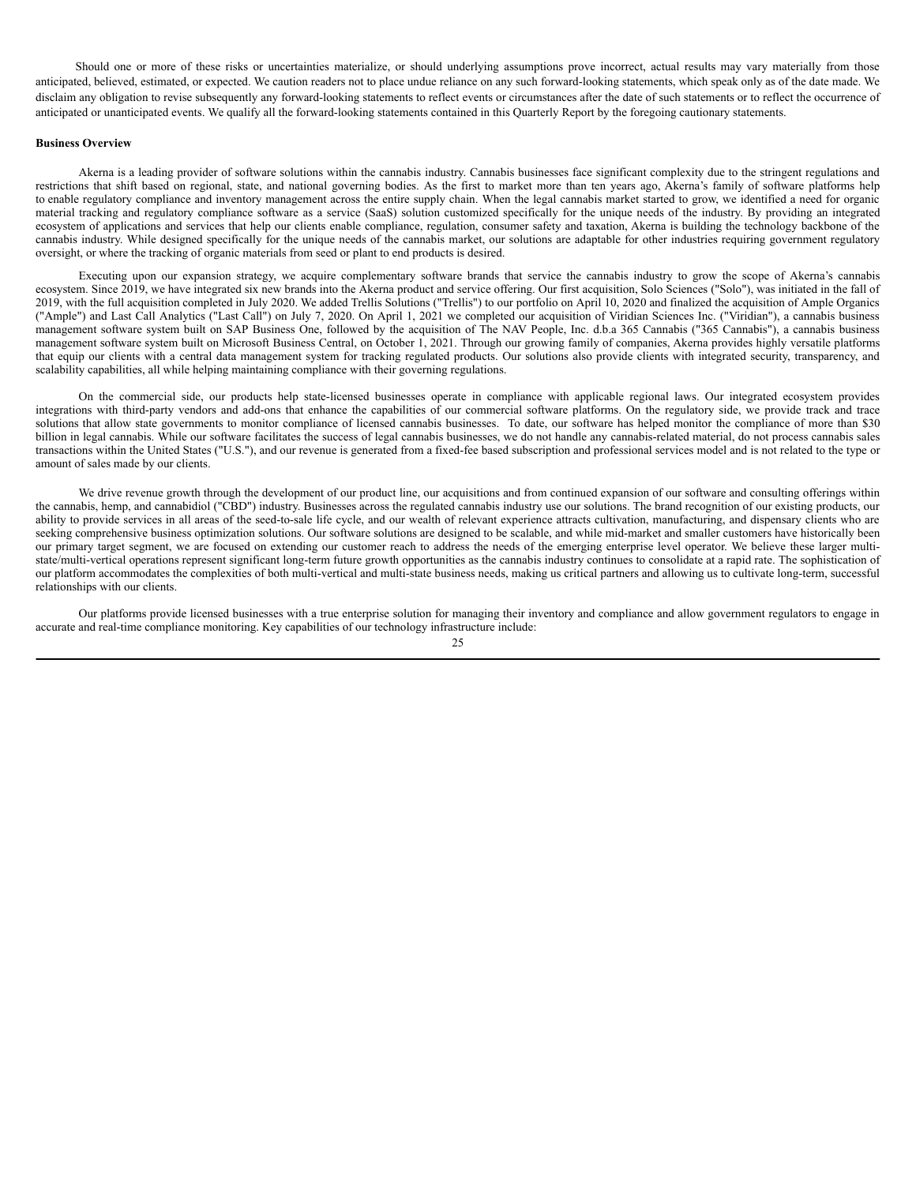Should one or more of these risks or uncertainties materialize, or should underlying assumptions prove incorrect, actual results may vary materially from those anticipated, believed, estimated, or expected. We caution readers not to place undue reliance on any such forward-looking statements, which speak only as of the date made. We disclaim any obligation to revise subsequently any forward-looking statements to reflect events or circumstances after the date of such statements or to reflect the occurrence of anticipated or unanticipated events. We qualify all the forward-looking statements contained in this Quarterly Report by the foregoing cautionary statements.

### **Business Overview**

Akerna is a leading provider of software solutions within the cannabis industry. Cannabis businesses face significant complexity due to the stringent regulations and restrictions that shift based on regional, state, and national governing bodies. As the first to market more than ten years ago, Akerna's family of software platforms help to enable regulatory compliance and inventory management across the entire supply chain. When the legal cannabis market started to grow, we identified a need for organic material tracking and regulatory compliance software as a service (SaaS) solution customized specifically for the unique needs of the industry. By providing an integrated ecosystem of applications and services that help our clients enable compliance, regulation, consumer safety and taxation, Akerna is building the technology backbone of the cannabis industry. While designed specifically for the unique needs of the cannabis market, our solutions are adaptable for other industries requiring government regulatory oversight, or where the tracking of organic materials from seed or plant to end products is desired.

Executing upon our expansion strategy, we acquire complementary software brands that service the cannabis industry to grow the scope of Akerna's cannabis ecosystem. Since 2019, we have integrated six new brands into the Akerna product and service offering. Our first acquisition, Solo Sciences ("Solo"), was initiated in the fall of 2019, with the full acquisition completed in July 2020. We added Trellis Solutions ("Trellis") to our portfolio on April 10, 2020 and finalized the acquisition of Ample Organics ("Ample") and Last Call Analytics ("Last Call") on July 7, 2020. On April 1, 2021 we completed our acquisition of Viridian Sciences Inc. ("Viridian"), a cannabis business management software system built on SAP Business One, followed by the acquisition of The NAV People, Inc. d.b.a 365 Cannabis ("365 Cannabis"), a cannabis business management software system built on Microsoft Business Central, on October 1, 2021. Through our growing family of companies, Akerna provides highly versatile platforms that equip our clients with a central data management system for tracking regulated products. Our solutions also provide clients with integrated security, transparency, and scalability capabilities, all while helping maintaining compliance with their governing regulations.

On the commercial side, our products help state-licensed businesses operate in compliance with applicable regional laws. Our integrated ecosystem provides integrations with third-party vendors and add-ons that enhance the capabilities of our commercial software platforms. On the regulatory side, we provide track and trace solutions that allow state governments to monitor compliance of licensed cannabis businesses. To date, our software has helped monitor the compliance of more than \$30 billion in legal cannabis. While our software facilitates the success of legal cannabis businesses, we do not handle any cannabis-related material, do not process cannabis sales transactions within the United States ("U.S."), and our revenue is generated from a fixed-fee based subscription and professional services model and is not related to the type or amount of sales made by our clients.

We drive revenue growth through the development of our product line, our acquisitions and from continued expansion of our software and consulting offerings within the cannabis, hemp, and cannabidiol ("CBD") industry. Businesses across the regulated cannabis industry use our solutions. The brand recognition of our existing products, our ability to provide services in all areas of the seed-to-sale life cycle, and our wealth of relevant experience attracts cultivation, manufacturing, and dispensary clients who are seeking comprehensive business optimization solutions. Our software solutions are designed to be scalable, and while mid-market and smaller customers have historically been our primary target segment, we are focused on extending our customer reach to address the needs of the emerging enterprise level operator. We believe these larger multistate/multi-vertical operations represent significant long-term future growth opportunities as the cannabis industry continues to consolidate at a rapid rate. The sophistication of our platform accommodates the complexities of both multi-vertical and multi-state business needs, making us critical partners and allowing us to cultivate long-term, successful relationships with our clients.

Our platforms provide licensed businesses with a true enterprise solution for managing their inventory and compliance and allow government regulators to engage in accurate and real-time compliance monitoring. Key capabilities of our technology infrastructure include: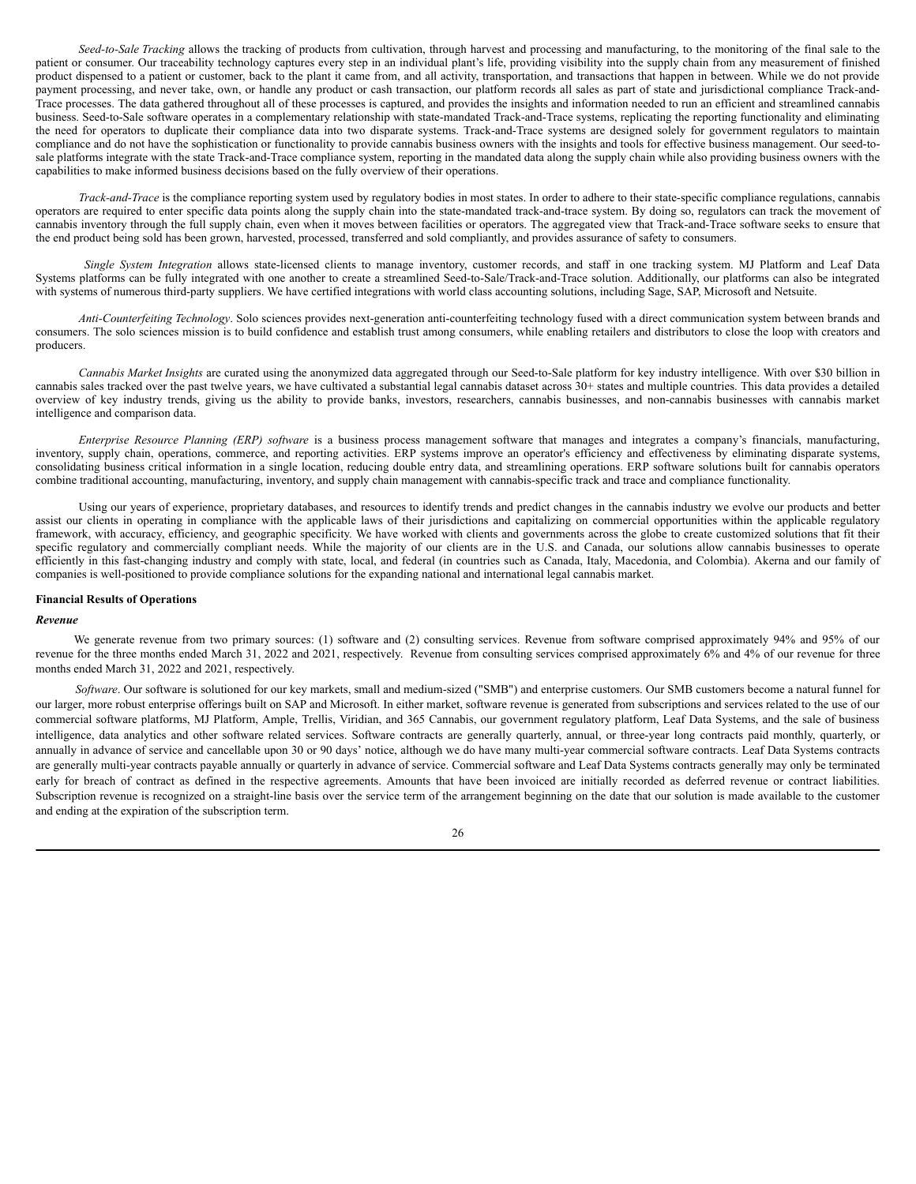*Seed-to-Sale Tracking* allows the tracking of products from cultivation, through harvest and processing and manufacturing, to the monitoring of the final sale to the patient or consumer. Our traceability technology captures every step in an individual plant's life, providing visibility into the supply chain from any measurement of finished product dispensed to a patient or customer, back to the plant it came from, and all activity, transportation, and transactions that happen in between. While we do not provide payment processing, and never take, own, or handle any product or cash transaction, our platform records all sales as part of state and jurisdictional compliance Track-and-Trace processes. The data gathered throughout all of these processes is captured, and provides the insights and information needed to run an efficient and streamlined cannabis business. Seed-to-Sale software operates in a complementary relationship with state-mandated Track-and-Trace systems, replicating the reporting functionality and eliminating the need for operators to duplicate their compliance data into two disparate systems. Track-and-Trace systems are designed solely for government regulators to maintain compliance and do not have the sophistication or functionality to provide cannabis business owners with the insights and tools for effective business management. Our seed-tosale platforms integrate with the state Track-and-Trace compliance system, reporting in the mandated data along the supply chain while also providing business owners with the capabilities to make informed business decisions based on the fully overview of their operations.

*Track-and-Trace* is the compliance reporting system used by regulatory bodies in most states. In order to adhere to their state-specific compliance regulations, cannabis operators are required to enter specific data points along the supply chain into the state-mandated track-and-trace system. By doing so, regulators can track the movement of cannabis inventory through the full supply chain, even when it moves between facilities or operators. The aggregated view that Track-and-Trace software seeks to ensure that the end product being sold has been grown, harvested, processed, transferred and sold compliantly, and provides assurance of safety to consumers.

*Single System Integration* allows state-licensed clients to manage inventory, customer records, and staff in one tracking system. MJ Platform and Leaf Data Systems platforms can be fully integrated with one another to create a streamlined Seed-to-Sale/Track-and-Trace solution. Additionally, our platforms can also be integrated with systems of numerous third-party suppliers. We have certified integrations with world class accounting solutions, including Sage, SAP, Microsoft and Netsuite.

*Anti-Counterfeiting Technology*. Solo sciences provides next-generation anti-counterfeiting technology fused with a direct communication system between brands and consumers. The solo sciences mission is to build confidence and establish trust among consumers, while enabling retailers and distributors to close the loop with creators and producers.

*Cannabis Market Insights* are curated using the anonymized data aggregated through our Seed-to-Sale platform for key industry intelligence. With over \$30 billion in cannabis sales tracked over the past twelve years, we have cultivated a substantial legal cannabis dataset across 30+ states and multiple countries. This data provides a detailed overview of key industry trends, giving us the ability to provide banks, investors, researchers, cannabis businesses, and non-cannabis businesses with cannabis market intelligence and comparison data.

*Enterprise Resource Planning (ERP) software* is a business process management software that manages and integrates a company's financials, manufacturing, inventory, supply chain, operations, commerce, and reporting activities. ERP systems improve an operator's efficiency and effectiveness by eliminating disparate systems, consolidating business critical information in a single location, reducing double entry data, and streamlining operations. ERP software solutions built for cannabis operators combine traditional accounting, manufacturing, inventory, and supply chain management with cannabis-specific track and trace and compliance functionality.

Using our years of experience, proprietary databases, and resources to identify trends and predict changes in the cannabis industry we evolve our products and better assist our clients in operating in compliance with the applicable laws of their jurisdictions and capitalizing on commercial opportunities within the applicable regulatory framework, with accuracy, efficiency, and geographic specificity. We have worked with clients and governments across the globe to create customized solutions that fit their specific regulatory and commercially compliant needs. While the majority of our clients are in the U.S. and Canada, our solutions allow cannabis businesses to operate efficiently in this fast-changing industry and comply with state, local, and federal (in countries such as Canada, Italy, Macedonia, and Colombia). Akerna and our family of companies is well-positioned to provide compliance solutions for the expanding national and international legal cannabis market.

### **Financial Results of Operations**

#### *Revenue*

We generate revenue from two primary sources: (1) software and (2) consulting services. Revenue from software comprised approximately 94% and 95% of our revenue for the three months ended March 31, 2022 and 2021, respectively. Revenue from consulting services comprised approximately 6% and 4% of our revenue for three months ended March 31, 2022 and 2021, respectively.

*Software*. Our software is solutioned for our key markets, small and medium-sized ("SMB") and enterprise customers. Our SMB customers become a natural funnel for our larger, more robust enterprise offerings built on SAP and Microsoft. In either market, software revenue is generated from subscriptions and services related to the use of our commercial software platforms, MJ Platform, Ample, Trellis, Viridian, and 365 Cannabis, our government regulatory platform, Leaf Data Systems, and the sale of business intelligence, data analytics and other software related services. Software contracts are generally quarterly, annual, or three-year long contracts paid monthly, quarterly, or annually in advance of service and cancellable upon 30 or 90 days' notice, although we do have many multi-year commercial software contracts. Leaf Data Systems contracts are generally multi-year contracts payable annually or quarterly in advance of service. Commercial software and Leaf Data Systems contracts generally may only be terminated early for breach of contract as defined in the respective agreements. Amounts that have been invoiced are initially recorded as deferred revenue or contract liabilities. Subscription revenue is recognized on a straight-line basis over the service term of the arrangement beginning on the date that our solution is made available to the customer and ending at the expiration of the subscription term.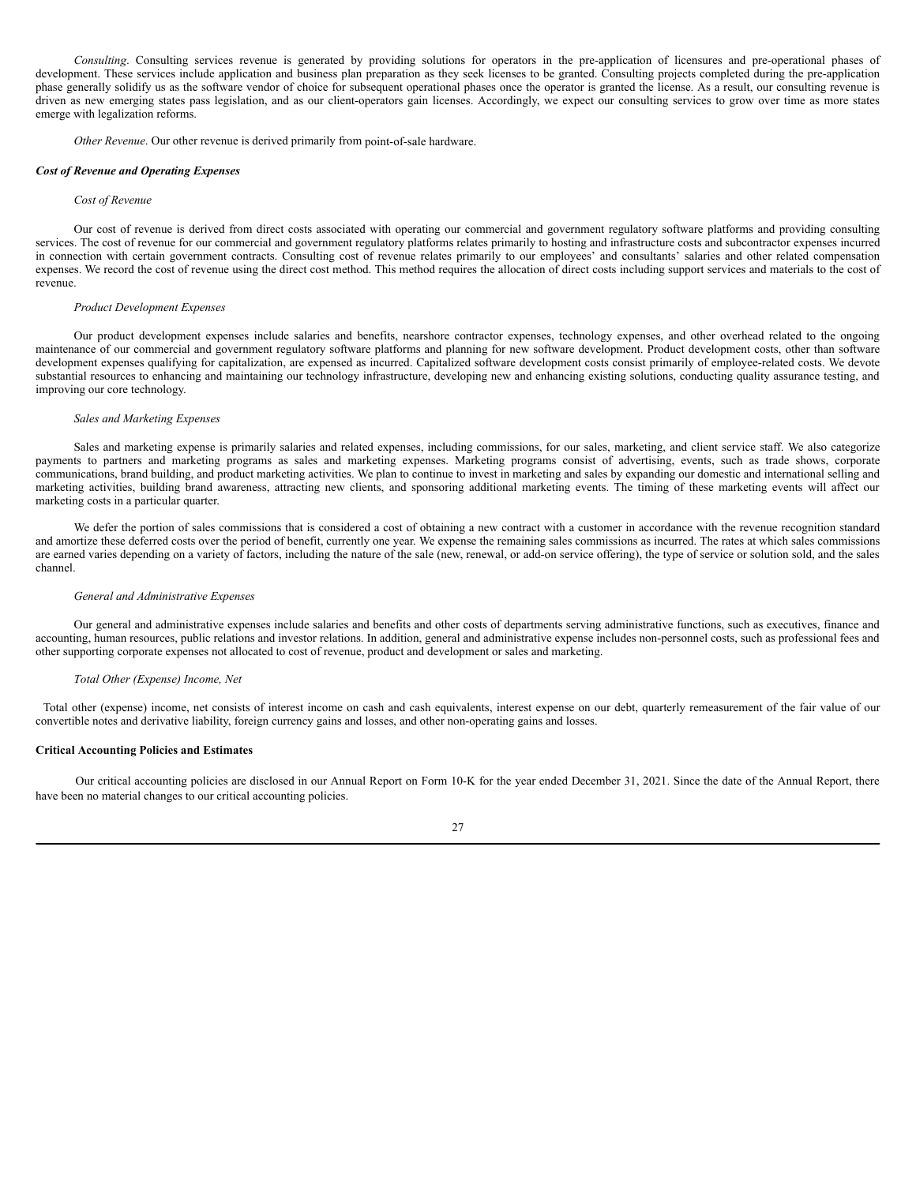*Consulting*. Consulting services revenue is generated by providing solutions for operators in the pre-application of licensures and pre-operational phases of development. These services include application and business plan preparation as they seek licenses to be granted. Consulting projects completed during the pre-application phase generally solidify us as the software vendor of choice for subsequent operational phases once the operator is granted the license. As a result, our consulting revenue is driven as new emerging states pass legislation, and as our client-operators gain licenses. Accordingly, we expect our consulting services to grow over time as more states emerge with legalization reforms.

*Other Revenue*. Our other revenue is derived primarily from point-of-sale hardware.

## *Cost of Revenue and Operating Expenses*

#### *Cost of Revenue*

Our cost of revenue is derived from direct costs associated with operating our commercial and government regulatory software platforms and providing consulting services. The cost of revenue for our commercial and government regulatory platforms relates primarily to hosting and infrastructure costs and subcontractor expenses incurred in connection with certain government contracts. Consulting cost of revenue relates primarily to our employees' and consultants' salaries and other related compensation expenses. We record the cost of revenue using the direct cost method. This method requires the allocation of direct costs including support services and materials to the cost of revenue.

### *Product Development Expenses*

Our product development expenses include salaries and benefits, nearshore contractor expenses, technology expenses, and other overhead related to the ongoing maintenance of our commercial and government regulatory software platforms and planning for new software development. Product development costs, other than software development expenses qualifying for capitalization, are expensed as incurred. Capitalized software development costs consist primarily of employee-related costs. We devote substantial resources to enhancing and maintaining our technology infrastructure, developing new and enhancing existing solutions, conducting quality assurance testing, and improving our core technology.

### *Sales and Marketing Expenses*

Sales and marketing expense is primarily salaries and related expenses, including commissions, for our sales, marketing, and client service staff. We also categorize payments to partners and marketing programs as sales and marketing expenses. Marketing programs consist of advertising, events, such as trade shows, corporate communications, brand building, and product marketing activities. We plan to continue to invest in marketing and sales by expanding our domestic and international selling and marketing activities, building brand awareness, attracting new clients, and sponsoring additional marketing events. The timing of these marketing events will affect our marketing costs in a particular quarter.

We defer the portion of sales commissions that is considered a cost of obtaining a new contract with a customer in accordance with the revenue recognition standard and amortize these deferred costs over the period of benefit, currently one year. We expense the remaining sales commissions as incurred. The rates at which sales commissions are earned varies depending on a variety of factors, including the nature of the sale (new, renewal, or add-on service offering), the type of service or solution sold, and the sales channel.

### *General and Administrative Expenses*

Our general and administrative expenses include salaries and benefits and other costs of departments serving administrative functions, such as executives, finance and accounting, human resources, public relations and investor relations. In addition, general and administrative expense includes non-personnel costs, such as professional fees and other supporting corporate expenses not allocated to cost of revenue, product and development or sales and marketing.

### *Total Other (Expense) Income, Net*

Total other (expense) income, net consists of interest income on cash and cash equivalents, interest expense on our debt, quarterly remeasurement of the fair value of our convertible notes and derivative liability, foreign currency gains and losses, and other non-operating gains and losses.

### **Critical Accounting Policies and Estimates**

Our critical accounting policies are disclosed in our Annual Report on Form 10-K for the year ended December 31, 2021. Since the date of the Annual Report, there have been no material changes to our critical accounting policies.

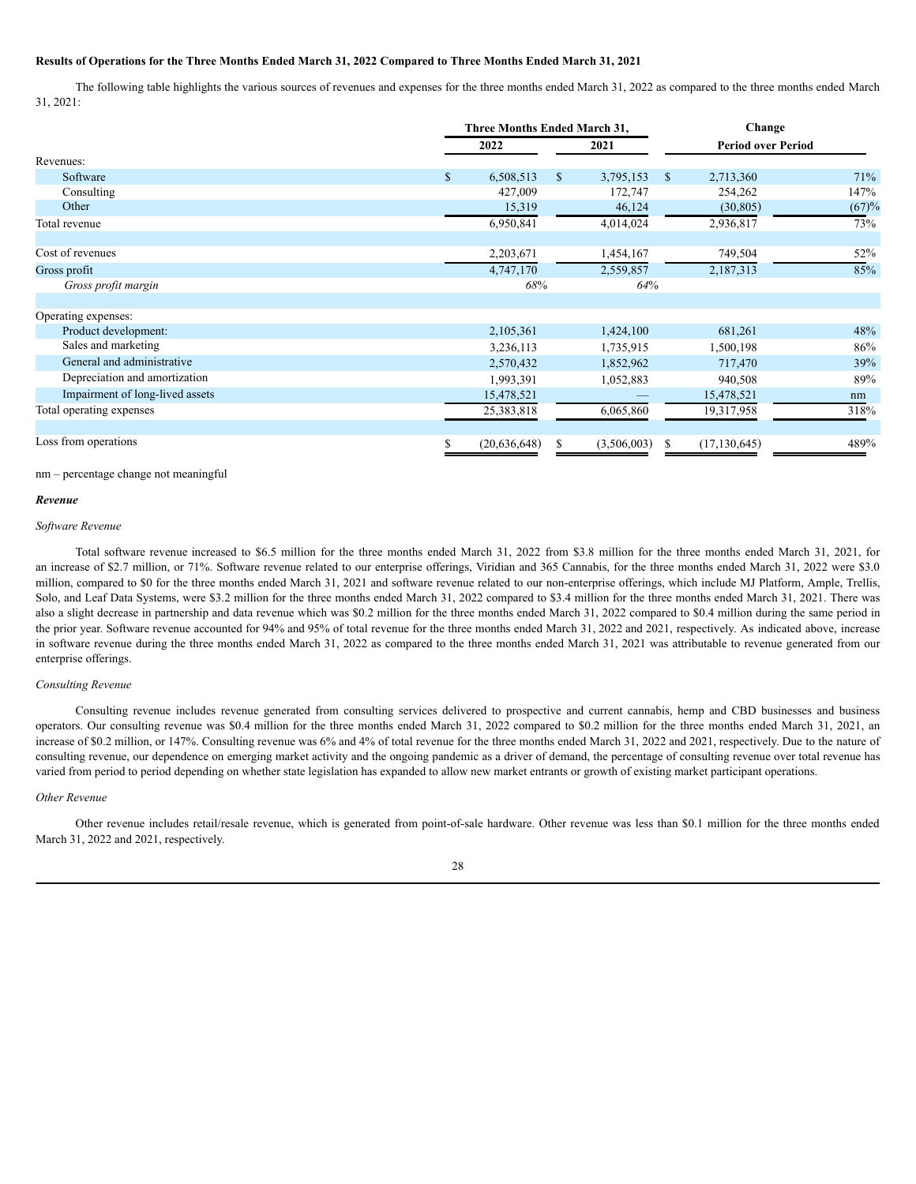### Results of Operations for the Three Months Ended March 31, 2022 Compared to Three Months Ended March 31, 2021

The following table highlights the various sources of revenues and expenses for the three months ended March 31, 2022 as compared to the three months ended March 31, 2021:

|                                 | <b>Three Months Ended March 31,</b> |                | Change            |              |                           |       |
|---------------------------------|-------------------------------------|----------------|-------------------|--------------|---------------------------|-------|
|                                 |                                     | 2022           | 2021              |              | <b>Period over Period</b> |       |
| Revenues:                       |                                     |                |                   |              |                           |       |
| Software                        | \$                                  | 6,508,513      | \$<br>3,795,153   | <sup>S</sup> | 2,713,360                 | 71%   |
| Consulting                      |                                     | 427,009        | 172,747           |              | 254,262                   | 147%  |
| Other                           |                                     | 15,319         | 46,124            |              | (30, 805)                 | (67)% |
| Total revenue                   |                                     | 6,950,841      | 4,014,024         |              | 2,936,817                 | 73%   |
|                                 |                                     |                |                   |              |                           |       |
| Cost of revenues                |                                     | 2,203,671      | 1,454,167         |              | 749,504                   | 52%   |
| Gross profit                    |                                     | 4,747,170      | 2,559,857         |              | 2,187,313                 | 85%   |
| Gross profit margin             |                                     | 68%            | 64%               |              |                           |       |
| Operating expenses:             |                                     |                |                   |              |                           |       |
| Product development:            |                                     | 2,105,361      | 1,424,100         |              | 681,261                   | 48%   |
| Sales and marketing             |                                     | 3,236,113      | 1,735,915         |              | 1,500,198                 | 86%   |
| General and administrative      |                                     | 2,570,432      | 1,852,962         |              | 717,470                   | 39%   |
| Depreciation and amortization   |                                     | 1,993,391      | 1,052,883         |              | 940,508                   | 89%   |
| Impairment of long-lived assets |                                     | 15,478,521     |                   |              | 15,478,521                | nm    |
| Total operating expenses        |                                     | 25,383,818     | 6,065,860         |              | 19,317,958                | 318%  |
| Loss from operations            |                                     | (20, 636, 648) | \$<br>(3,506,003) |              | (17, 130, 645)            | 489%  |

#### nm – percentage change not meaningful

#### *Revenue*

## *Software Revenue*

Total software revenue increased to \$6.5 million for the three months ended March 31, 2022 from \$3.8 million for the three months ended March 31, 2021, for an increase of \$2.7 million, or 71%. Software revenue related to our enterprise offerings, Viridian and 365 Cannabis, for the three months ended March 31, 2022 were \$3.0 million, compared to \$0 for the three months ended March 31, 2021 and software revenue related to our non-enterprise offerings, which include MJ Platform, Ample, Trellis, Solo, and Leaf Data Systems, were \$3.2 million for the three months ended March 31, 2022 compared to \$3.4 million for the three months ended March 31, 2021. There was also a slight decrease in partnership and data revenue which was \$0.2 million for the three months ended March 31, 2022 compared to \$0.4 million during the same period in the prior year. Software revenue accounted for 94% and 95% of total revenue for the three months ended March 31, 2022 and 2021, respectively. As indicated above, increase in software revenue during the three months ended March 31, 2022 as compared to the three months ended March 31, 2021 was attributable to revenue generated from our enterprise offerings.

### *Consulting Revenue*

Consulting revenue includes revenue generated from consulting services delivered to prospective and current cannabis, hemp and CBD businesses and business operators. Our consulting revenue was \$0.4 million for the three months ended March 31, 2022 compared to \$0.2 million for the three months ended March 31, 2021, an increase of \$0.2 million, or 147%. Consulting revenue was 6% and 4% of total revenue for the three months ended March 31, 2022 and 2021, respectively. Due to the nature of consulting revenue, our dependence on emerging market activity and the ongoing pandemic as a driver of demand, the percentage of consulting revenue over total revenue has varied from period to period depending on whether state legislation has expanded to allow new market entrants or growth of existing market participant operations.

## *Other Revenue*

Other revenue includes retail/resale revenue, which is generated from point-of-sale hardware. Other revenue was less than \$0.1 million for the three months ended March 31, 2022 and 2021, respectively.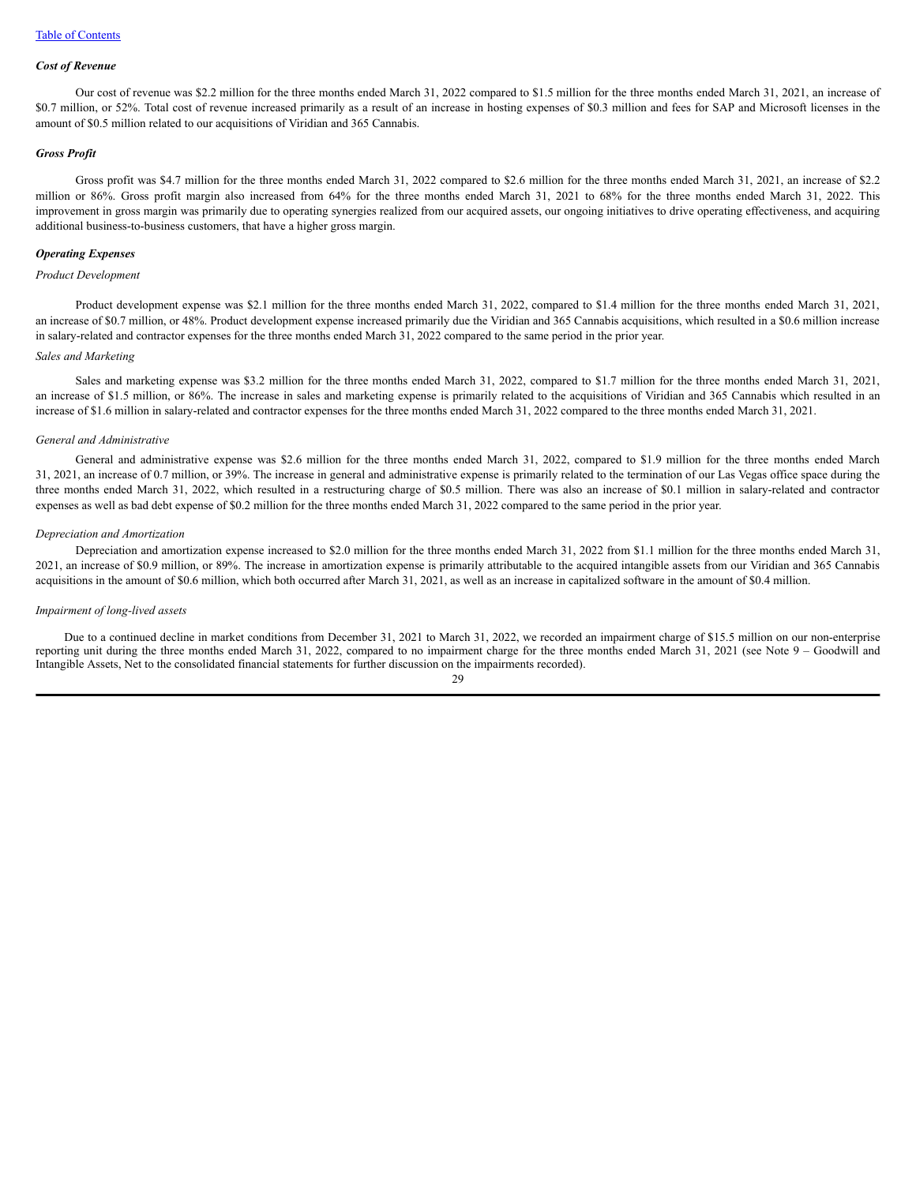### *Cost of Revenue*

Our cost of revenue was \$2.2 million for the three months ended March 31, 2022 compared to \$1.5 million for the three months ended March 31, 2021, an increase of \$0.7 million, or 52%. Total cost of revenue increased primarily as a result of an increase in hosting expenses of \$0.3 million and fees for SAP and Microsoft licenses in the amount of \$0.5 million related to our acquisitions of Viridian and 365 Cannabis.

### *Gross Profit*

Gross profit was \$4.7 million for the three months ended March 31, 2022 compared to \$2.6 million for the three months ended March 31, 2021, an increase of \$2.2 million or 86%. Gross profit margin also increased from 64% for the three months ended March 31, 2021 to 68% for the three months ended March 31, 2022. This improvement in gross margin was primarily due to operating synergies realized from our acquired assets, our ongoing initiatives to drive operating effectiveness, and acquiring additional business-to-business customers, that have a higher gross margin.

### *Operating Expenses*

#### *Product Development*

Product development expense was \$2.1 million for the three months ended March 31, 2022, compared to \$1.4 million for the three months ended March 31, 2021, an increase of \$0.7 million, or 48%. Product development expense increased primarily due the Viridian and 365 Cannabis acquisitions, which resulted in a \$0.6 million increase in salary-related and contractor expenses for the three months ended March 31, 2022 compared to the same period in the prior year.

### *Sales and Marketing*

Sales and marketing expense was \$3.2 million for the three months ended March 31, 2022, compared to \$1.7 million for the three months ended March 31, 2021, an increase of \$1.5 million, or 86%. The increase in sales and marketing expense is primarily related to the acquisitions of Viridian and 365 Cannabis which resulted in an increase of \$1.6 million in salary-related and contractor expenses for the three months ended March 31, 2022 compared to the three months ended March 31, 2021.

#### *General and Administrative*

General and administrative expense was \$2.6 million for the three months ended March 31, 2022, compared to \$1.9 million for the three months ended March 31, 2021, an increase of 0.7 million, or 39%. The increase in general and administrative expense is primarily related to the termination of our Las Vegas office space during the three months ended March 31, 2022, which resulted in a restructuring charge of \$0.5 million. There was also an increase of \$0.1 million in salary-related and contractor expenses as well as bad debt expense of \$0.2 million for the three months ended March 31, 2022 compared to the same period in the prior year.

### *Depreciation and Amortization*

Depreciation and amortization expense increased to \$2.0 million for the three months ended March 31, 2022 from \$1.1 million for the three months ended March 31, 2021, an increase of \$0.9 million, or 89%. The increase in amortization expense is primarily attributable to the acquired intangible assets from our Viridian and 365 Cannabis acquisitions in the amount of \$0.6 million, which both occurred after March 31, 2021, as well as an increase in capitalized software in the amount of \$0.4 million.

### *Impairment of long-lived assets*

Due to a continued decline in market conditions from December 31, 2021 to March 31, 2022, we recorded an impairment charge of \$15.5 million on our non-enterprise reporting unit during the three months ended March 31, 2022, compared to no impairment charge for the three months ended March 31, 2021 (see Note 9 – Goodwill and Intangible Assets, Net to the consolidated financial statements for further discussion on the impairments recorded).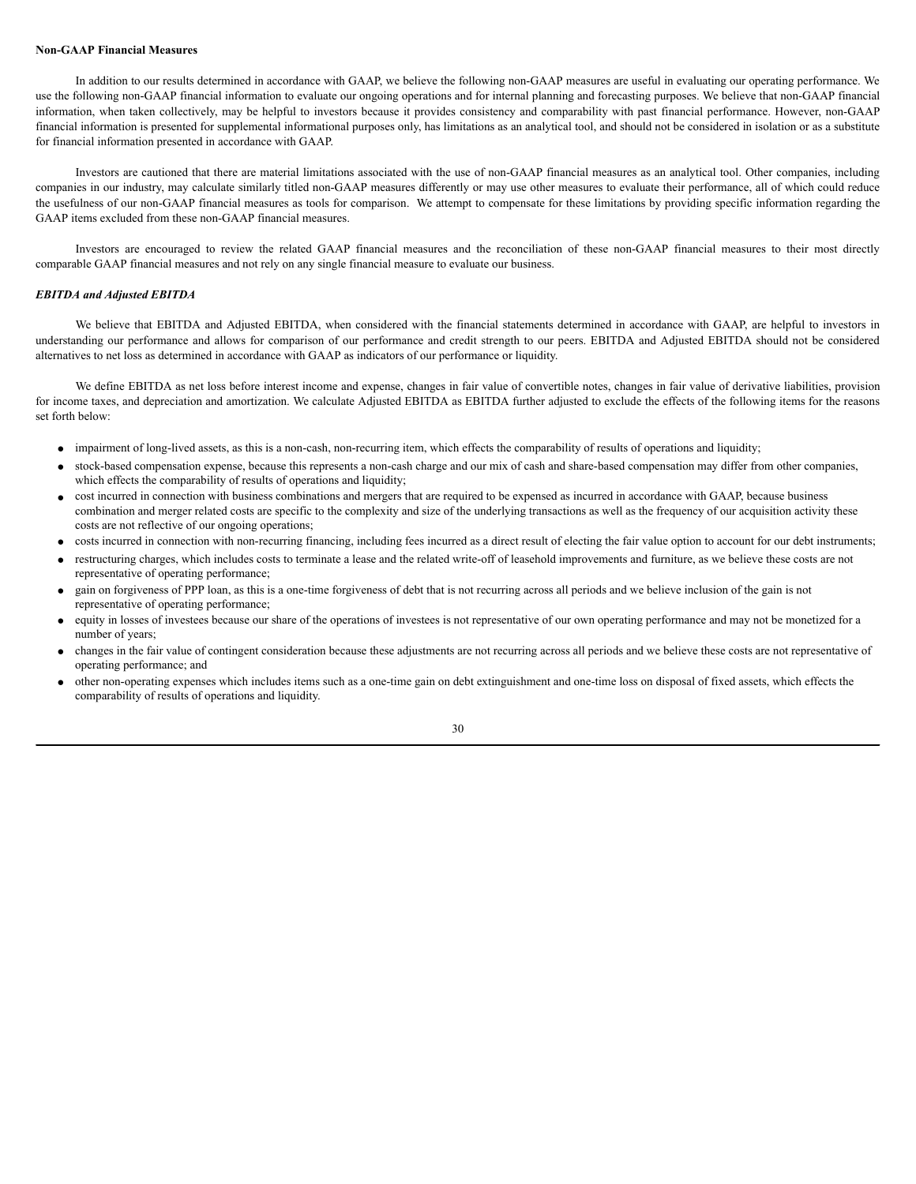### **Non-GAAP Financial Measures**

In addition to our results determined in accordance with GAAP, we believe the following non-GAAP measures are useful in evaluating our operating performance. We use the following non-GAAP financial information to evaluate our ongoing operations and for internal planning and forecasting purposes. We believe that non-GAAP financial information, when taken collectively, may be helpful to investors because it provides consistency and comparability with past financial performance. However, non-GAAP financial information is presented for supplemental informational purposes only, has limitations as an analytical tool, and should not be considered in isolation or as a substitute for financial information presented in accordance with GAAP.

Investors are cautioned that there are material limitations associated with the use of non-GAAP financial measures as an analytical tool. Other companies, including companies in our industry, may calculate similarly titled non-GAAP measures differently or may use other measures to evaluate their performance, all of which could reduce the usefulness of our non-GAAP financial measures as tools for comparison. We attempt to compensate for these limitations by providing specific information regarding the GAAP items excluded from these non-GAAP financial measures.

Investors are encouraged to review the related GAAP financial measures and the reconciliation of these non-GAAP financial measures to their most directly comparable GAAP financial measures and not rely on any single financial measure to evaluate our business.

### *EBITDA and Adjusted EBITDA*

We believe that EBITDA and Adjusted EBITDA, when considered with the financial statements determined in accordance with GAAP, are helpful to investors in understanding our performance and allows for comparison of our performance and credit strength to our peers. EBITDA and Adjusted EBITDA should not be considered alternatives to net loss as determined in accordance with GAAP as indicators of our performance or liquidity.

We define EBITDA as net loss before interest income and expense, changes in fair value of convertible notes, changes in fair value of derivative liabilities, provision for income taxes, and depreciation and amortization. We calculate Adjusted EBITDA as EBITDA further adjusted to exclude the effects of the following items for the reasons set forth below:

- *●* impairment of long-lived assets, as this is a non-cash, non-recurring item, which effects the comparability of results of operations and liquidity;
- stock-based compensation expense, because this represents a non-cash charge and our mix of cash and share-based compensation may differ from other companies, which effects the comparability of results of operations and liquidity;
- *●* cost incurred in connection with business combinations and mergers that are required to be expensed as incurred in accordance with GAAP, because business combination and merger related costs are specific to the complexity and size of the underlying transactions as well as the frequency of our acquisition activity these costs are not reflective of our ongoing operations;
- *●* costs incurred in connection with non-recurring financing, including fees incurred as a direct result of electing the fair value option to account for our debt instruments;
- *●* restructuring charges, which includes costs to terminate a lease and the related write-off of leasehold improvements and furniture, as we believe these costs are not representative of operating performance;
- *●* gain on forgiveness of PPP loan, as this is a one-time forgiveness of debt that is not recurring across all periods and we believe inclusion of the gain is not representative of operating performance;
- equity in losses of investees because our share of the operations of investees is not representative of our own operating performance and may not be monetized for a number of years;
- *●* changes in the fair value of contingent consideration because these adjustments are not recurring across all periods and we believe these costs are not representative of operating performance; and
- *●* other non-operating expenses which includes items such as a one-time gain on debt extinguishment and one-time loss on disposal of fixed assets, which effects the comparability of results of operations and liquidity.

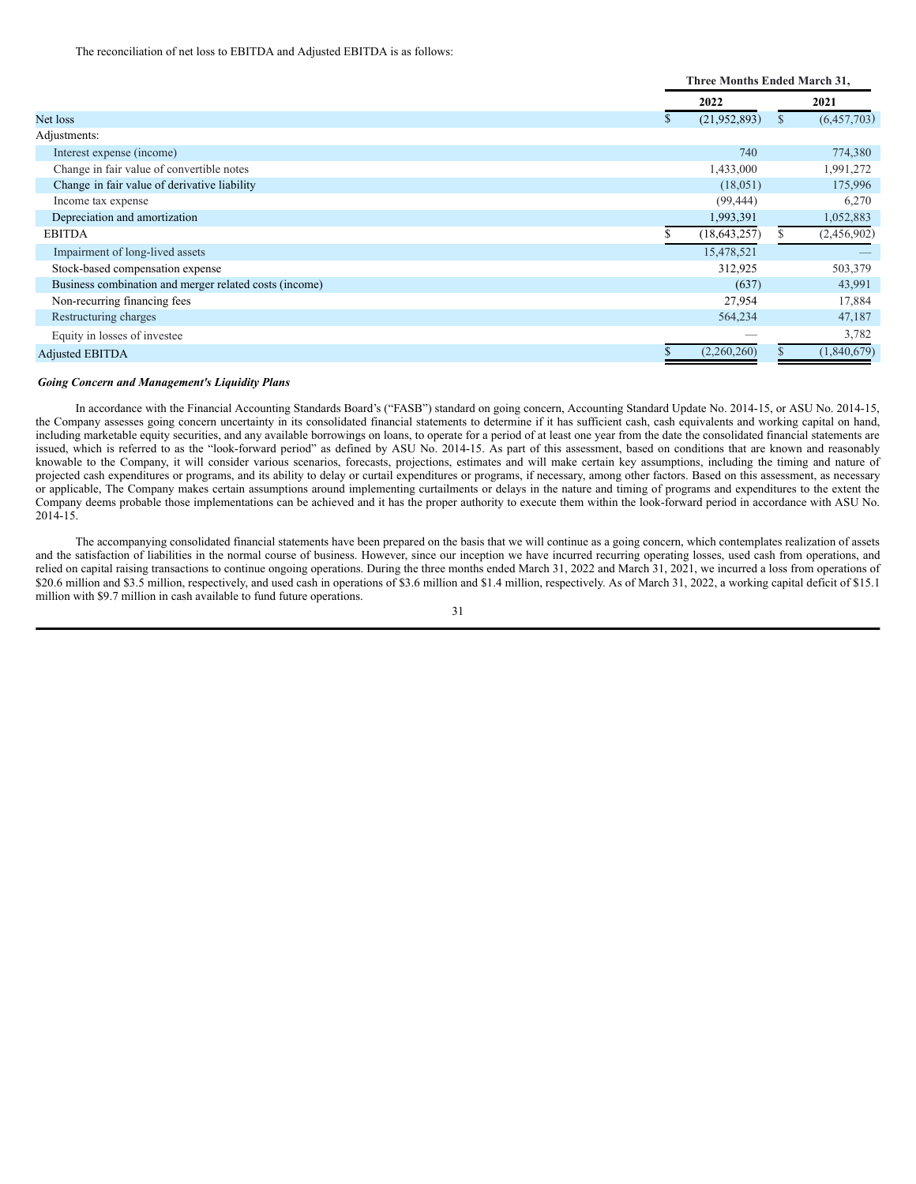The reconciliation of net loss to EBITDA and Adjusted EBITDA is as follows:

|                                                        | <b>Three Months Ended March 31,</b> |     |             |
|--------------------------------------------------------|-------------------------------------|-----|-------------|
|                                                        | 2022                                |     | 2021        |
| Net loss                                               | (21, 952, 893)                      | S   | (6,457,703) |
| Adjustments:                                           |                                     |     |             |
| Interest expense (income)                              | 740                                 |     | 774,380     |
| Change in fair value of convertible notes              | 1,433,000                           |     | 1,991,272   |
| Change in fair value of derivative liability           | (18,051)                            |     | 175,996     |
| Income tax expense                                     | (99, 444)                           |     | 6,270       |
| Depreciation and amortization                          | 1,993,391                           |     | 1,052,883   |
| <b>EBITDA</b>                                          | (18, 643, 257)                      | ŠУ. | (2,456,902) |
| Impairment of long-lived assets                        | 15,478,521                          |     |             |
| Stock-based compensation expense                       | 312,925                             |     | 503,379     |
| Business combination and merger related costs (income) | (637)                               |     | 43,991      |
| Non-recurring financing fees                           | 27,954                              |     | 17,884      |
| Restructuring charges                                  | 564,234                             |     | 47,187      |
| Equity in losses of investee                           | _                                   |     | 3,782       |
| <b>Adjusted EBITDA</b>                                 | (2,260,260)                         |     | (1,840,679) |

### *Going Concern and Management's Liquidity Plans*

In accordance with the Financial Accounting Standards Board's ("FASB") standard on going concern, Accounting Standard Update No. 2014-15, or ASU No. 2014-15, the Company assesses going concern uncertainty in its consolidated financial statements to determine if it has sufficient cash, cash equivalents and working capital on hand, including marketable equity securities, and any available borrowings on loans, to operate for a period of at least one year from the date the consolidated financial statements are issued, which is referred to as the "look-forward period" as defined by ASU No. 2014-15. As part of this assessment, based on conditions that are known and reasonably knowable to the Company, it will consider various scenarios, forecasts, projections, estimates and will make certain key assumptions, including the timing and nature of projected cash expenditures or programs, and its ability to delay or curtail expenditures or programs, if necessary, among other factors. Based on this assessment, as necessary or applicable, The Company makes certain assumptions around implementing curtailments or delays in the nature and timing of programs and expenditures to the extent the Company deems probable those implementations can be achieved and it has the proper authority to execute them within the look-forward period in accordance with ASU No. 2014-15.

The accompanying consolidated financial statements have been prepared on the basis that we will continue as a going concern, which contemplates realization of assets and the satisfaction of liabilities in the normal course of business. However, since our inception we have incurred recurring operating losses, used cash from operations, and relied on capital raising transactions to continue ongoing operations. During the three months ended March 31, 2022 and March 31, 2021, we incurred a loss from operations of \$20.6 million and \$3.5 million, respectively, and used cash in operations of \$3.6 million and \$1.4 million, respectively. As of March 31, 2022, a working capital deficit of \$15.1 million with \$9.7 million in cash available to fund future operations.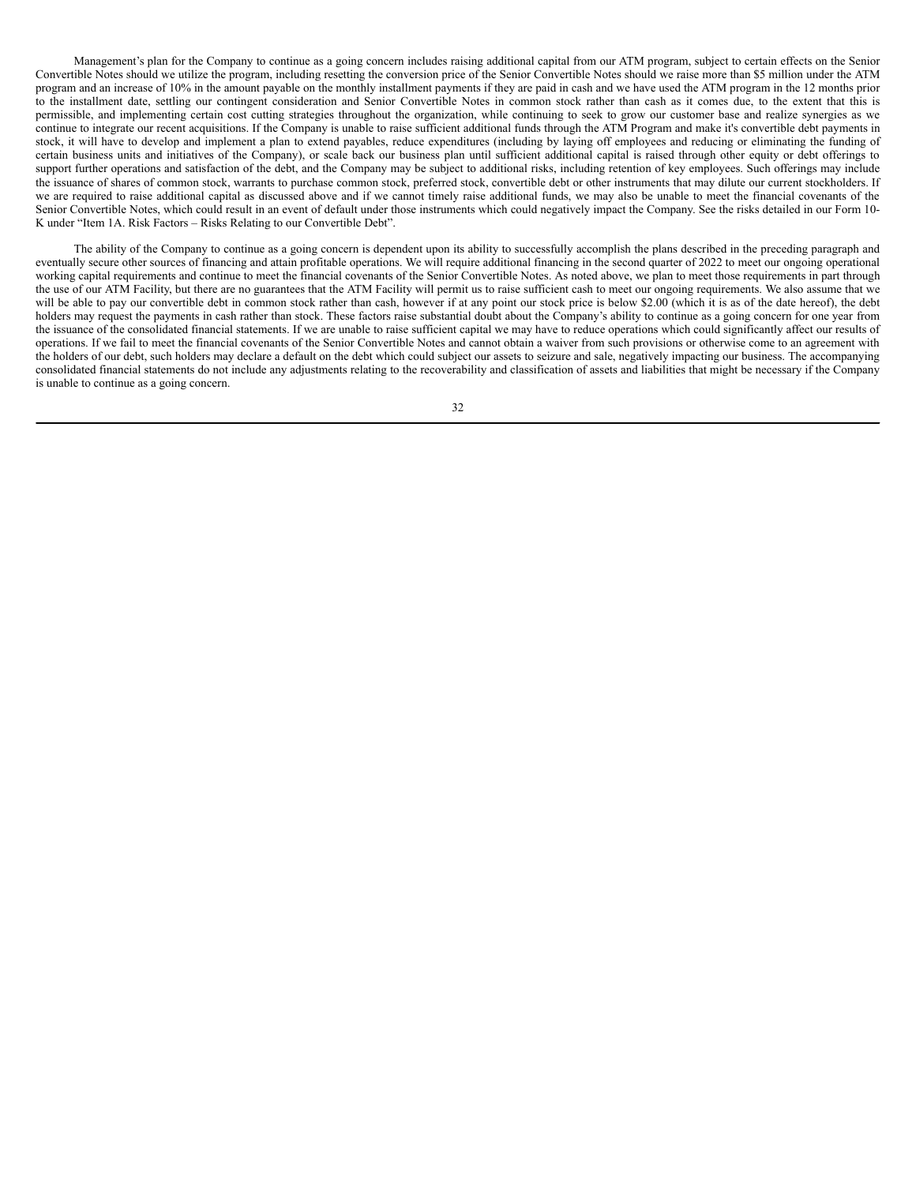Management's plan for the Company to continue as a going concern includes raising additional capital from our ATM program, subject to certain effects on the Senior Convertible Notes should we utilize the program, including resetting the conversion price of the Senior Convertible Notes should we raise more than \$5 million under the ATM program and an increase of 10% in the amount payable on the monthly installment payments if they are paid in cash and we have used the ATM program in the 12 months prior to the installment date, settling our contingent consideration and Senior Convertible Notes in common stock rather than cash as it comes due, to the extent that this is permissible, and implementing certain cost cutting strategies throughout the organization, while continuing to seek to grow our customer base and realize synergies as we continue to integrate our recent acquisitions. If the Company is unable to raise sufficient additional funds through the ATM Program and make it's convertible debt payments in stock, it will have to develop and implement a plan to extend payables, reduce expenditures (including by laying off employees and reducing or eliminating the funding of certain business units and initiatives of the Company), or scale back our business plan until sufficient additional capital is raised through other equity or debt offerings to support further operations and satisfaction of the debt, and the Company may be subject to additional risks, including retention of key employees. Such offerings may include the issuance of shares of common stock, warrants to purchase common stock, preferred stock, convertible debt or other instruments that may dilute our current stockholders. If we are required to raise additional capital as discussed above and if we cannot timely raise additional funds, we may also be unable to meet the financial covenants of the Senior Convertible Notes, which could result in an event of default under those instruments which could negatively impact the Company. See the risks detailed in our Form 10- K under "Item 1A. Risk Factors – Risks Relating to our Convertible Debt".

The ability of the Company to continue as a going concern is dependent upon its ability to successfully accomplish the plans described in the preceding paragraph and eventually secure other sources of financing and attain profitable operations. We will require additional financing in the second quarter of 2022 to meet our ongoing operational working capital requirements and continue to meet the financial covenants of the Senior Convertible Notes. As noted above, we plan to meet those requirements in part through the use of our ATM Facility, but there are no guarantees that the ATM Facility will permit us to raise sufficient cash to meet our ongoing requirements. We also assume that we will be able to pay our convertible debt in common stock rather than cash, however if at any point our stock price is below \$2.00 (which it is as of the date hereof), the debt holders may request the payments in cash rather than stock. These factors raise substantial doubt about the Company's ability to continue as a going concern for one year from the issuance of the consolidated financial statements. If we are unable to raise sufficient capital we may have to reduce operations which could significantly affect our results of operations. If we fail to meet the financial covenants of the Senior Convertible Notes and cannot obtain a waiver from such provisions or otherwise come to an agreement with the holders of our debt, such holders may declare a default on the debt which could subject our assets to seizure and sale, negatively impacting our business. The accompanying consolidated financial statements do not include any adjustments relating to the recoverability and classification of assets and liabilities that might be necessary if the Company is unable to continue as a going concern.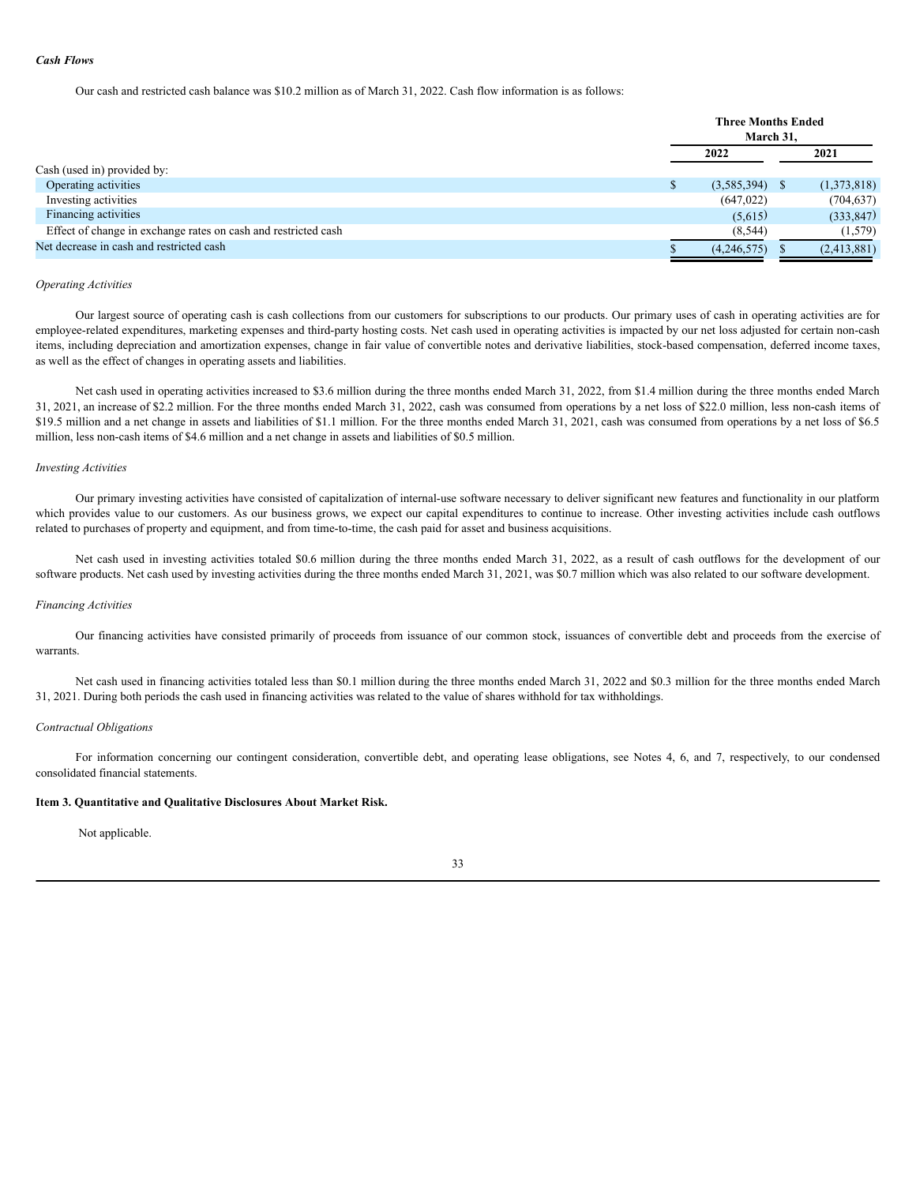Our cash and restricted cash balance was \$10.2 million as of March 31, 2022. Cash flow information is as follows:

|                                                                | <b>Three Months Ended</b><br>March 31. |  |             |  |
|----------------------------------------------------------------|----------------------------------------|--|-------------|--|
|                                                                | 2022                                   |  | 2021        |  |
| Cash (used in) provided by:                                    |                                        |  |             |  |
| Operating activities                                           | $(3,585,394)$ \$                       |  | (1,373,818) |  |
| Investing activities                                           | (647, 022)                             |  | (704, 637)  |  |
| Financing activities                                           | (5,615)                                |  | (333, 847)  |  |
| Effect of change in exchange rates on cash and restricted cash | (8, 544)                               |  | (1,579)     |  |
| Net decrease in cash and restricted cash                       | (4,246,575)                            |  | (2,413,881) |  |

#### *Operating Activities*

Our largest source of operating cash is cash collections from our customers for subscriptions to our products. Our primary uses of cash in operating activities are for employee-related expenditures, marketing expenses and third-party hosting costs. Net cash used in operating activities is impacted by our net loss adjusted for certain non-cash items, including depreciation and amortization expenses, change in fair value of convertible notes and derivative liabilities, stock-based compensation, deferred income taxes, as well as the effect of changes in operating assets and liabilities.

Net cash used in operating activities increased to \$3.6 million during the three months ended March 31, 2022, from \$1.4 million during the three months ended March 31, 2021, an increase of \$2.2 million. For the three months ended March 31, 2022, cash was consumed from operations by a net loss of \$22.0 million, less non-cash items of \$19.5 million and a net change in assets and liabilities of \$1.1 million. For the three months ended March 31, 2021, cash was consumed from operations by a net loss of \$6.5 million, less non-cash items of \$4.6 million and a net change in assets and liabilities of \$0.5 million.

### *Investing Activities*

Our primary investing activities have consisted of capitalization of internal-use software necessary to deliver significant new features and functionality in our platform which provides value to our customers. As our business grows, we expect our capital expenditures to continue to increase. Other investing activities include cash outflows related to purchases of property and equipment, and from time-to-time, the cash paid for asset and business acquisitions.

Net cash used in investing activities totaled \$0.6 million during the three months ended March 31, 2022, as a result of cash outflows for the development of our software products. Net cash used by investing activities during the three months ended March 31, 2021, was \$0.7 million which was also related to our software development.

### *Financing Activities*

Our financing activities have consisted primarily of proceeds from issuance of our common stock, issuances of convertible debt and proceeds from the exercise of warrants.

Net cash used in financing activities totaled less than \$0.1 million during the three months ended March 31, 2022 and \$0.3 million for the three months ended March 31, 2021. During both periods the cash used in financing activities was related to the value of shares withhold for tax withholdings.

### *Contractual Obligations*

For information concerning our contingent consideration, convertible debt, and operating lease obligations, see Notes 4, 6, and 7, respectively, to our condensed consolidated financial statements.

### <span id="page-34-0"></span>**Item 3. Quantitative and Qualitative Disclosures About Market Risk.**

Not applicable.

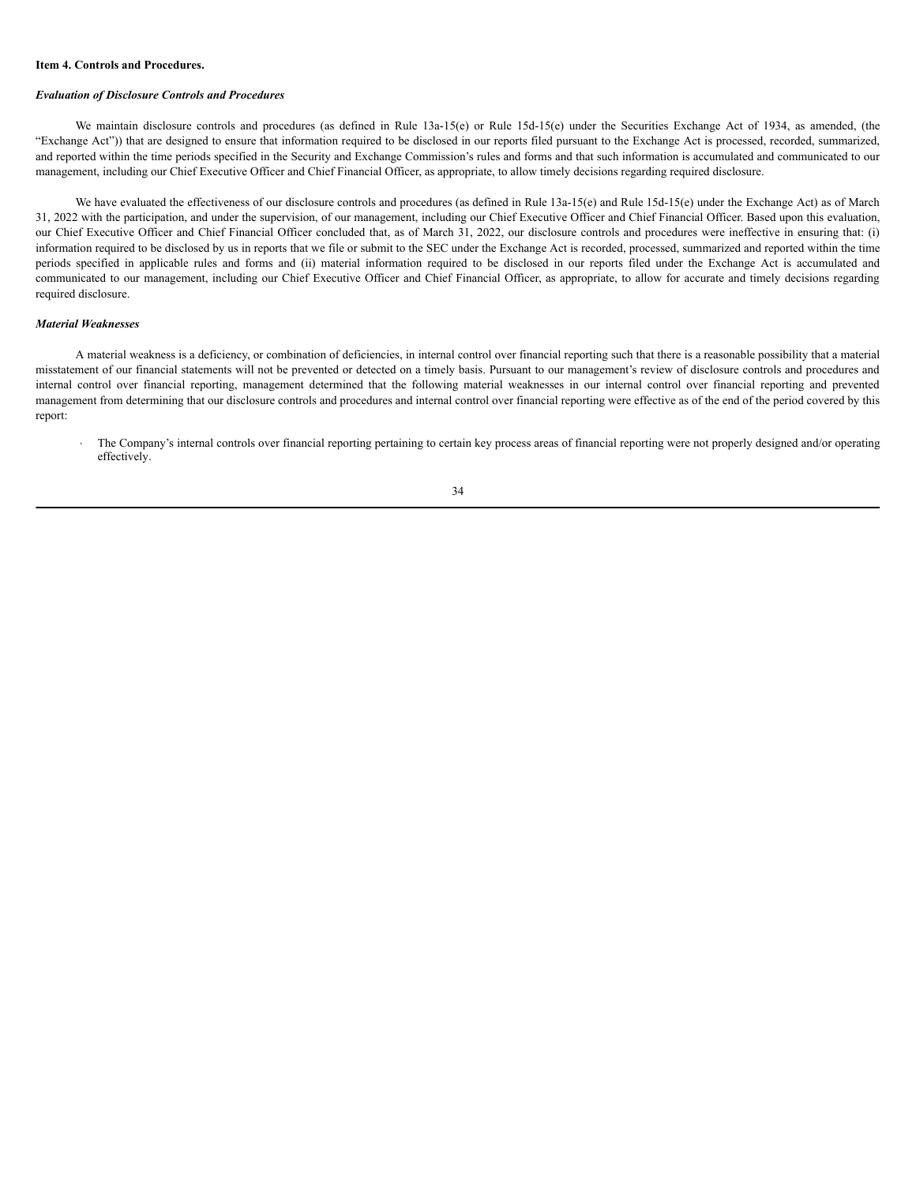## <span id="page-35-0"></span>**Item 4. Controls and Procedures.**

### *Evaluation of Disclosure Controls and Procedures*

We maintain disclosure controls and procedures (as defined in Rule 13a-15(e) or Rule 15d-15(e) under the Securities Exchange Act of 1934, as amended, (the "Exchange Act")) that are designed to ensure that information required to be disclosed in our reports filed pursuant to the Exchange Act is processed, recorded, summarized, and reported within the time periods specified in the Security and Exchange Commission's rules and forms and that such information is accumulated and communicated to our management, including our Chief Executive Officer and Chief Financial Officer, as appropriate, to allow timely decisions regarding required disclosure.

We have evaluated the effectiveness of our disclosure controls and procedures (as defined in Rule 13a-15(e) and Rule 15d-15(e) under the Exchange Act) as of March 31, 2022 with the participation, and under the supervision, of our management, including our Chief Executive Officer and Chief Financial Officer. Based upon this evaluation, our Chief Executive Officer and Chief Financial Officer concluded that, as of March 31, 2022, our disclosure controls and procedures were ineffective in ensuring that: (i) information required to be disclosed by us in reports that we file or submit to the SEC under the Exchange Act is recorded, processed, summarized and reported within the time periods specified in applicable rules and forms and (ii) material information required to be disclosed in our reports filed under the Exchange Act is accumulated and communicated to our management, including our Chief Executive Officer and Chief Financial Officer, as appropriate, to allow for accurate and timely decisions regarding required disclosure.

### *Material Weaknesses*

A material weakness is a deficiency, or combination of deficiencies, in internal control over financial reporting such that there is a reasonable possibility that a material misstatement of our financial statements will not be prevented or detected on a timely basis. Pursuant to our management's review of disclosure controls and procedures and internal control over financial reporting, management determined that the following material weaknesses in our internal control over financial reporting and prevented management from determining that our disclosure controls and procedures and internal control over financial reporting were effective as of the end of the period covered by this report:

The Company's internal controls over financial reporting pertaining to certain key process areas of financial reporting were not properly designed and/or operating effectively.

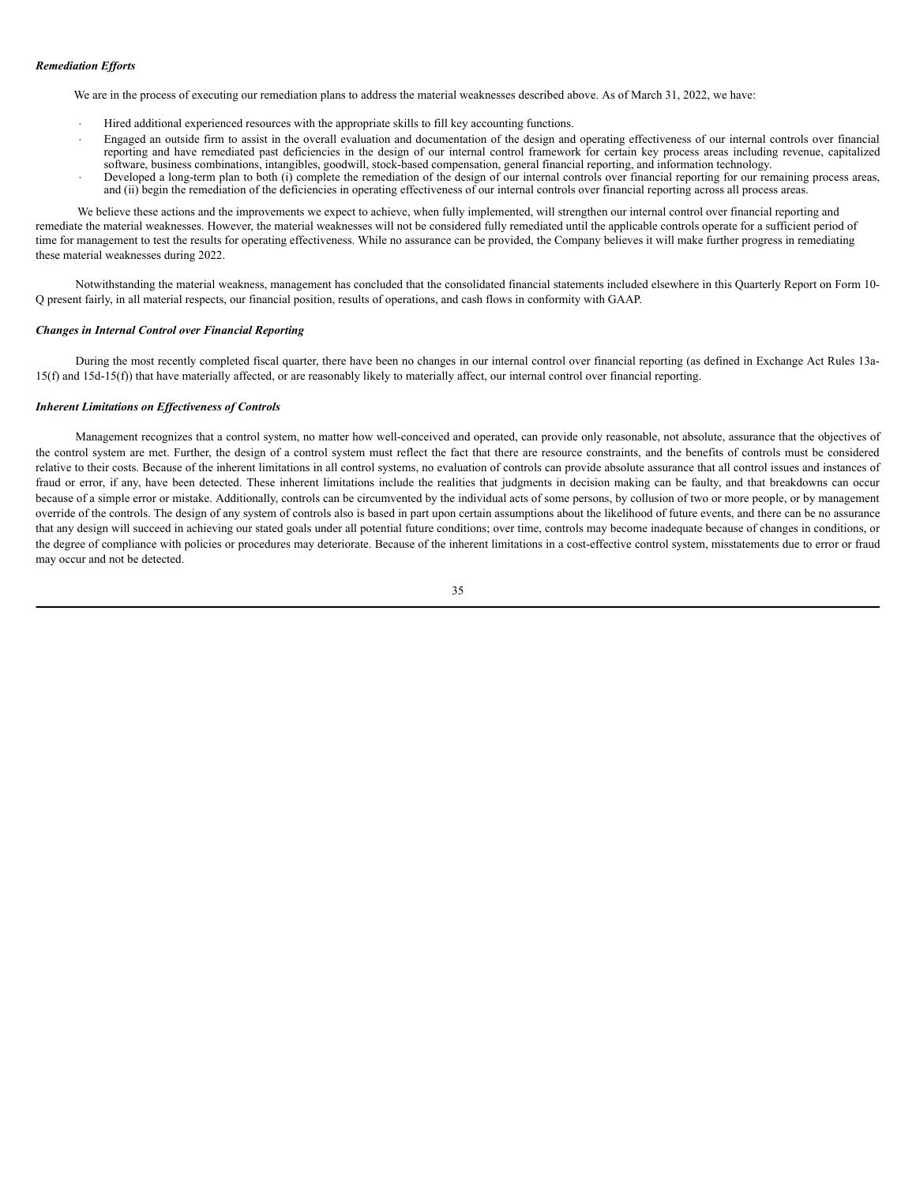### *Remediation Ef orts*

We are in the process of executing our remediation plans to address the material weaknesses described above. As of March 31, 2022, we have:

- · Hired additional experienced resources with the appropriate skills to fill key accounting functions.
- · Engaged an outside firm to assist in the overall evaluation and documentation of the design and operating effectiveness of our internal controls over financial reporting and have remediated past deficiencies in the design of our internal control framework for certain key process areas including revenue, capitalized software, business combinations, intangibles, goodwill, stock-based compensation, general financial reporting, and information technology.
- Developed a long-term plan to both (i) complete the remediation of the design of our internal controls over financial reporting for our remaining process areas, and (ii) begin the remediation of the deficiencies in operating effectiveness of our internal controls over financial reporting across all process areas.

We believe these actions and the improvements we expect to achieve, when fully implemented, will strengthen our internal control over financial reporting and remediate the material weaknesses. However, the material weaknesses will not be considered fully remediated until the applicable controls operate for a sufficient period of time for management to test the results for operating effectiveness. While no assurance can be provided, the Company believes it will make further progress in remediating these material weaknesses during 2022.

Notwithstanding the material weakness, management has concluded that the consolidated financial statements included elsewhere in this Quarterly Report on Form 10- Q present fairly, in all material respects, our financial position, results of operations, and cash flows in conformity with GAAP.

### *Changes in Internal Control over Financial Reporting*

During the most recently completed fiscal quarter, there have been no changes in our internal control over financial reporting (as defined in Exchange Act Rules 13a-15(f) and 15d-15(f)) that have materially affected, or are reasonably likely to materially affect, our internal control over financial reporting.

### *Inherent Limitations on Ef ectiveness of Controls*

Management recognizes that a control system, no matter how well-conceived and operated, can provide only reasonable, not absolute, assurance that the objectives of the control system are met. Further, the design of a control system must reflect the fact that there are resource constraints, and the benefits of controls must be considered relative to their costs. Because of the inherent limitations in all control systems, no evaluation of controls can provide absolute assurance that all control issues and instances of fraud or error, if any, have been detected. These inherent limitations include the realities that judgments in decision making can be faulty, and that breakdowns can occur because of a simple error or mistake. Additionally, controls can be circumvented by the individual acts of some persons, by collusion of two or more people, or by management override of the controls. The design of any system of controls also is based in part upon certain assumptions about the likelihood of future events, and there can be no assurance that any design will succeed in achieving our stated goals under all potential future conditions; over time, controls may become inadequate because of changes in conditions, or the degree of compliance with policies or procedures may deteriorate. Because of the inherent limitations in a cost-effective control system, misstatements due to error or fraud may occur and not be detected.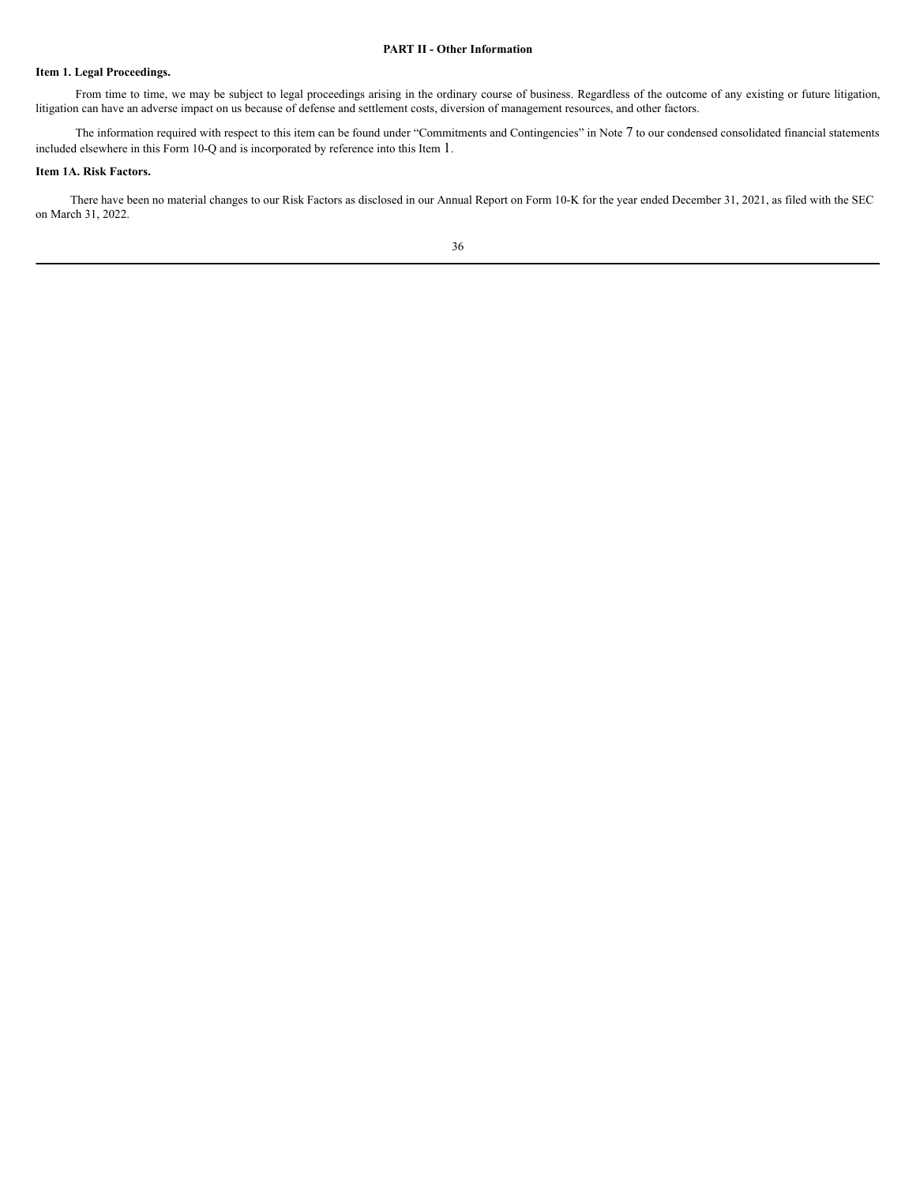## **PART II - Other Information**

## <span id="page-37-0"></span>**Item 1. Legal Proceedings.**

From time to time, we may be subject to legal proceedings arising in the ordinary course of business. Regardless of the outcome of any existing or future litigation, litigation can have an adverse impact on us because of defense and settlement costs, diversion of management resources, and other factors.

The information required with respect to this item can be found under "Commitments and Contingencies" in Note 7 to our condensed consolidated financial statements included elsewhere in this Form 10-Q and is incorporated by reference into this Item 1.

# <span id="page-37-1"></span>**Item 1A. Risk Factors.**

There have been no material changes to our Risk Factors as disclosed in our Annual Report on Form 10-K for the year ended December 31, 2021, as filed with the SEC on March 31, 2022.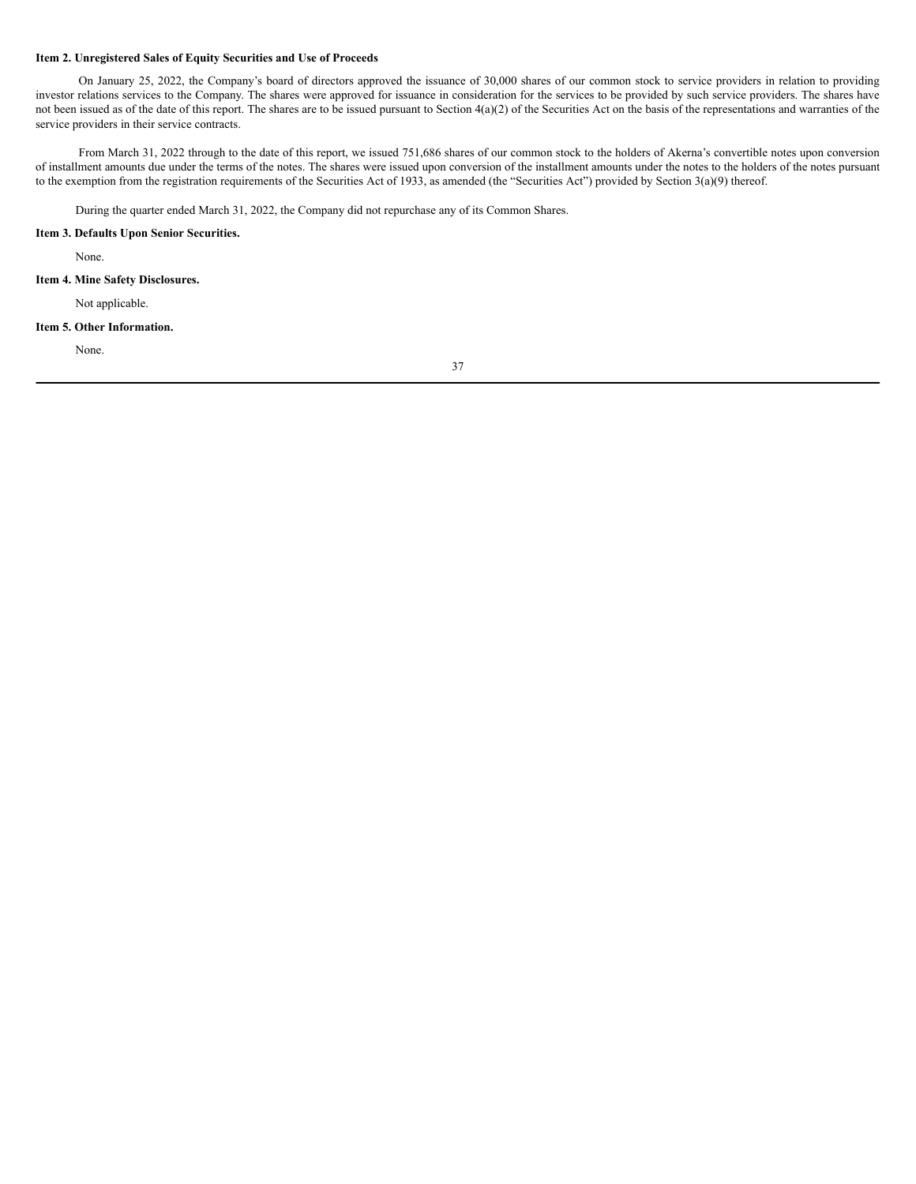## <span id="page-38-0"></span>**Item 2. Unregistered Sales of Equity Securities and Use of Proceeds**

On January 25, 2022, the Company's board of directors approved the issuance of 30,000 shares of our common stock to service providers in relation to providing investor relations services to the Company. The shares were approved for issuance in consideration for the services to be provided by such service providers. The shares have not been issued as of the date of this report. The shares are to be issued pursuant to Section 4(a)(2) of the Securities Act on the basis of the representations and warranties of the service providers in their service contracts.

From March 31, 2022 through to the date of this report, we issued 751,686 shares of our common stock to the holders of Akerna's convertible notes upon conversion of installment amounts due under the terms of the notes. The shares were issued upon conversion of the installment amounts under the notes to the holders of the notes pursuant to the exemption from the registration requirements of the Securities Act of 1933, as amended (the "Securities Act") provided by Section 3(a)(9) thereof.

During the quarter ended March 31, 2022, the Company did not repurchase any of its Common Shares.

## <span id="page-38-1"></span>**Item 3. Defaults Upon Senior Securities.**

None.

## <span id="page-38-2"></span>**Item 4. Mine Safety Disclosures.**

Not applicable.

### <span id="page-38-3"></span>**Item 5. Other Information.**

None.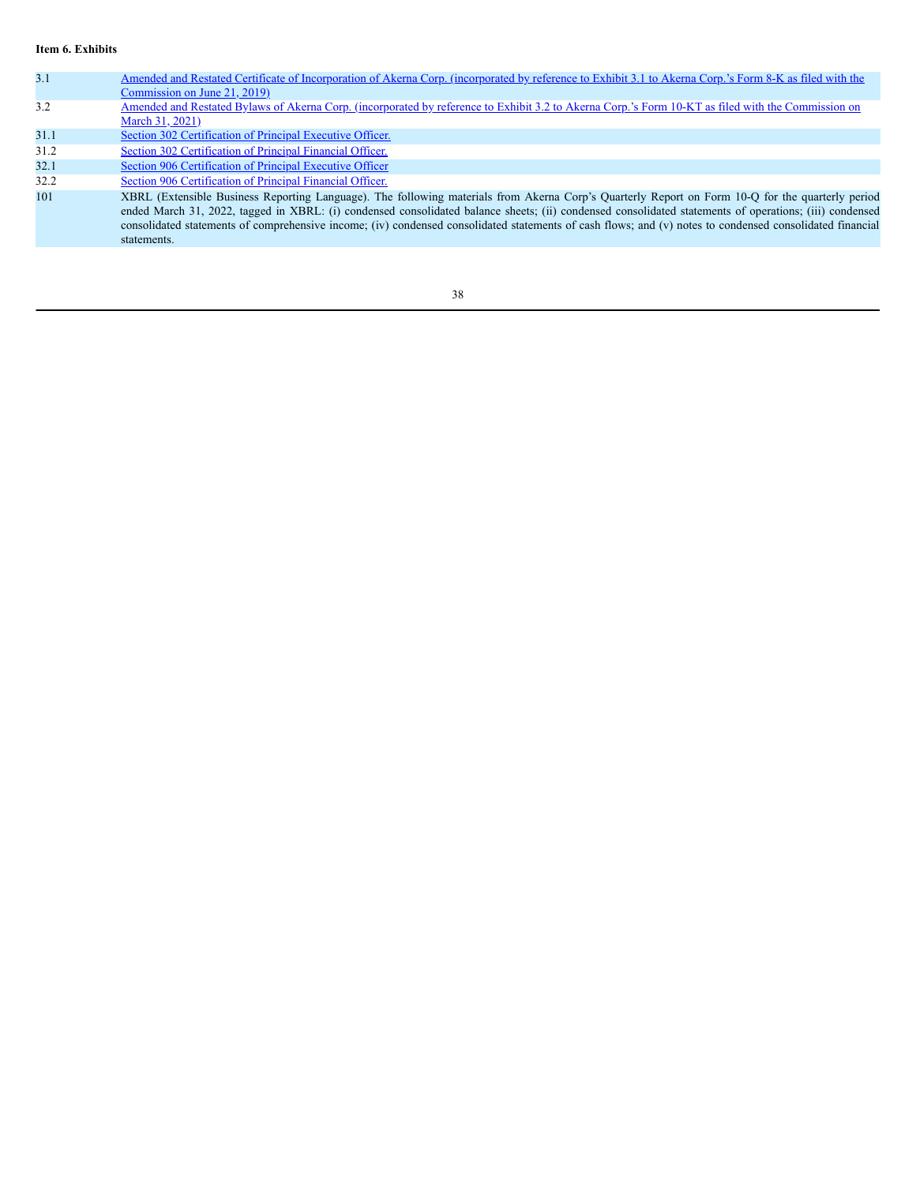# <span id="page-39-0"></span>**Item 6. Exhibits**

| 3.1  | Amended and Restated Certificate of Incorporation of Akerna Corp. (incorporated by reference to Exhibit 3.1 to Akerna Corp.'s Form 8-K as filed with the |
|------|----------------------------------------------------------------------------------------------------------------------------------------------------------|
|      | Commission on June 21, 2019)                                                                                                                             |
| 3.2  | Amended and Restated Bylaws of Akerna Corp. (incorporated by reference to Exhibit 3.2 to Akerna Corp.'s Form 10-KT as filed with the Commission on       |
|      | March 31, 2021)                                                                                                                                          |
| 31.1 | Section 302 Certification of Principal Executive Officer.                                                                                                |
| 31.2 | Section 302 Certification of Principal Financial Officer.                                                                                                |
| 32.1 | Section 906 Certification of Principal Executive Officer                                                                                                 |
| 32.2 | Section 906 Certification of Principal Financial Officer.                                                                                                |
| 101  | XBRL (Extensible Business Reporting Language). The following materials from Akerna Corp's Quarterly Report on Form 10-Q for the quarterly period         |
|      | ended March 31, 2022, tagged in XBRL: (i) condensed consolidated balance sheets; (ii) condensed consolidated statements of operations; (iii) condensed   |
|      | consolidated statements of comprehensive income; (iv) condensed consolidated statements of cash flows; and (v) notes to condensed consolidated financial |
|      | statements.                                                                                                                                              |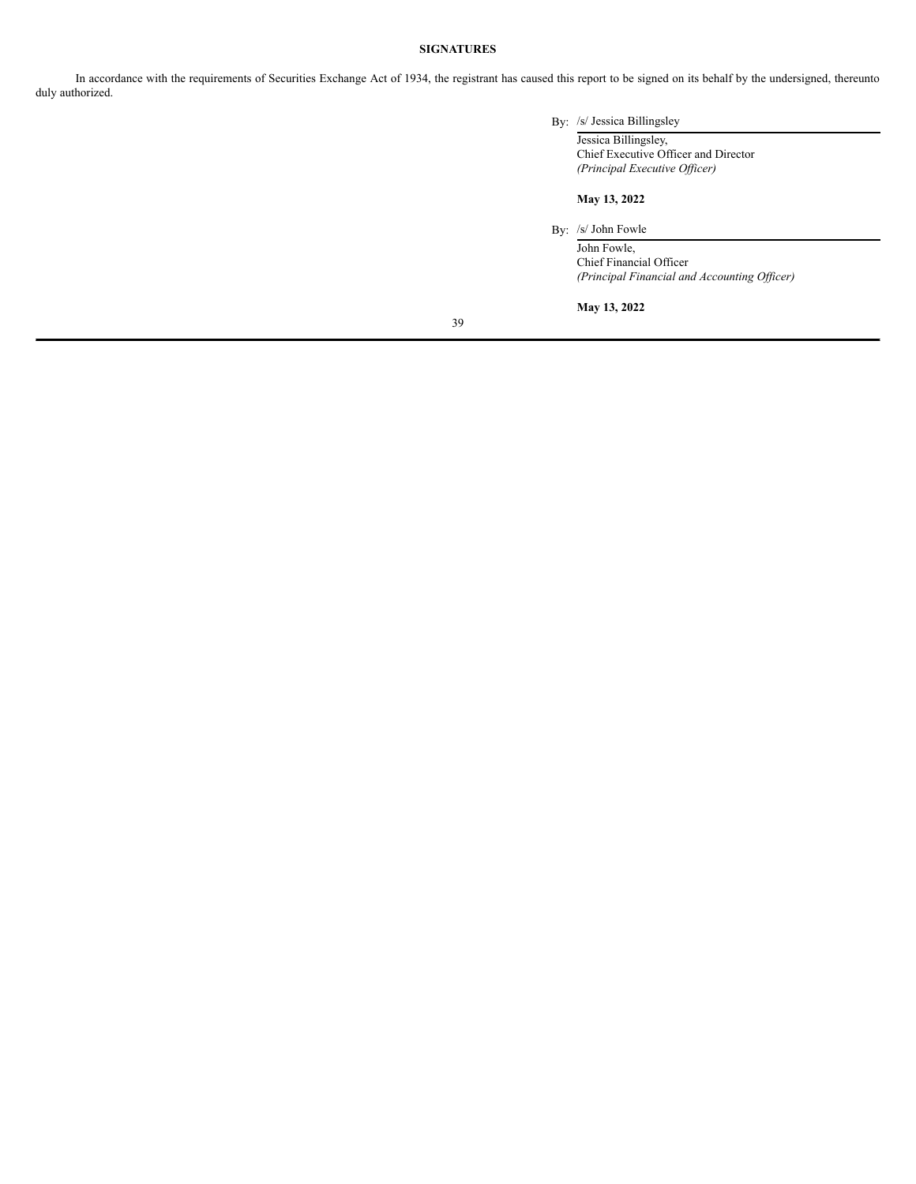# <span id="page-40-0"></span>**SIGNATURES**

In accordance with the requirements of Securities Exchange Act of 1934, the registrant has caused this report to be signed on its behalf by the undersigned, thereunto duly authorized.

## By: /s/ Jessica Billingsley

Jessica Billingsley, Chief Executive Officer and Director *(Principal Executive Of icer)*

# **May 13, 2022**

By: /s/ John Fowle

John Fowle, Chief Financial Officer *(Principal Financial and Accounting Of icer)*

## **May 13, 2022**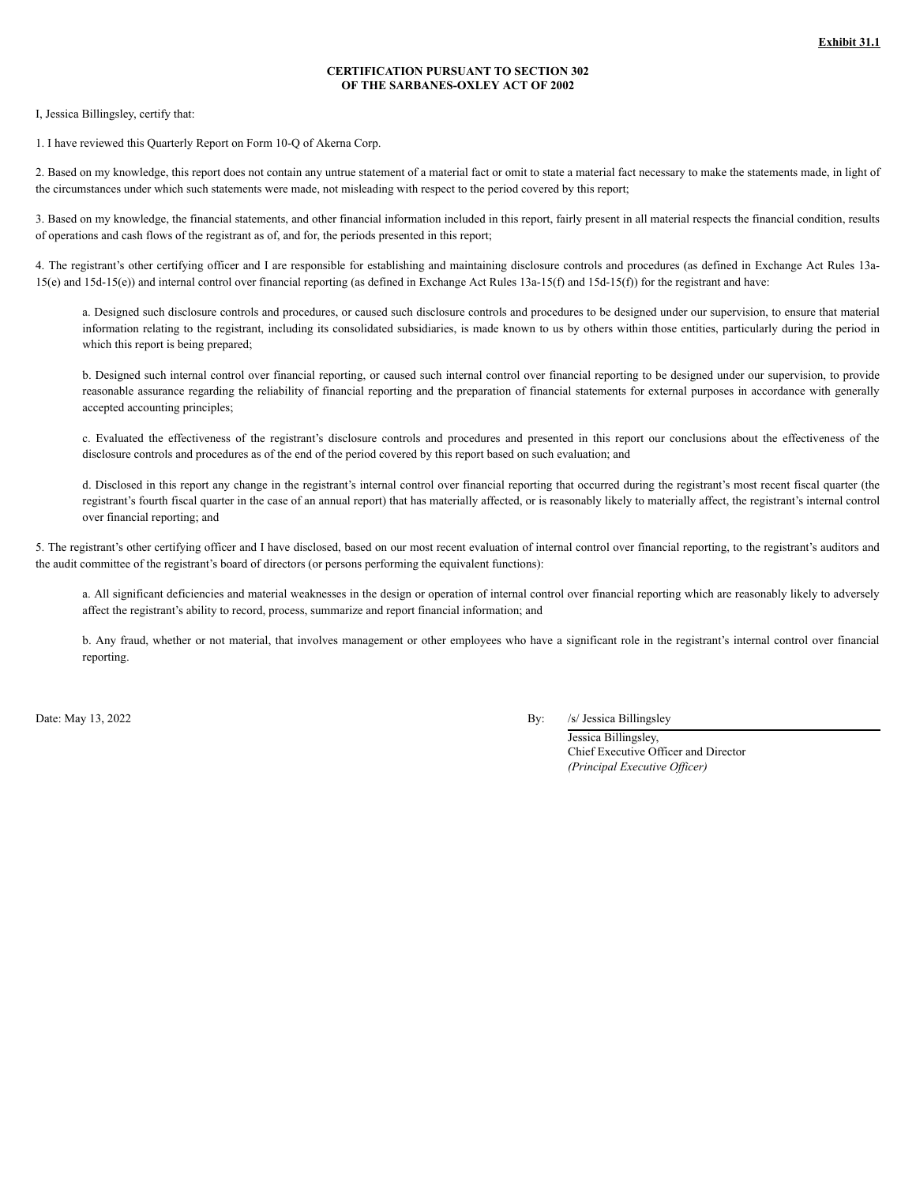## **CERTIFICATION PURSUANT TO SECTION 302 OF THE SARBANES-OXLEY ACT OF 2002**

I, Jessica Billingsley, certify that:

1. I have reviewed this Quarterly Report on Form 10-Q of Akerna Corp.

2. Based on my knowledge, this report does not contain any untrue statement of a material fact or omit to state a material fact necessary to make the statements made, in light of the circumstances under which such statements were made, not misleading with respect to the period covered by this report;

3. Based on my knowledge, the financial statements, and other financial information included in this report, fairly present in all material respects the financial condition, results of operations and cash flows of the registrant as of, and for, the periods presented in this report;

4. The registrant's other certifying officer and I are responsible for establishing and maintaining disclosure controls and procedures (as defined in Exchange Act Rules 13a-15(e) and 15d-15(e)) and internal control over financial reporting (as defined in Exchange Act Rules 13a-15(f) and 15d-15(f)) for the registrant and have:

a. Designed such disclosure controls and procedures, or caused such disclosure controls and procedures to be designed under our supervision, to ensure that material information relating to the registrant, including its consolidated subsidiaries, is made known to us by others within those entities, particularly during the period in which this report is being prepared;

b. Designed such internal control over financial reporting, or caused such internal control over financial reporting to be designed under our supervision, to provide reasonable assurance regarding the reliability of financial reporting and the preparation of financial statements for external purposes in accordance with generally accepted accounting principles;

c. Evaluated the effectiveness of the registrant's disclosure controls and procedures and presented in this report our conclusions about the effectiveness of the disclosure controls and procedures as of the end of the period covered by this report based on such evaluation; and

d. Disclosed in this report any change in the registrant's internal control over financial reporting that occurred during the registrant's most recent fiscal quarter (the registrant's fourth fiscal quarter in the case of an annual report) that has materially affected, or is reasonably likely to materially affect, the registrant's internal control over financial reporting; and

5. The registrant's other certifying officer and I have disclosed, based on our most recent evaluation of internal control over financial reporting, to the registrant's auditors and the audit committee of the registrant's board of directors (or persons performing the equivalent functions):

a. All significant deficiencies and material weaknesses in the design or operation of internal control over financial reporting which are reasonably likely to adversely affect the registrant's ability to record, process, summarize and report financial information; and

b. Any fraud, whether or not material, that involves management or other employees who have a significant role in the registrant's internal control over financial reporting.

Date: May 13, 2022 By: /s/ Jessica Billingsley

Jessica Billingsley, Chief Executive Officer and Director *(Principal Executive Of icer)*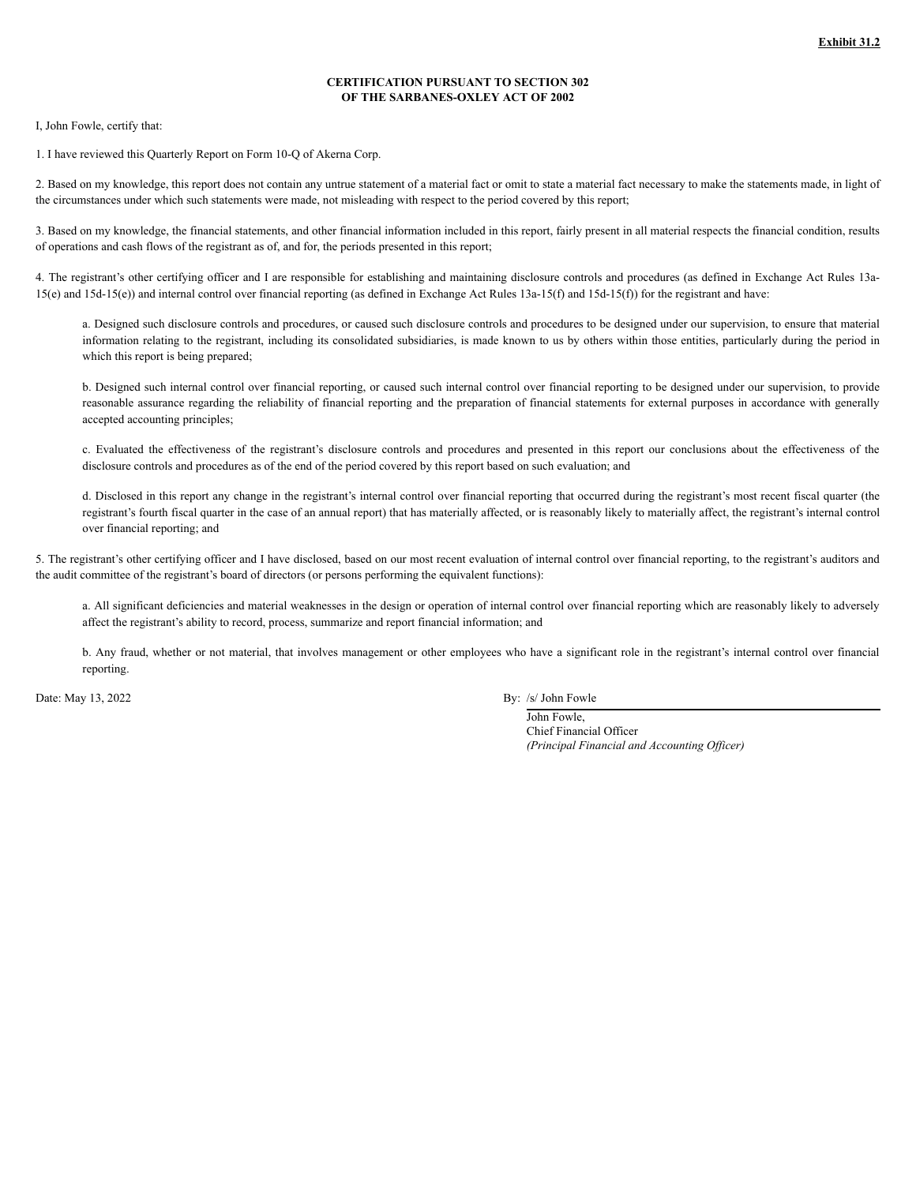## **CERTIFICATION PURSUANT TO SECTION 302 OF THE SARBANES-OXLEY ACT OF 2002**

I, John Fowle, certify that:

1. I have reviewed this Quarterly Report on Form 10-Q of Akerna Corp.

2. Based on my knowledge, this report does not contain any untrue statement of a material fact or omit to state a material fact necessary to make the statements made, in light of the circumstances under which such statements were made, not misleading with respect to the period covered by this report;

3. Based on my knowledge, the financial statements, and other financial information included in this report, fairly present in all material respects the financial condition, results of operations and cash flows of the registrant as of, and for, the periods presented in this report;

4. The registrant's other certifying officer and I are responsible for establishing and maintaining disclosure controls and procedures (as defined in Exchange Act Rules 13a-15(e) and 15d-15(e)) and internal control over financial reporting (as defined in Exchange Act Rules 13a-15(f) and 15d-15(f)) for the registrant and have:

a. Designed such disclosure controls and procedures, or caused such disclosure controls and procedures to be designed under our supervision, to ensure that material information relating to the registrant, including its consolidated subsidiaries, is made known to us by others within those entities, particularly during the period in which this report is being prepared;

b. Designed such internal control over financial reporting, or caused such internal control over financial reporting to be designed under our supervision, to provide reasonable assurance regarding the reliability of financial reporting and the preparation of financial statements for external purposes in accordance with generally accepted accounting principles;

c. Evaluated the effectiveness of the registrant's disclosure controls and procedures and presented in this report our conclusions about the effectiveness of the disclosure controls and procedures as of the end of the period covered by this report based on such evaluation; and

d. Disclosed in this report any change in the registrant's internal control over financial reporting that occurred during the registrant's most recent fiscal quarter (the registrant's fourth fiscal quarter in the case of an annual report) that has materially affected, or is reasonably likely to materially affect, the registrant's internal control over financial reporting; and

5. The registrant's other certifying officer and I have disclosed, based on our most recent evaluation of internal control over financial reporting, to the registrant's auditors and the audit committee of the registrant's board of directors (or persons performing the equivalent functions):

a. All significant deficiencies and material weaknesses in the design or operation of internal control over financial reporting which are reasonably likely to adversely affect the registrant's ability to record, process, summarize and report financial information; and

b. Any fraud, whether or not material, that involves management or other employees who have a significant role in the registrant's internal control over financial reporting.

Date: May 13, 2022 By: /s/ John Fowle

John Fowle, Chief Financial Officer *(Principal Financial and Accounting Of icer)*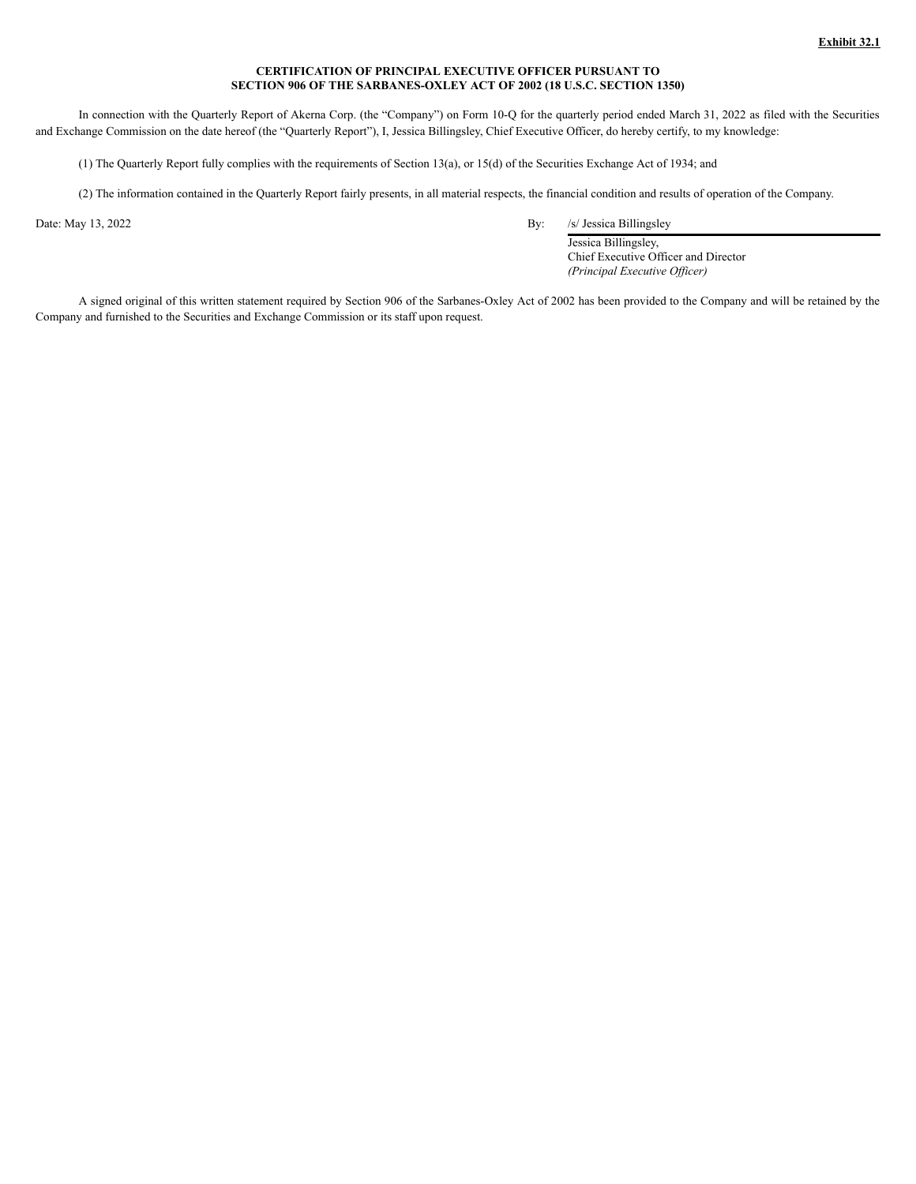### **CERTIFICATION OF PRINCIPAL EXECUTIVE OFFICER PURSUANT TO SECTION 906 OF THE SARBANES-OXLEY ACT OF 2002 (18 U.S.C. SECTION 1350)**

In connection with the Quarterly Report of Akerna Corp. (the "Company") on Form 10-Q for the quarterly period ended March 31, 2022 as filed with the Securities and Exchange Commission on the date hereof (the "Quarterly Report"), I, Jessica Billingsley, Chief Executive Officer, do hereby certify, to my knowledge:

(1) The Quarterly Report fully complies with the requirements of Section 13(a), or 15(d) of the Securities Exchange Act of 1934; and

(2) The information contained in the Quarterly Report fairly presents, in all material respects, the financial condition and results of operation of the Company.

Date: May 13, 2022 By: /s/ Jessica Billingsley

Jessica Billingsley, Chief Executive Officer and Director *(Principal Executive Of icer)*

A signed original of this written statement required by Section 906 of the Sarbanes-Oxley Act of 2002 has been provided to the Company and will be retained by the Company and furnished to the Securities and Exchange Commission or its staff upon request.